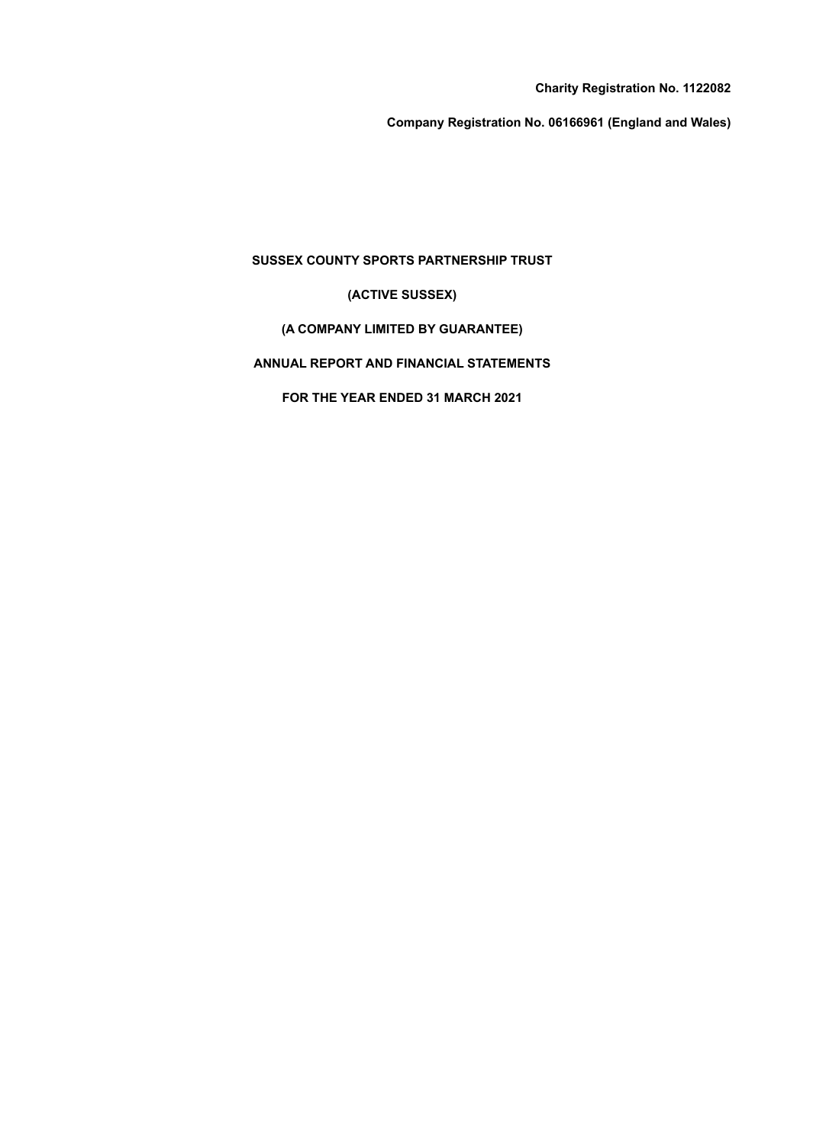**Charity Registration No. 1122082**

**Company Registration No. 06166961 (England and Wales)**

# **SUSSEX COUNTY SPORTS PARTNERSHIP TRUST**

**(ACTIVE SUSSEX)**

**(A COMPANY LIMITED BY GUARANTEE)**

**ANNUAL REPORT AND FINANCIAL STATEMENTS**

**FOR THE YEAR ENDED 31 MARCH 2021**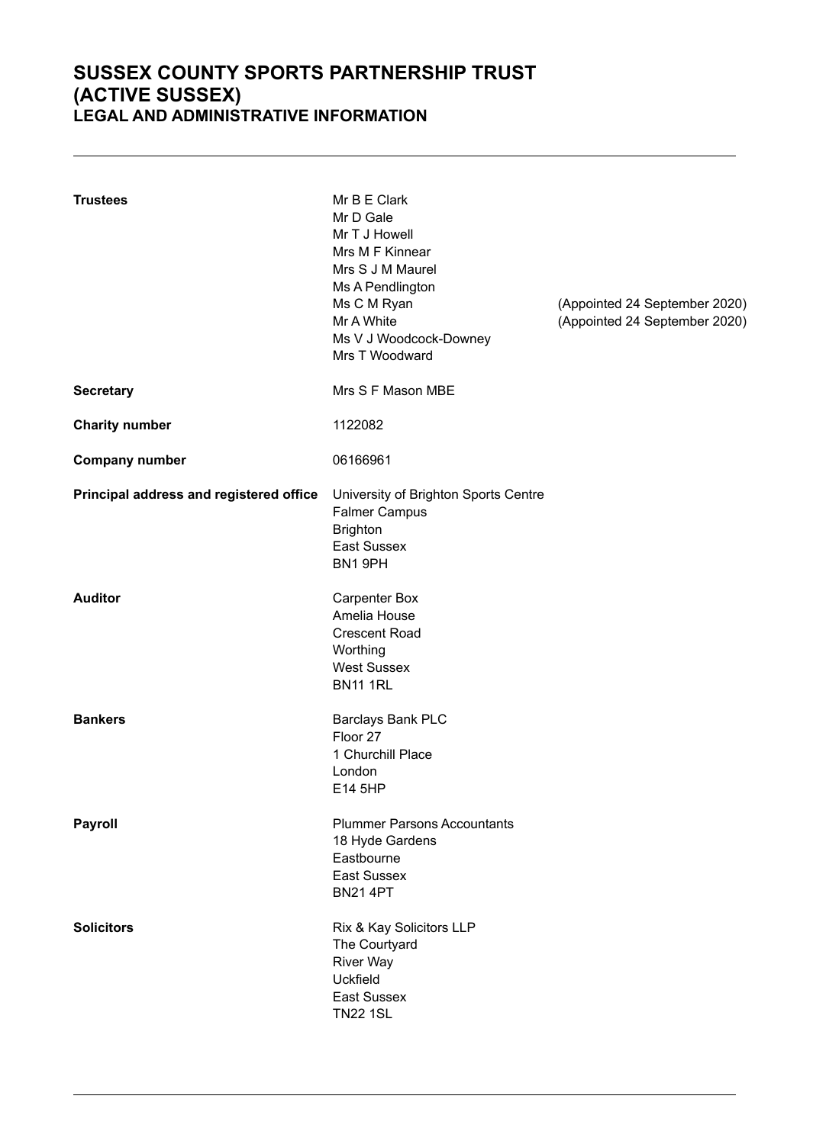# **SUSSEX COUNTY SPORTS PARTNERSHIP TRUST (ACTIVE SUSSEX) LEGAL AND ADMINISTRATIVE INFORMATION**

| <b>Trustees</b>                         | Mr B E Clark<br>Mr D Gale<br>Mr T J Howell<br>Mrs M F Kinnear<br>Mrs S J M Maurel<br>Ms A Pendlington<br>Ms C M Ryan<br>Mr A White<br>Ms V J Woodcock-Downey<br>Mrs T Woodward | (Appointed 24 September 2020)<br>(Appointed 24 September 2020) |
|-----------------------------------------|--------------------------------------------------------------------------------------------------------------------------------------------------------------------------------|----------------------------------------------------------------|
| <b>Secretary</b>                        | Mrs S F Mason MBE                                                                                                                                                              |                                                                |
| <b>Charity number</b>                   | 1122082                                                                                                                                                                        |                                                                |
| <b>Company number</b>                   | 06166961                                                                                                                                                                       |                                                                |
| Principal address and registered office | University of Brighton Sports Centre<br><b>Falmer Campus</b><br><b>Brighton</b><br>East Sussex<br>BN1 9PH                                                                      |                                                                |
| <b>Auditor</b>                          | <b>Carpenter Box</b><br>Amelia House<br><b>Crescent Road</b><br>Worthing<br><b>West Sussex</b><br><b>BN11 1RL</b>                                                              |                                                                |
| <b>Bankers</b>                          | Barclays Bank PLC<br>Floor 27<br>1 Churchill Place<br>London<br>E14 5HP                                                                                                        |                                                                |
| Payroll                                 | <b>Plummer Parsons Accountants</b><br>18 Hyde Gardens<br>Eastbourne<br>East Sussex<br><b>BN21 4PT</b>                                                                          |                                                                |
| <b>Solicitors</b>                       | Rix & Kay Solicitors LLP<br>The Courtyard<br><b>River Way</b><br><b>Uckfield</b><br>East Sussex<br><b>TN22 1SL</b>                                                             |                                                                |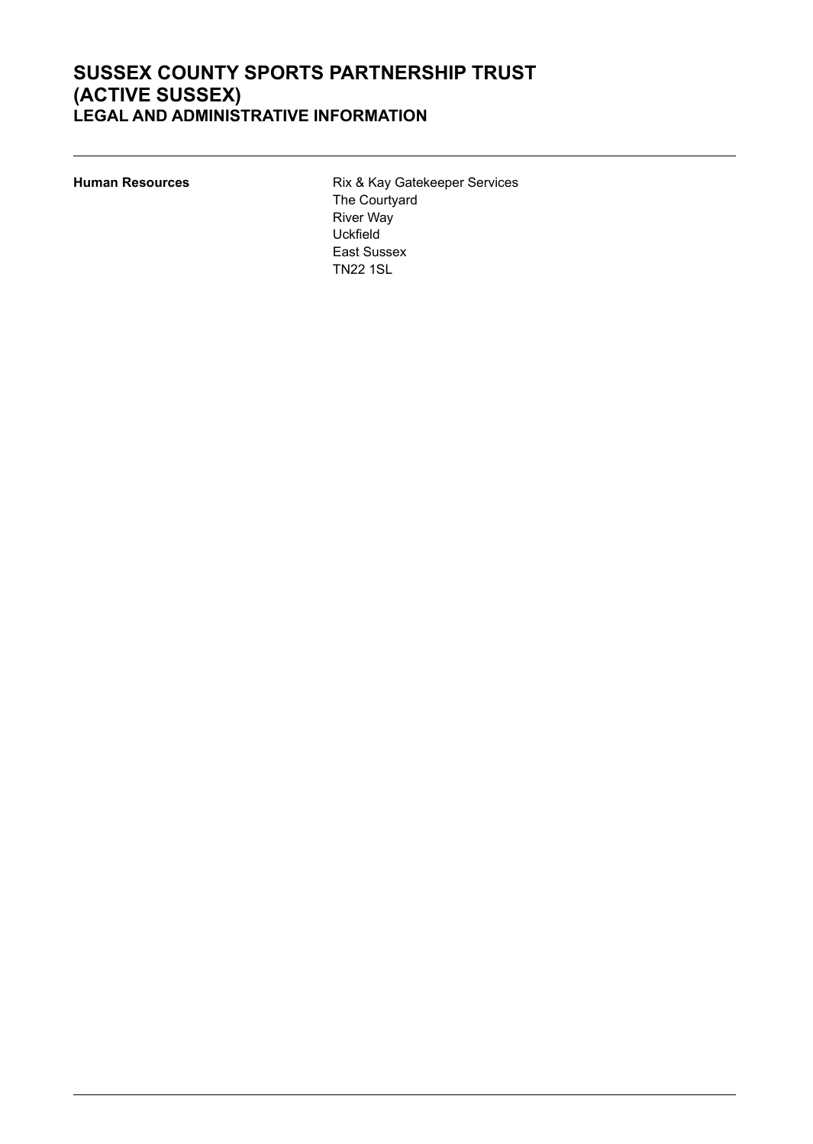# **SUSSEX COUNTY SPORTS PARTNERSHIP TRUST (ACTIVE SUSSEX) LEGAL AND ADMINISTRATIVE INFORMATION**

**Human Resources Rix & Kay Gatekeeper Services** The Courtyard River Way Uckfield East Sussex TN22 1SL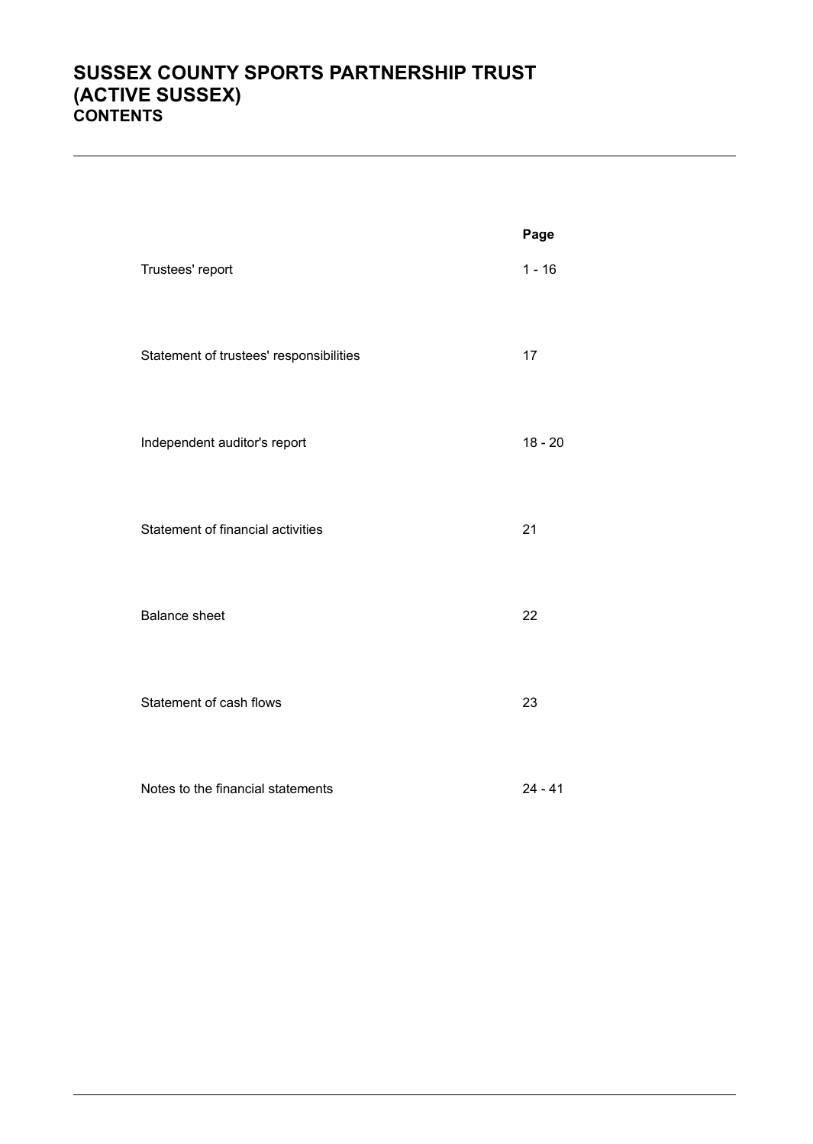# **SUSSEX COUNTY SPORTS PARTNERSHIP TRUST (ACTIVE SUSSEX) CONTENTS**

|                                         | Page      |
|-----------------------------------------|-----------|
| Trustees' report                        | $1 - 16$  |
| Statement of trustees' responsibilities | 17        |
| Independent auditor's report            | $18 - 20$ |
| Statement of financial activities       | 21        |
| <b>Balance sheet</b>                    | 22        |
| Statement of cash flows                 | 23        |
| Notes to the financial statements       | $24 - 41$ |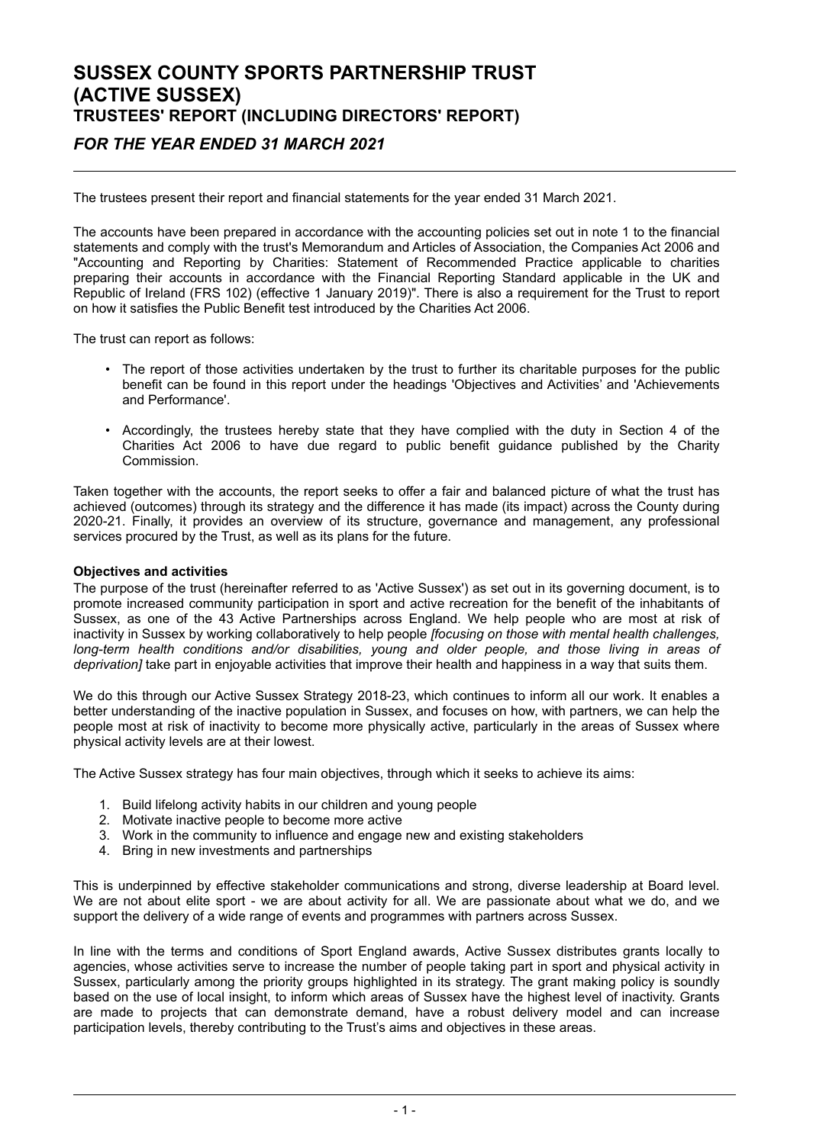# *FOR THE YEAR ENDED 31 MARCH 2021*

The trustees present their report and financial statements for the year ended 31 March 2021.

The accounts have been prepared in accordance with the accounting policies set out in note 1 to the financial statements and comply with the trust's Memorandum and Articles of Association, the Companies Act 2006 and "Accounting and Reporting by Charities: Statement of Recommended Practice applicable to charities preparing their accounts in accordance with the Financial Reporting Standard applicable in the UK and Republic of Ireland (FRS 102) (effective 1 January 2019)". There is also a requirement for the Trust to report on how it satisfies the Public Benefit test introduced by the Charities Act 2006.

The trust can report as follows:

- The report of those activities undertaken by the trust to further its charitable purposes for the public benefit can be found in this report under the headings 'Objectives and Activities' and 'Achievements and Performance'.
- Accordingly, the trustees hereby state that they have complied with the duty in Section 4 of the Charities Act 2006 to have due regard to public benefit guidance published by the Charity Commission.

Taken together with the accounts, the report seeks to offer a fair and balanced picture of what the trust has achieved (outcomes) through its strategy and the difference it has made (its impact) across the County during 2020-21. Finally, it provides an overview of its structure, governance and management, any professional services procured by the Trust, as well as its plans for the future.

#### **Objectives and activities**

The purpose of the trust (hereinafter referred to as 'Active Sussex') as set out in its governing document, is to promote increased community participation in sport and active recreation for the benefit of the inhabitants of Sussex, as one of the 43 Active Partnerships across England. We help people who are most at risk of inactivity in Sussex by working collaboratively to help people *[focusing on those with mental health challenges, long-term health conditions and/or disabilities, young and older people, and those living in areas of deprivation]* take part in enjoyable activities that improve their health and happiness in a way that suits them.

We do this through our Active Sussex Strategy 2018-23, which continues to inform all our work. It enables a better understanding of the inactive population in Sussex, and focuses on how, with partners, we can help the people most at risk of inactivity to become more physically active, particularly in the areas of Sussex where physical activity levels are at their lowest.

The Active Sussex strategy has four main objectives, through which it seeks to achieve its aims:

- 1. Build lifelong activity habits in our children and young people
- 2. Motivate inactive people to become more active
- 3. Work in the community to influence and engage new and existing stakeholders
- 4. Bring in new investments and partnerships

This is underpinned by effective stakeholder communications and strong, diverse leadership at Board level. We are not about elite sport - we are about activity for all. We are passionate about what we do, and we support the delivery of a wide range of events and programmes with partners across Sussex.

In line with the terms and conditions of Sport England awards, Active Sussex distributes grants locally to agencies, whose activities serve to increase the number of people taking part in sport and physical activity in Sussex, particularly among the priority groups highlighted in its strategy. The grant making policy is soundly based on the use of local insight, to inform which areas of Sussex have the highest level of inactivity. Grants are made to projects that can demonstrate demand, have a robust delivery model and can increase participation levels, thereby contributing to the Trust's aims and objectives in these areas.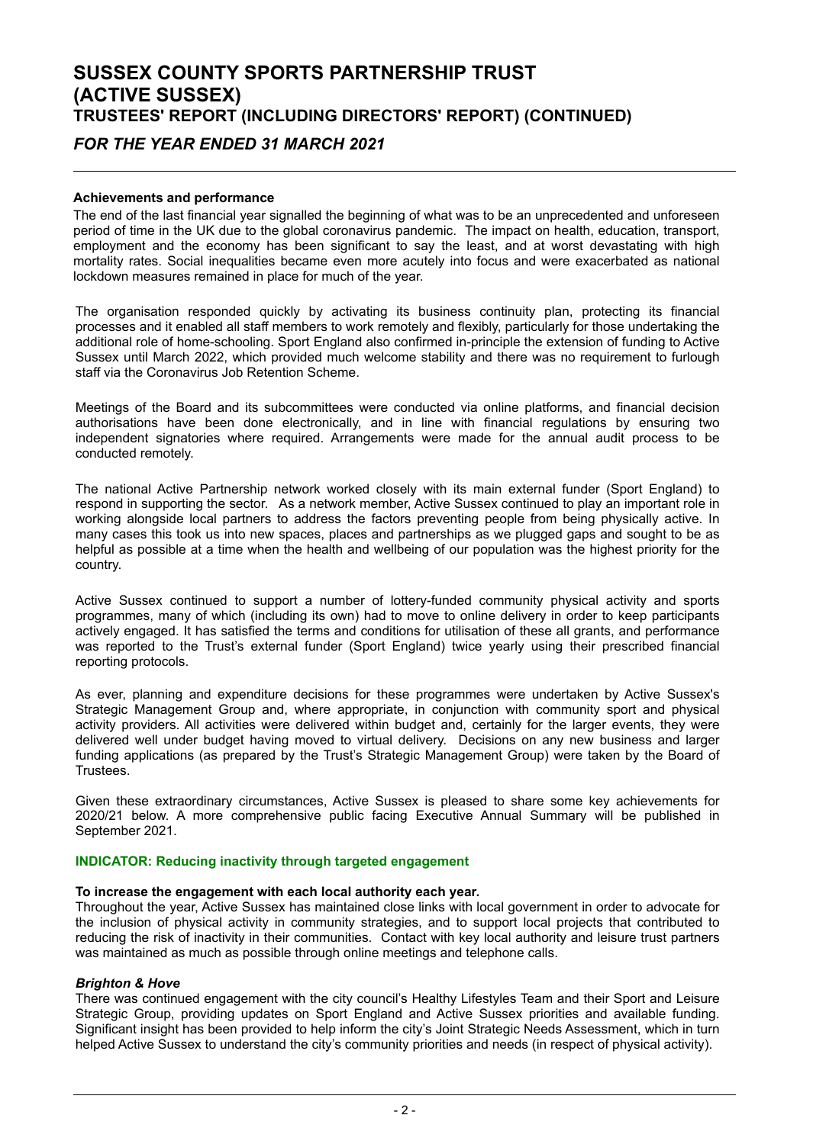# *FOR THE YEAR ENDED 31 MARCH 2021*

### **Achievements and performance**

The end of the last financial year signalled the beginning of what was to be an unprecedented and unforeseen period of time in the UK due to the global coronavirus pandemic. The impact on health, education, transport, employment and the economy has been significant to say the least, and at worst devastating with high mortality rates. Social inequalities became even more acutely into focus and were exacerbated as national lockdown measures remained in place for much of the year.

The organisation responded quickly by activating its business continuity plan, protecting its financial processes and it enabled all staff members to work remotely and flexibly, particularly for those undertaking the additional role of home-schooling. Sport England also confirmed in-principle the extension of funding to Active Sussex until March 2022, which provided much welcome stability and there was no requirement to furlough staff via the Coronavirus Job Retention Scheme.

Meetings of the Board and its subcommittees were conducted via online platforms, and financial decision authorisations have been done electronically, and in line with financial regulations by ensuring two independent signatories where required. Arrangements were made for the annual audit process to be conducted remotely.

The national Active Partnership network worked closely with its main external funder (Sport England) to respond in supporting the sector. As a network member, Active Sussex continued to play an important role in working alongside local partners to address the factors preventing people from being physically active. In many cases this took us into new spaces, places and partnerships as we plugged gaps and sought to be as helpful as possible at a time when the health and wellbeing of our population was the highest priority for the country.

Active Sussex continued to support a number of lottery-funded community physical activity and sports programmes, many of which (including its own) had to move to online delivery in order to keep participants actively engaged. It has satisfied the terms and conditions for utilisation of these all grants, and performance was reported to the Trust's external funder (Sport England) twice yearly using their prescribed financial reporting protocols.

As ever, planning and expenditure decisions for these programmes were undertaken by Active Sussex's Strategic Management Group and, where appropriate, in conjunction with community sport and physical activity providers. All activities were delivered within budget and, certainly for the larger events, they were delivered well under budget having moved to virtual delivery. Decisions on any new business and larger funding applications (as prepared by the Trust's Strategic Management Group) were taken by the Board of Trustees.

Given these extraordinary circumstances, Active Sussex is pleased to share some key achievements for 2020/21 below. A more comprehensive public facing Executive Annual Summary will be published in September 2021.

# **INDICATOR: Reducing inactivity through targeted engagement**

#### **To increase the engagement with each local authority each year.**

Throughout the year, Active Sussex has maintained close links with local government in order to advocate for the inclusion of physical activity in community strategies, and to support local projects that contributed to reducing the risk of inactivity in their communities. Contact with key local authority and leisure trust partners was maintained as much as possible through online meetings and telephone calls.

#### *Brighton & Hove*

There was continued engagement with the city council's Healthy Lifestyles Team and their Sport and Leisure Strategic Group, providing updates on Sport England and Active Sussex priorities and available funding. Significant insight has been provided to help inform the city's Joint Strategic Needs Assessment, which in turn helped Active Sussex to understand the city's community priorities and needs (in respect of physical activity).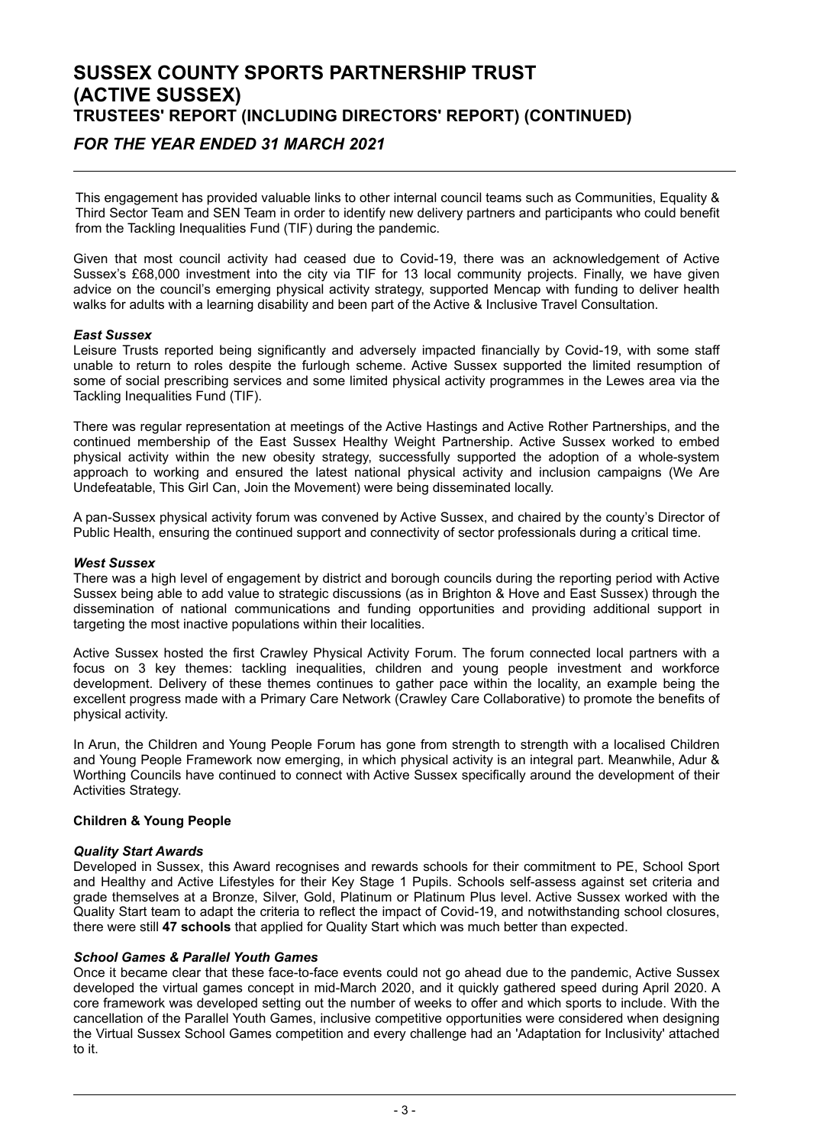# *FOR THE YEAR ENDED 31 MARCH 2021*

This engagement has provided valuable links to other internal council teams such as Communities, Equality & Third Sector Team and SEN Team in order to identify new delivery partners and participants who could benefit from the Tackling Inequalities Fund (TIF) during the pandemic.

Given that most council activity had ceased due to Covid-19, there was an acknowledgement of Active Sussex's £68,000 investment into the city via TIF for 13 local community projects. Finally, we have given advice on the council's emerging physical activity strategy, supported Mencap with funding to deliver health walks for adults with a learning disability and been part of the Active & Inclusive Travel Consultation.

### *East Sussex*

Leisure Trusts reported being significantly and adversely impacted financially by Covid-19, with some staff unable to return to roles despite the furlough scheme. Active Sussex supported the limited resumption of some of social prescribing services and some limited physical activity programmes in the Lewes area via the Tackling Inequalities Fund (TIF).

There was regular representation at meetings of the Active Hastings and Active Rother Partnerships, and the continued membership of the East Sussex Healthy Weight Partnership. Active Sussex worked to embed physical activity within the new obesity strategy, successfully supported the adoption of a whole-system approach to working and ensured the latest national physical activity and inclusion campaigns (We Are Undefeatable, This Girl Can, Join the Movement) were being disseminated locally.

A pan-Sussex physical activity forum was convened by Active Sussex, and chaired by the county's Director of Public Health, ensuring the continued support and connectivity of sector professionals during a critical time.

### *West Sussex*

There was a high level of engagement by district and borough councils during the reporting period with Active Sussex being able to add value to strategic discussions (as in Brighton & Hove and East Sussex) through the dissemination of national communications and funding opportunities and providing additional support in targeting the most inactive populations within their localities.

Active Sussex hosted the first Crawley Physical Activity Forum. The forum connected local partners with a focus on 3 key themes: tackling inequalities, children and young people investment and workforce development. Delivery of these themes continues to gather pace within the locality, an example being the excellent progress made with a Primary Care Network (Crawley Care Collaborative) to promote the benefits of physical activity.

In Arun, the Children and Young People Forum has gone from strength to strength with a localised Children and Young People Framework now emerging, in which physical activity is an integral part. Meanwhile, Adur & Worthing Councils have continued to connect with Active Sussex specifically around the development of their Activities Strategy.

#### **Children & Young People**

#### *Quality Start Awards*

Developed in Sussex, this Award recognises and rewards schools for their commitment to PE, School Sport and Healthy and Active Lifestyles for their Key Stage 1 Pupils. Schools self-assess against set criteria and grade themselves at a Bronze, Silver, Gold, Platinum or Platinum Plus level. Active Sussex worked with the Quality Start team to adapt the criteria to reflect the impact of Covid-19, and notwithstanding school closures, there were still **47 schools** that applied for Quality Start which was much better than expected.

# *School Games & Parallel Youth Games*

Once it became clear that these face-to-face events could not go ahead due to the pandemic, Active Sussex developed the virtual games concept in mid-March 2020, and it quickly gathered speed during April 2020. A core framework was developed setting out the number of weeks to offer and which sports to include. With the cancellation of the Parallel Youth Games, inclusive competitive opportunities were considered when designing the Virtual Sussex School Games competition and every challenge had an 'Adaptation for Inclusivity' attached to it.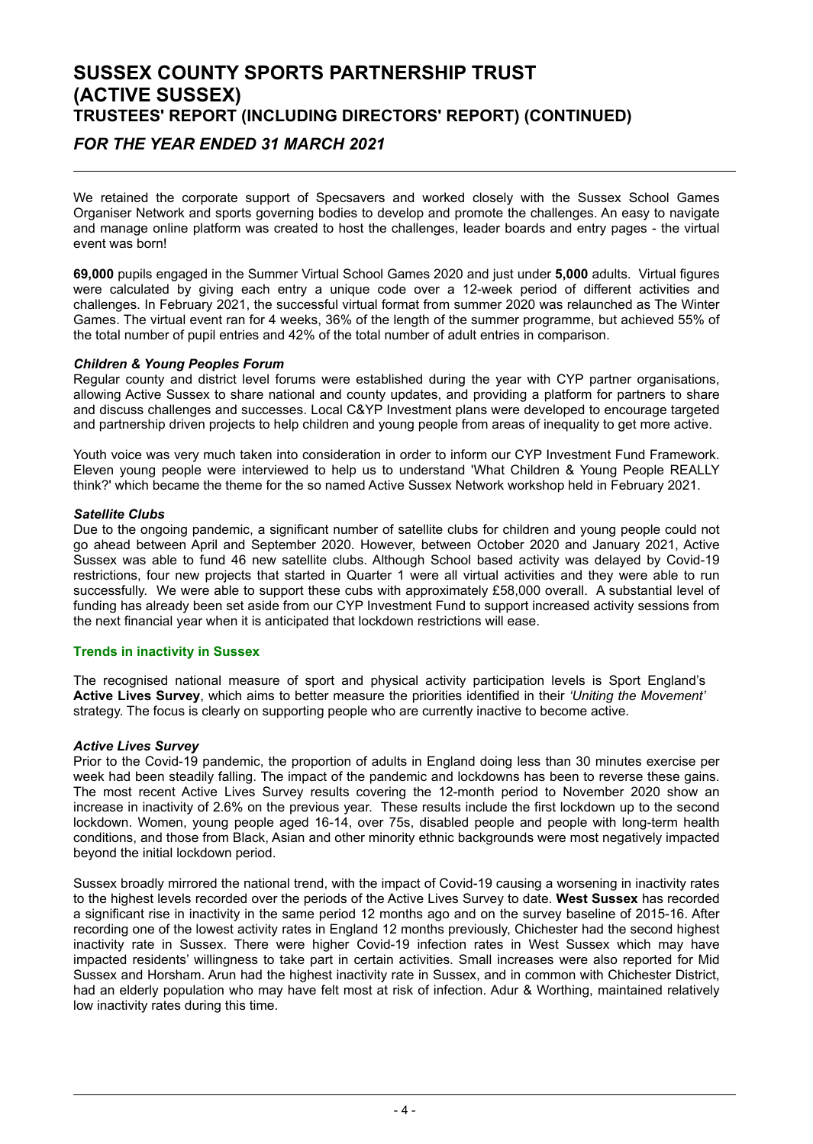# *FOR THE YEAR ENDED 31 MARCH 2021*

We retained the corporate support of Specsavers and worked closely with the Sussex School Games Organiser Network and sports governing bodies to develop and promote the challenges. An easy to navigate and manage online platform was created to host the challenges, leader boards and entry pages - the virtual event was born!

**69,000** pupils engaged in the Summer Virtual School Games 2020 and just under **5,000** adults. Virtual figures were calculated by giving each entry a unique code over a 12-week period of different activities and challenges. In February 2021, the successful virtual format from summer 2020 was relaunched as The Winter Games. The virtual event ran for 4 weeks, 36% of the length of the summer programme, but achieved 55% of the total number of pupil entries and 42% of the total number of adult entries in comparison.

### *Children & Young Peoples Forum*

Regular county and district level forums were established during the year with CYP partner organisations, allowing Active Sussex to share national and county updates, and providing a platform for partners to share and discuss challenges and successes. Local C&YP Investment plans were developed to encourage targeted and partnership driven projects to help children and young people from areas of inequality to get more active.

Youth voice was very much taken into consideration in order to inform our CYP Investment Fund Framework. Eleven young people were interviewed to help us to understand 'What Children & Young People REALLY think?' which became the theme for the so named Active Sussex Network workshop held in February 2021.

### *Satellite Clubs*

Due to the ongoing pandemic, a significant number of satellite clubs for children and young people could not go ahead between April and September 2020. However, between October 2020 and January 2021, Active Sussex was able to fund 46 new satellite clubs. Although School based activity was delayed by Covid-19 restrictions, four new projects that started in Quarter 1 were all virtual activities and they were able to run successfully. We were able to support these cubs with approximately £58,000 overall. A substantial level of funding has already been set aside from our CYP Investment Fund to support increased activity sessions from the next financial year when it is anticipated that lockdown restrictions will ease.

# **Trends in inactivity in Sussex**

The recognised national measure of sport and physical activity participation levels is Sport England's **Active Lives Survey**, which aims to better measure the priorities identified in their *'Uniting the Movement'* strategy. The focus is clearly on supporting people who are currently inactive to become active.

#### *Active Lives Survey*

Prior to the Covid-19 pandemic, the proportion of adults in England doing less than 30 minutes exercise per week had been steadily falling. The impact of the pandemic and lockdowns has been to reverse these gains. The most recent Active Lives Survey results covering the 12-month period to November 2020 show an increase in inactivity of 2.6% on the previous year. These results include the first lockdown up to the second lockdown. Women, young people aged 16-14, over 75s, disabled people and people with long-term health conditions, and those from Black, Asian and other minority ethnic backgrounds were most negatively impacted beyond the initial lockdown period.

Sussex broadly mirrored the national trend, with the impact of Covid-19 causing a worsening in inactivity rates to the highest levels recorded over the periods of the Active Lives Survey to date. **West Sussex** has recorded a significant rise in inactivity in the same period 12 months ago and on the survey baseline of 2015-16. After recording one of the lowest activity rates in England 12 months previously, Chichester had the second highest inactivity rate in Sussex. There were higher Covid-19 infection rates in West Sussex which may have impacted residents' willingness to take part in certain activities. Small increases were also reported for Mid Sussex and Horsham. Arun had the highest inactivity rate in Sussex, and in common with Chichester District, had an elderly population who may have felt most at risk of infection. Adur & Worthing, maintained relatively low inactivity rates during this time.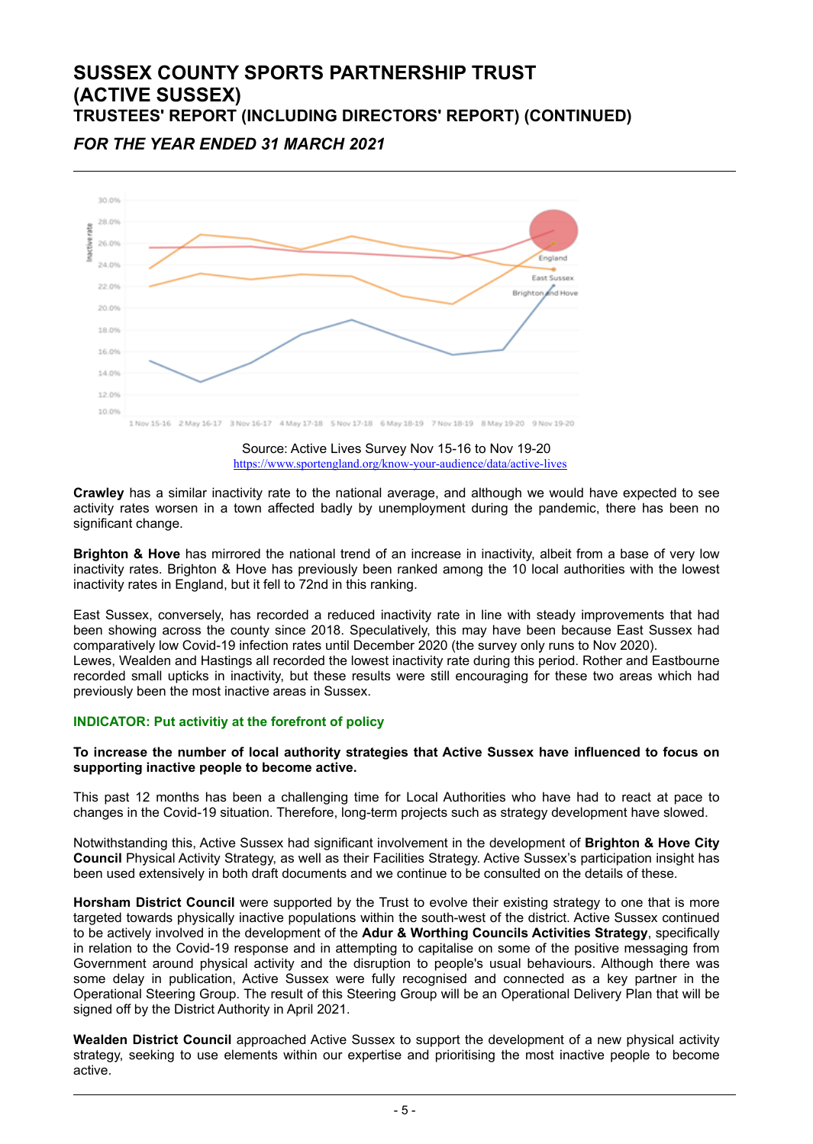*FOR THE YEAR ENDED 31 MARCH 2021*



Source: Active Lives Survey Nov 15-16 to Nov 19-20 https://www.sportengland.org/know-your-audience/data/active-lives

**Crawley** has a similar inactivity rate to the national average, and although we would have expected to see activity rates worsen in a town affected badly by unemployment during the pandemic, there has been no significant change.

**Brighton & Hove** has mirrored the national trend of an increase in inactivity, albeit from a base of very low inactivity rates. Brighton & Hove has previously been ranked among the 10 local authorities with the lowest inactivity rates in England, but it fell to 72nd in this ranking.

East Sussex, conversely, has recorded a reduced inactivity rate in line with steady improvements that had been showing across the county since 2018. Speculatively, this may have been because East Sussex had comparatively low Covid-19 infection rates until December 2020 (the survey only runs to Nov 2020). Lewes, Wealden and Hastings all recorded the lowest inactivity rate during this period. Rother and Eastbourne recorded small upticks in inactivity, but these results were still encouraging for these two areas which had previously been the most inactive areas in Sussex.

# **INDICATOR: Put activitiy at the forefront of policy**

### **To increase the number of local authority strategies that Active Sussex have influenced to focus on supporting inactive people to become active.**

This past 12 months has been a challenging time for Local Authorities who have had to react at pace to changes in the Covid-19 situation. Therefore, long-term projects such as strategy development have slowed.

Notwithstanding this, Active Sussex had significant involvement in the development of **Brighton & Hove City Council** Physical Activity Strategy, as well as their Facilities Strategy. Active Sussex's participation insight has been used extensively in both draft documents and we continue to be consulted on the details of these.

**Horsham District Council** were supported by the Trust to evolve their existing strategy to one that is more targeted towards physically inactive populations within the south-west of the district. Active Sussex continued to be actively involved in the development of the **Adur & Worthing Councils Activities Strategy**, specifically in relation to the Covid-19 response and in attempting to capitalise on some of the positive messaging from Government around physical activity and the disruption to people's usual behaviours. Although there was some delay in publication, Active Sussex were fully recognised and connected as a key partner in the Operational Steering Group. The result of this Steering Group will be an Operational Delivery Plan that will be signed off by the District Authority in April 2021.

**Wealden District Council** approached Active Sussex to support the development of a new physical activity strategy, seeking to use elements within our expertise and prioritising the most inactive people to become active.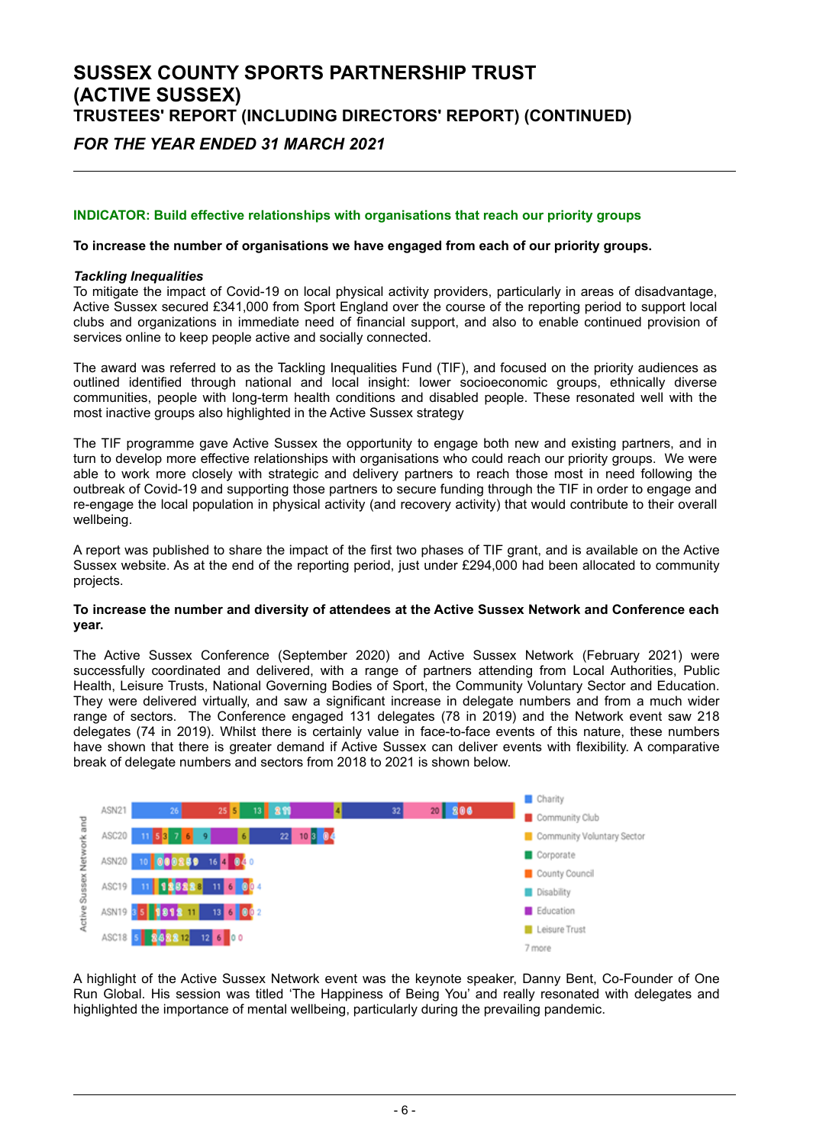# *FOR THE YEAR ENDED 31 MARCH 2021*

# **INDICATOR: Build effective relationships with organisations that reach our priority groups**

**To increase the number of organisations we have engaged from each of our priority groups.**

### *Tackling Inequalities*

To mitigate the impact of Covid-19 on local physical activity providers, particularly in areas of disadvantage, Active Sussex secured £341,000 from Sport England over the course of the reporting period to support local clubs and organizations in immediate need of financial support, and also to enable continued provision of services online to keep people active and socially connected.

The award was referred to as the Tackling Inequalities Fund (TIF), and focused on the priority audiences as outlined identified through national and local insight: lower socioeconomic groups, ethnically diverse communities, people with long-term health conditions and disabled people. These resonated well with the most inactive groups also highlighted in the Active Sussex strategy

The TIF programme gave Active Sussex the opportunity to engage both new and existing partners, and in turn to develop more effective relationships with organisations who could reach our priority groups. We were able to work more closely with strategic and delivery partners to reach those most in need following the outbreak of Covid-19 and supporting those partners to secure funding through the TIF in order to engage and re-engage the local population in physical activity (and recovery activity) that would contribute to their overall wellbeing.

A report was published to share the impact of the first two phases of TIF grant, and is available on the Active Sussex website. As at the end of the reporting period, just under £294,000 had been allocated to community projects.

#### **To increase the number and diversity of attendees at the Active Sussex Network and Conference each year.**

The Active Sussex Conference (September 2020) and Active Sussex Network (February 2021) were successfully coordinated and delivered, with a range of partners attending from Local Authorities, Public Health, Leisure Trusts, National Governing Bodies of Sport, the Community Voluntary Sector and Education. They were delivered virtually, and saw a significant increase in delegate numbers and from a much wider range of sectors. The Conference engaged 131 delegates (78 in 2019) and the Network event saw 218 delegates (74 in 2019). Whilst there is certainly value in face-to-face events of this nature, these numbers have shown that there is greater demand if Active Sussex can deliver events with flexibility. A comparative break of delegate numbers and sectors from 2018 to 2021 is shown below.



A highlight of the Active Sussex Network event was the keynote speaker, Danny Bent, Co-Founder of One Run Global. His session was titled 'The Happiness of Being You' and really resonated with delegates and highlighted the importance of mental wellbeing, particularly during the prevailing pandemic.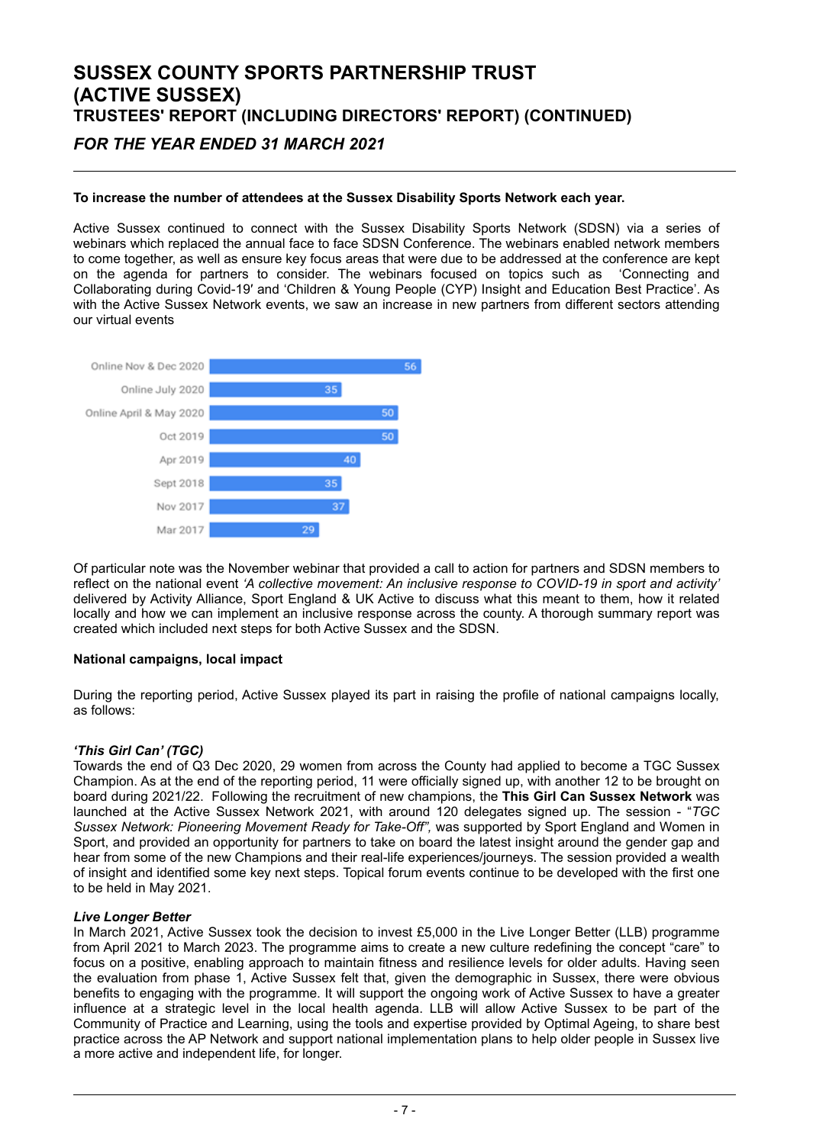# **SUSSEX COUNTY SPORTS PARTNERSHIP TRUST (ACTIVE SUSSEX) TRUSTEES' REPORT (INCLUDING DIRECTORS' REPORT) (CONTINUED)** *FOR THE YEAR ENDED 31 MARCH 2021*

# **To increase the number of attendees at the Sussex Disability Sports Network each year.**

Active Sussex continued to connect with the Sussex Disability Sports Network (SDSN) via a series of webinars which replaced the annual face to face SDSN Conference. The webinars enabled network members to come together, as well as ensure key focus areas that were due to be addressed at the conference are kept on the agenda for partners to consider. The webinars focused on topics such as 'Connecting and Collaborating during Covid-19′ and 'Children & Young People (CYP) Insight and Education Best Practice'. As with the Active Sussex Network events, we saw an increase in new partners from different sectors attending our virtual events



Of particular note was the November webinar that provided a call to action for partners and SDSN members to reflect on the national event *'A collective movement: An inclusive response to COVID-19 in sport and activity'* delivered by Activity Alliance, Sport England & UK Active to discuss what this meant to them, how it related locally and how we can implement an inclusive response across the county. A thorough summary report was created which included next steps for both Active Sussex and the SDSN.

# **National campaigns, local impact**

During the reporting period, Active Sussex played its part in raising the profile of national campaigns locally, as follows:

# *'This Girl Can' (TGC)*

Towards the end of Q3 Dec 2020, 29 women from across the County had applied to become a TGC Sussex Champion. As at the end of the reporting period, 11 were officially signed up, with another 12 to be brought on board during 2021/22. Following the recruitment of new champions, the **This Girl Can Sussex Network** was launched at the Active Sussex Network 2021, with around 120 delegates signed up. The session - "*TGC Sussex Network: Pioneering Movement Ready for Take-Off",* was supported by Sport England and Women in Sport, and provided an opportunity for partners to take on board the latest insight around the gender gap and hear from some of the new Champions and their real-life experiences/journeys. The session provided a wealth of insight and identified some key next steps. Topical forum events continue to be developed with the first one to be held in May 2021.

#### *Live Longer Better*

In March 2021, Active Sussex took the decision to invest £5,000 in the Live Longer Better (LLB) programme from April 2021 to March 2023. The programme aims to create a new culture redefining the concept "care" to focus on a positive, enabling approach to maintain fitness and resilience levels for older adults. Having seen the evaluation from phase 1, Active Sussex felt that, given the demographic in Sussex, there were obvious benefits to engaging with the programme. It will support the ongoing work of Active Sussex to have a greater influence at a strategic level in the local health agenda. LLB will allow Active Sussex to be part of the Community of Practice and Learning, using the tools and expertise provided by Optimal Ageing, to share best practice across the AP Network and support national implementation plans to help older people in Sussex live a more active and independent life, for longer.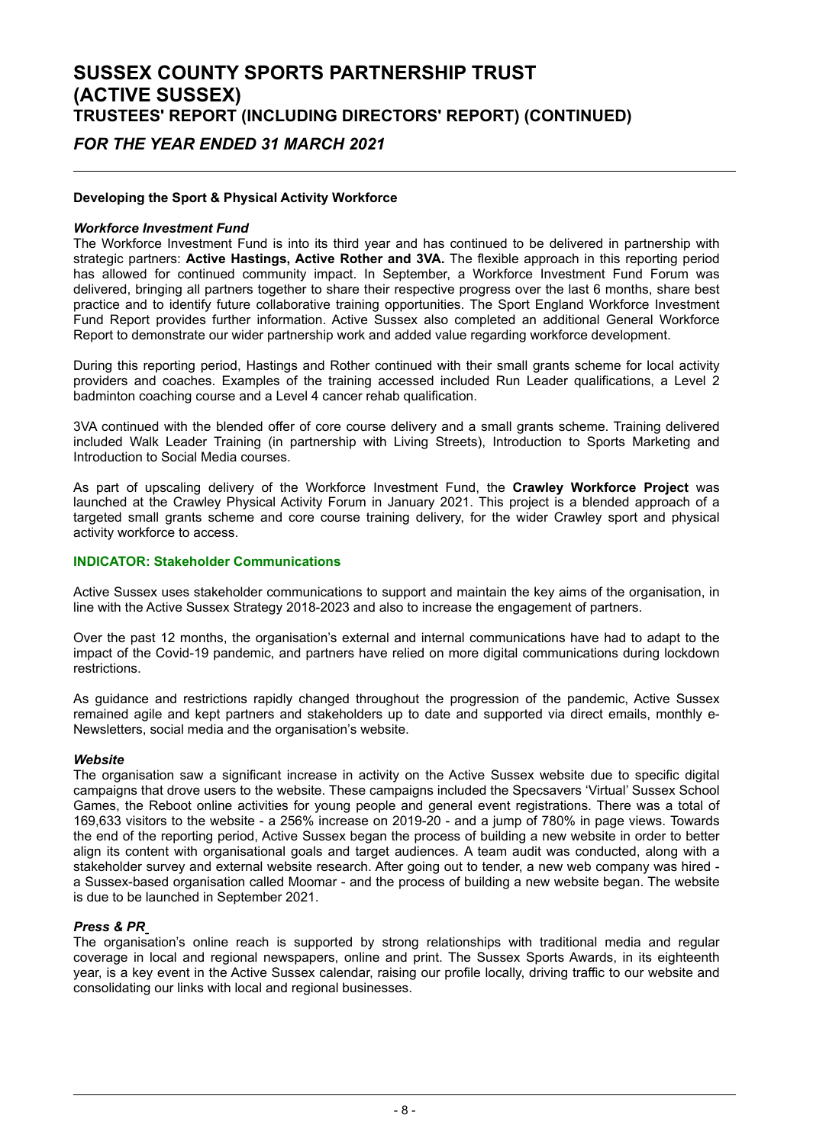# *FOR THE YEAR ENDED 31 MARCH 2021*

### **Developing the Sport & Physical Activity Workforce**

#### *Workforce Investment Fund*

The Workforce Investment Fund is into its third year and has continued to be delivered in partnership with strategic partners: **Active Hastings, Active Rother and 3VA.** The flexible approach in this reporting period has allowed for continued community impact. In September, a Workforce Investment Fund Forum was delivered, bringing all partners together to share their respective progress over the last 6 months, share best practice and to identify future collaborative training opportunities. The Sport England Workforce Investment Fund Report provides further information. Active Sussex also completed an additional General Workforce Report to demonstrate our wider partnership work and added value regarding workforce development.

During this reporting period, Hastings and Rother continued with their small grants scheme for local activity providers and coaches. Examples of the training accessed included Run Leader qualifications, a Level 2 badminton coaching course and a Level 4 cancer rehab qualification.

3VA continued with the blended offer of core course delivery and a small grants scheme. Training delivered included Walk Leader Training (in partnership with Living Streets), Introduction to Sports Marketing and Introduction to Social Media courses.

As part of upscaling delivery of the Workforce Investment Fund, the **Crawley Workforce Project** was launched at the Crawley Physical Activity Forum in January 2021. This project is a blended approach of a targeted small grants scheme and core course training delivery, for the wider Crawley sport and physical activity workforce to access.

# **INDICATOR: Stakeholder Communications**

Active Sussex uses stakeholder communications to support and maintain the key aims of the organisation, in line with the Active Sussex Strategy 2018-2023 and also to increase the engagement of partners.

Over the past 12 months, the organisation's external and internal communications have had to adapt to the impact of the Covid-19 pandemic, and partners have relied on more digital communications during lockdown restrictions.

As guidance and restrictions rapidly changed throughout the progression of the pandemic, Active Sussex remained agile and kept partners and stakeholders up to date and supported via direct emails, monthly e-Newsletters, social media and the organisation's website.

#### *Website*

The organisation saw a significant increase in activity on the Active Sussex website due to specific digital campaigns that drove users to the website. These campaigns included the Specsavers 'Virtual' Sussex School Games, the Reboot online activities for young people and general event registrations. There was a total of 169,633 visitors to the website - a 256% increase on 2019-20 - and a jump of 780% in page views. Towards the end of the reporting period, Active Sussex began the process of building a new website in order to better align its content with organisational goals and target audiences. A team audit was conducted, along with a stakeholder survey and external website research. After going out to tender, a new web company was hired a Sussex-based organisation called Moomar - and the process of building a new website began. The website is due to be launched in September 2021.

#### *Press & PR*

The organisation's online reach is supported by strong relationships with traditional media and regular coverage in local and regional newspapers, online and print. The Sussex Sports Awards, in its eighteenth year, is a key event in the Active Sussex calendar, raising our profile locally, driving traffic to our website and consolidating our links with local and regional businesses.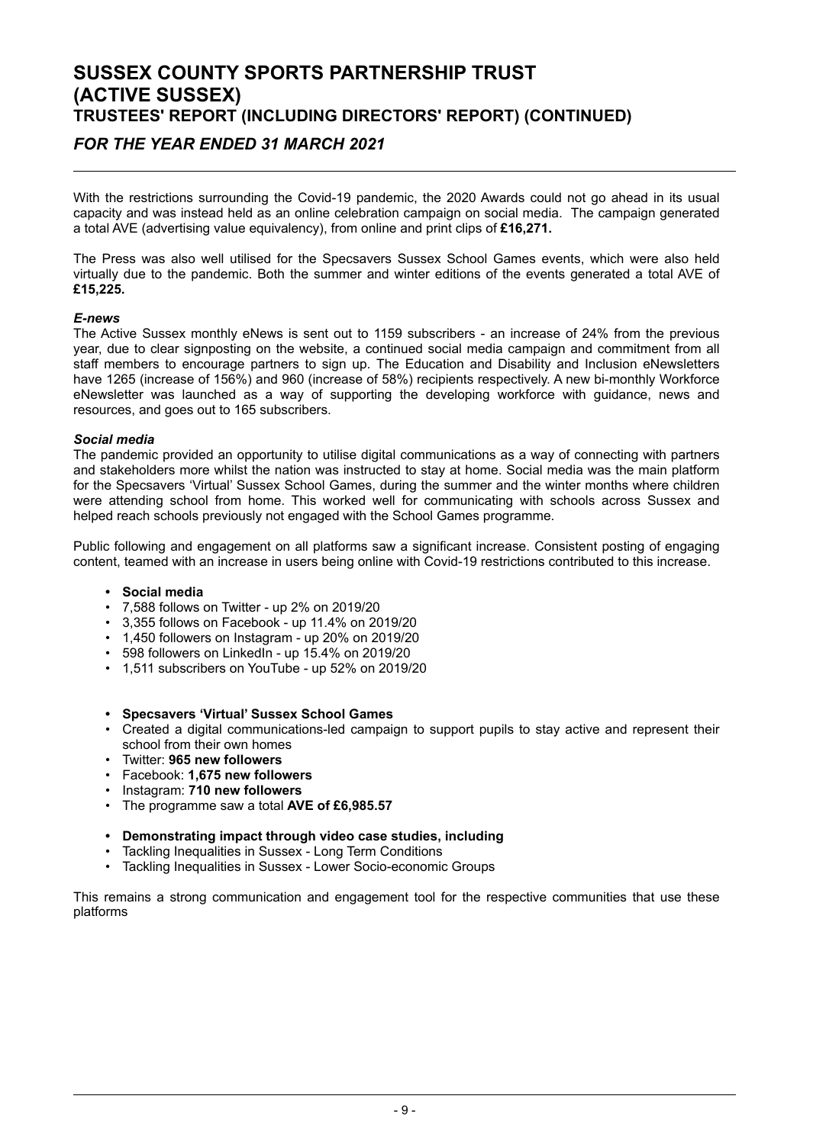# *FOR THE YEAR ENDED 31 MARCH 2021*

With the restrictions surrounding the Covid-19 pandemic, the 2020 Awards could not go ahead in its usual capacity and was instead held as an online celebration campaign on social media. The campaign generated a total AVE (advertising value equivalency), from online and print clips of **£16,271.**

The Press was also well utilised for the Specsavers Sussex School Games events, which were also held virtually due to the pandemic. Both the summer and winter editions of the events generated a total AVE of **£15,225.**

### *E-news*

The Active Sussex monthly eNews is sent out to 1159 subscribers - an increase of 24% from the previous year, due to clear signposting on the website, a continued social media campaign and commitment from all staff members to encourage partners to sign up. The Education and Disability and Inclusion eNewsletters have 1265 (increase of 156%) and 960 (increase of 58%) recipients respectively. A new bi-monthly Workforce eNewsletter was launched as a way of supporting the developing workforce with guidance, news and resources, and goes out to 165 subscribers.

### *Social media*

The pandemic provided an opportunity to utilise digital communications as a way of connecting with partners and stakeholders more whilst the nation was instructed to stay at home. Social media was the main platform for the Specsavers 'Virtual' Sussex School Games, during the summer and the winter months where children were attending school from home. This worked well for communicating with schools across Sussex and helped reach schools previously not engaged with the School Games programme.

Public following and engagement on all platforms saw a significant increase. Consistent posting of engaging content, teamed with an increase in users being online with Covid-19 restrictions contributed to this increase.

- **• Social media**
- 7,588 follows on Twitter up 2% on 2019/20
- 3,355 follows on Facebook up 11.4% on 2019/20
- 1,450 followers on Instagram up 20% on 2019/20
- 598 followers on LinkedIn up 15.4% on 2019/20
- 1,511 subscribers on YouTube up 52% on 2019/20

**• Specsavers 'Virtual' Sussex School Games**

- Created a digital communications-led campaign to support pupils to stay active and represent their school from their own homes
- Twitter: **965 new followers**
- Facebook: **1,675 new followers**
- Instagram: **710 new followers**
- The programme saw a total **AVE of £6,985.57**
- **• Demonstrating impact through video case studies, including**
- Tackling Inequalities in Sussex Long Term Conditions
- Tackling Inequalities in Sussex Lower Socio-economic Groups

This remains a strong communication and engagement tool for the respective communities that use these platforms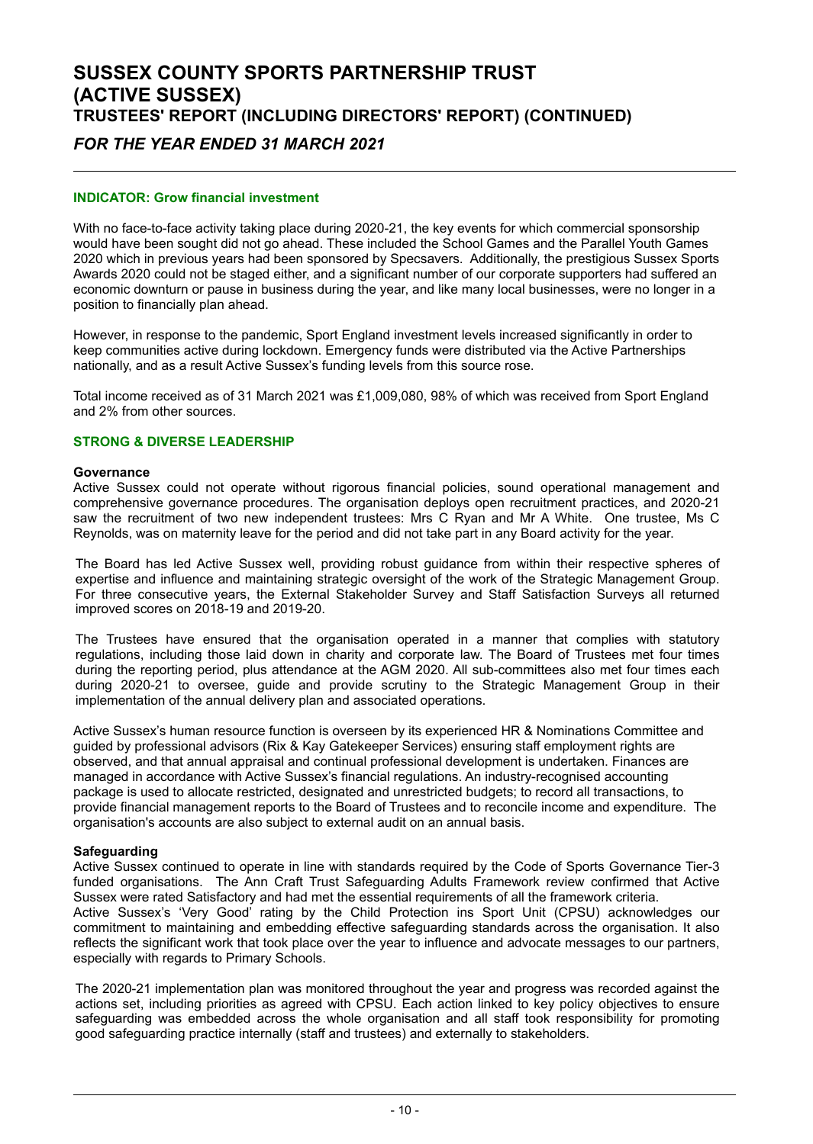# *FOR THE YEAR ENDED 31 MARCH 2021*

# **INDICATOR: Grow financial investment**

With no face-to-face activity taking place during 2020-21, the key events for which commercial sponsorship would have been sought did not go ahead. These included the School Games and the Parallel Youth Games 2020 which in previous years had been sponsored by Specsavers. Additionally, the prestigious Sussex Sports Awards 2020 could not be staged either, and a significant number of our corporate supporters had suffered an economic downturn or pause in business during the year, and like many local businesses, were no longer in a position to financially plan ahead.

However, in response to the pandemic, Sport England investment levels increased significantly in order to keep communities active during lockdown. Emergency funds were distributed via the Active Partnerships nationally, and as a result Active Sussex's funding levels from this source rose.

Total income received as of 31 March 2021 was £1,009,080, 98% of which was received from Sport England and 2% from other sources.

# **STRONG & DIVERSE LEADERSHIP**

#### **Governance**

Active Sussex could not operate without rigorous financial policies, sound operational management and comprehensive governance procedures. The organisation deploys open recruitment practices, and 2020-21 saw the recruitment of two new independent trustees: Mrs C Ryan and Mr A White. One trustee, Ms C Reynolds, was on maternity leave for the period and did not take part in any Board activity for the year.

The Board has led Active Sussex well, providing robust guidance from within their respective spheres of expertise and influence and maintaining strategic oversight of the work of the Strategic Management Group. For three consecutive years, the External Stakeholder Survey and Staff Satisfaction Surveys all returned improved scores on 2018-19 and 2019-20.

The Trustees have ensured that the organisation operated in a manner that complies with statutory regulations, including those laid down in charity and corporate law. The Board of Trustees met four times during the reporting period, plus attendance at the AGM 2020. All sub-committees also met four times each during 2020-21 to oversee, guide and provide scrutiny to the Strategic Management Group in their implementation of the annual delivery plan and associated operations.

Active Sussex's human resource function is overseen by its experienced HR & Nominations Committee and guided by professional advisors (Rix & Kay Gatekeeper Services) ensuring staff employment rights are observed, and that annual appraisal and continual professional development is undertaken. Finances are managed in accordance with Active Sussex's financial regulations. An industry-recognised accounting package is used to allocate restricted, designated and unrestricted budgets; to record all transactions, to provide financial management reports to the Board of Trustees and to reconcile income and expenditure. The organisation's accounts are also subject to external audit on an annual basis.

# **Safeguarding**

Active Sussex continued to operate in line with standards required by the Code of Sports Governance Tier-3 funded organisations. The Ann Craft Trust Safeguarding Adults Framework review confirmed that Active Sussex were rated Satisfactory and had met the essential requirements of all the framework criteria. Active Sussex's 'Very Good' rating by the Child Protection ins Sport Unit (CPSU) acknowledges our commitment to maintaining and embedding effective safeguarding standards across the organisation. It also reflects the significant work that took place over the year to influence and advocate messages to our partners, especially with regards to Primary Schools.

The 2020-21 implementation plan was monitored throughout the year and progress was recorded against the actions set, including priorities as agreed with CPSU. Each action linked to key policy objectives to ensure safeguarding was embedded across the whole organisation and all staff took responsibility for promoting good safeguarding practice internally (staff and trustees) and externally to stakeholders.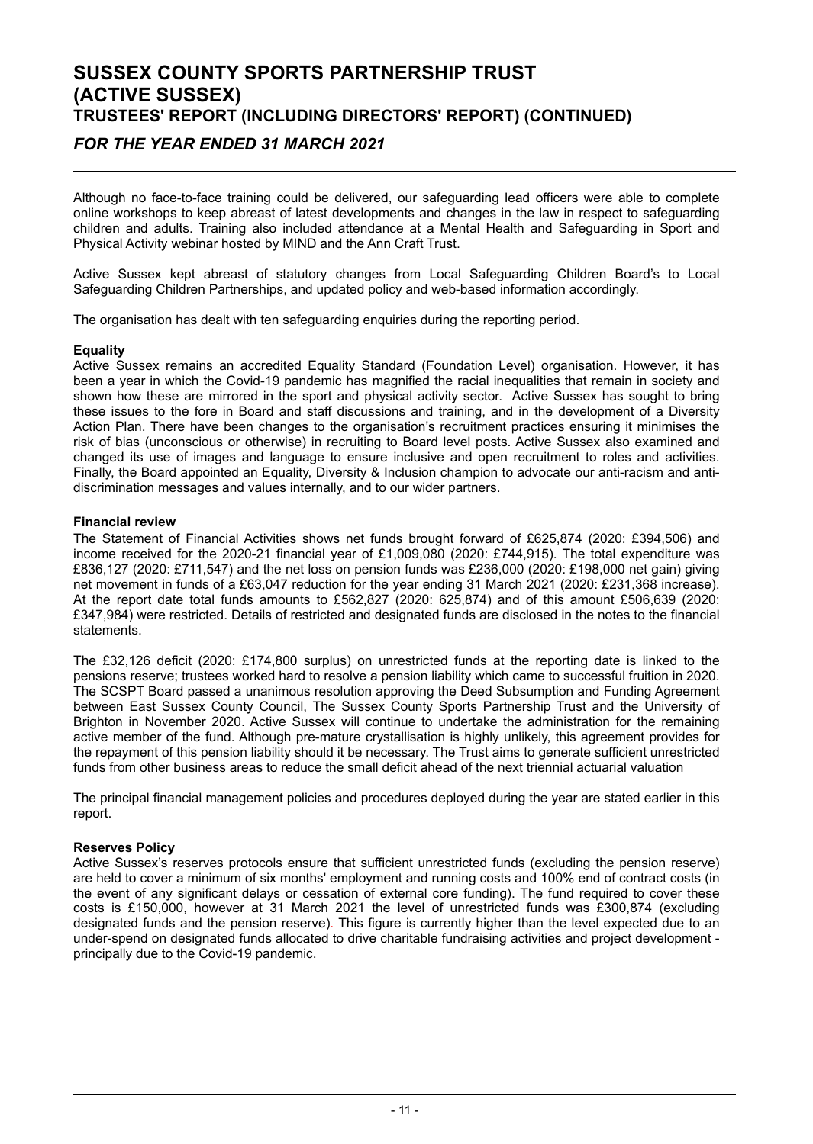# *FOR THE YEAR ENDED 31 MARCH 2021*

Although no face-to-face training could be delivered, our safeguarding lead officers were able to complete online workshops to keep abreast of latest developments and changes in the law in respect to safeguarding children and adults. Training also included attendance at a Mental Health and Safeguarding in Sport and Physical Activity webinar hosted by MIND and the Ann Craft Trust.

Active Sussex kept abreast of statutory changes from Local Safeguarding Children Board's to Local Safeguarding Children Partnerships, and updated policy and web-based information accordingly.

The organisation has dealt with ten safeguarding enquiries during the reporting period.

# **Equality**

Active Sussex remains an accredited Equality Standard (Foundation Level) organisation. However, it has been a year in which the Covid-19 pandemic has magnified the racial inequalities that remain in society and shown how these are mirrored in the sport and physical activity sector. Active Sussex has sought to bring these issues to the fore in Board and staff discussions and training, and in the development of a Diversity Action Plan. There have been changes to the organisation's recruitment practices ensuring it minimises the risk of bias (unconscious or otherwise) in recruiting to Board level posts. Active Sussex also examined and changed its use of images and language to ensure inclusive and open recruitment to roles and activities. Finally, the Board appointed an Equality, Diversity & Inclusion champion to advocate our anti-racism and antidiscrimination messages and values internally, and to our wider partners.

### **Financial review**

The Statement of Financial Activities shows net funds brought forward of £625,874 (2020: £394,506) and income received for the 2020-21 financial year of £1,009,080 (2020: £744,915). The total expenditure was £836,127 (2020: £711,547) and the net loss on pension funds was £236,000 (2020: £198,000 net gain) giving net movement in funds of a £63,047 reduction for the year ending 31 March 2021 (2020: £231,368 increase). At the report date total funds amounts to £562,827 (2020: 625,874) and of this amount £506,639 (2020: £347,984) were restricted. Details of restricted and designated funds are disclosed in the notes to the financial statements.

The £32,126 deficit (2020: £174,800 surplus) on unrestricted funds at the reporting date is linked to the pensions reserve; trustees worked hard to resolve a pension liability which came to successful fruition in 2020. The SCSPT Board passed a unanimous resolution approving the Deed Subsumption and Funding Agreement between East Sussex County Council, The Sussex County Sports Partnership Trust and the University of Brighton in November 2020. Active Sussex will continue to undertake the administration for the remaining active member of the fund. Although pre-mature crystallisation is highly unlikely, this agreement provides for the repayment of this pension liability should it be necessary. The Trust aims to generate sufficient unrestricted funds from other business areas to reduce the small deficit ahead of the next triennial actuarial valuation

The principal financial management policies and procedures deployed during the year are stated earlier in this report.

#### **Reserves Policy**

Active Sussex's reserves protocols ensure that sufficient unrestricted funds (excluding the pension reserve) are held to cover a minimum of six months' employment and running costs and 100% end of contract costs (in the event of any significant delays or cessation of external core funding). The fund required to cover these costs is £150,000, however at 31 March 2021 the level of unrestricted funds was £300,874 (excluding designated funds and the pension reserve)*.* This figure is currently higher than the level expected due to an under-spend on designated funds allocated to drive charitable fundraising activities and project development principally due to the Covid-19 pandemic.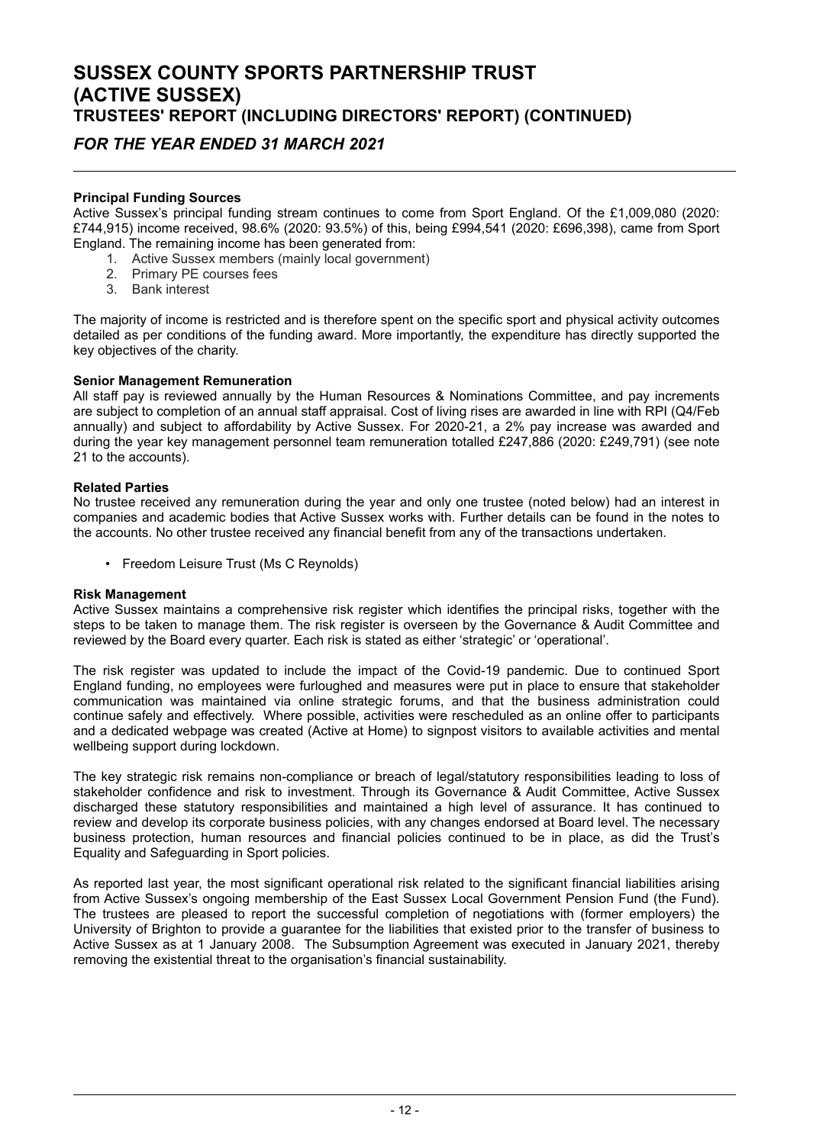# *FOR THE YEAR ENDED 31 MARCH 2021*

# **Principal Funding Sources**

Active Sussex's principal funding stream continues to come from Sport England. Of the £1,009,080 (2020: £744,915) income received, 98.6% (2020: 93.5%) of this, being £994,541 (2020: £696,398), came from Sport England. The remaining income has been generated from:

- 1. Active Sussex members (mainly local government)
- 2. Primary PE courses fees
- 3. Bank interest

The majority of income is restricted and is therefore spent on the specific sport and physical activity outcomes detailed as per conditions of the funding award. More importantly, the expenditure has directly supported the key objectives of the charity.

### **Senior Management Remuneration**

All staff pay is reviewed annually by the Human Resources & Nominations Committee, and pay increments are subject to completion of an annual staff appraisal. Cost of living rises are awarded in line with RPI (Q4/Feb annually) and subject to affordability by Active Sussex. For 2020-21, a 2% pay increase was awarded and during the year key management personnel team remuneration totalled £247,886 (2020: £249,791) (see note 21 to the accounts).

# **Related Parties**

No trustee received any remuneration during the year and only one trustee (noted below) had an interest in companies and academic bodies that Active Sussex works with. Further details can be found in the notes to the accounts. No other trustee received any financial benefit from any of the transactions undertaken.

• Freedom Leisure Trust (Ms C Reynolds)

#### **Risk Management**

Active Sussex maintains a comprehensive risk register which identifies the principal risks, together with the steps to be taken to manage them. The risk register is overseen by the Governance & Audit Committee and reviewed by the Board every quarter. Each risk is stated as either 'strategic' or 'operational'.

The risk register was updated to include the impact of the Covid-19 pandemic. Due to continued Sport England funding, no employees were furloughed and measures were put in place to ensure that stakeholder communication was maintained via online strategic forums, and that the business administration could continue safely and effectively. Where possible, activities were rescheduled as an online offer to participants and a dedicated webpage was created (Active at Home) to signpost visitors to available activities and mental wellbeing support during lockdown.

The key strategic risk remains non-compliance or breach of legal/statutory responsibilities leading to loss of stakeholder confidence and risk to investment. Through its Governance & Audit Committee, Active Sussex discharged these statutory responsibilities and maintained a high level of assurance. It has continued to review and develop its corporate business policies, with any changes endorsed at Board level. The necessary business protection, human resources and financial policies continued to be in place, as did the Trust's Equality and Safeguarding in Sport policies.

As reported last year, the most significant operational risk related to the significant financial liabilities arising from Active Sussex's ongoing membership of the East Sussex Local Government Pension Fund (the Fund). The trustees are pleased to report the successful completion of negotiations with (former employers) the University of Brighton to provide a guarantee for the liabilities that existed prior to the transfer of business to Active Sussex as at 1 January 2008. The Subsumption Agreement was executed in January 2021, thereby removing the existential threat to the organisation's financial sustainability.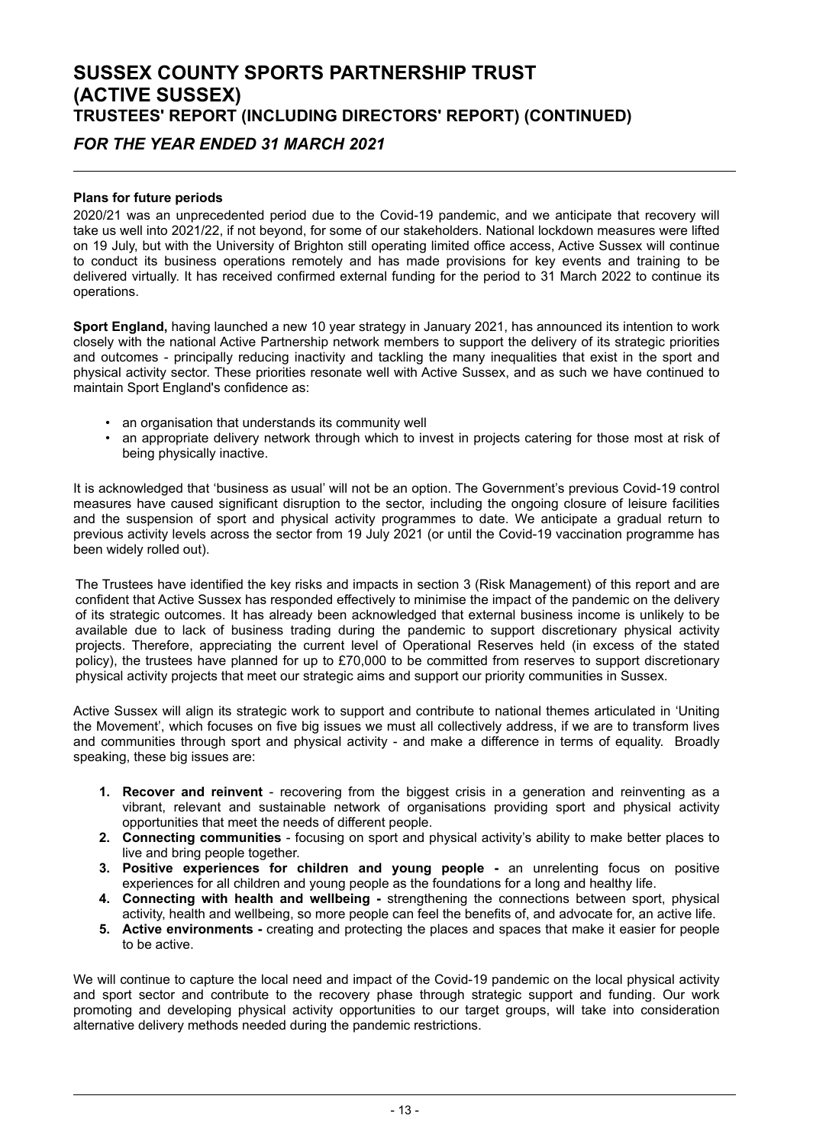# *FOR THE YEAR ENDED 31 MARCH 2021*

### **Plans for future periods**

2020/21 was an unprecedented period due to the Covid-19 pandemic, and we anticipate that recovery will take us well into 2021/22, if not beyond, for some of our stakeholders. National lockdown measures were lifted on 19 July, but with the University of Brighton still operating limited office access, Active Sussex will continue to conduct its business operations remotely and has made provisions for key events and training to be delivered virtually. It has received confirmed external funding for the period to 31 March 2022 to continue its operations.

**Sport England,** having launched a new 10 year strategy in January 2021, has announced its intention to work closely with the national Active Partnership network members to support the delivery of its strategic priorities and outcomes - principally reducing inactivity and tackling the many inequalities that exist in the sport and physical activity sector. These priorities resonate well with Active Sussex, and as such we have continued to maintain Sport England's confidence as:

- an organisation that understands its community well
- an appropriate delivery network through which to invest in projects catering for those most at risk of being physically inactive.

It is acknowledged that 'business as usual' will not be an option. The Government's previous Covid-19 control measures have caused significant disruption to the sector, including the ongoing closure of leisure facilities and the suspension of sport and physical activity programmes to date. We anticipate a gradual return to previous activity levels across the sector from 19 July 2021 (or until the Covid-19 vaccination programme has been widely rolled out).

The Trustees have identified the key risks and impacts in section 3 (Risk Management) of this report and are confident that Active Sussex has responded effectively to minimise the impact of the pandemic on the delivery of its strategic outcomes. It has already been acknowledged that external business income is unlikely to be available due to lack of business trading during the pandemic to support discretionary physical activity projects. Therefore, appreciating the current level of Operational Reserves held (in excess of the stated policy), the trustees have planned for up to £70,000 to be committed from reserves to support discretionary physical activity projects that meet our strategic aims and support our priority communities in Sussex.

Active Sussex will align its strategic work to support and contribute to national themes articulated in 'Uniting the Movement', which focuses on five big issues we must all collectively address, if we are to transform lives and communities through sport and physical activity - and make a difference in terms of equality. Broadly speaking, these big issues are:

- **1. Recover and reinvent** recovering from the biggest crisis in a generation and reinventing as a vibrant, relevant and sustainable network of organisations providing sport and physical activity opportunities that meet the needs of different people.
- **2. Connecting communities** focusing on sport and physical activity's ability to make better places to live and bring people together.
- **3. Positive experiences for children and young people -** an unrelenting focus on positive experiences for all children and young people as the foundations for a long and healthy life.
- **4. Connecting with health and wellbeing -** strengthening the connections between sport, physical activity, health and wellbeing, so more people can feel the benefits of, and advocate for, an active life.
- **5. Active environments -** creating and protecting the places and spaces that make it easier for people to be active.

We will continue to capture the local need and impact of the Covid-19 pandemic on the local physical activity and sport sector and contribute to the recovery phase through strategic support and funding. Our work promoting and developing physical activity opportunities to our target groups, will take into consideration alternative delivery methods needed during the pandemic restrictions.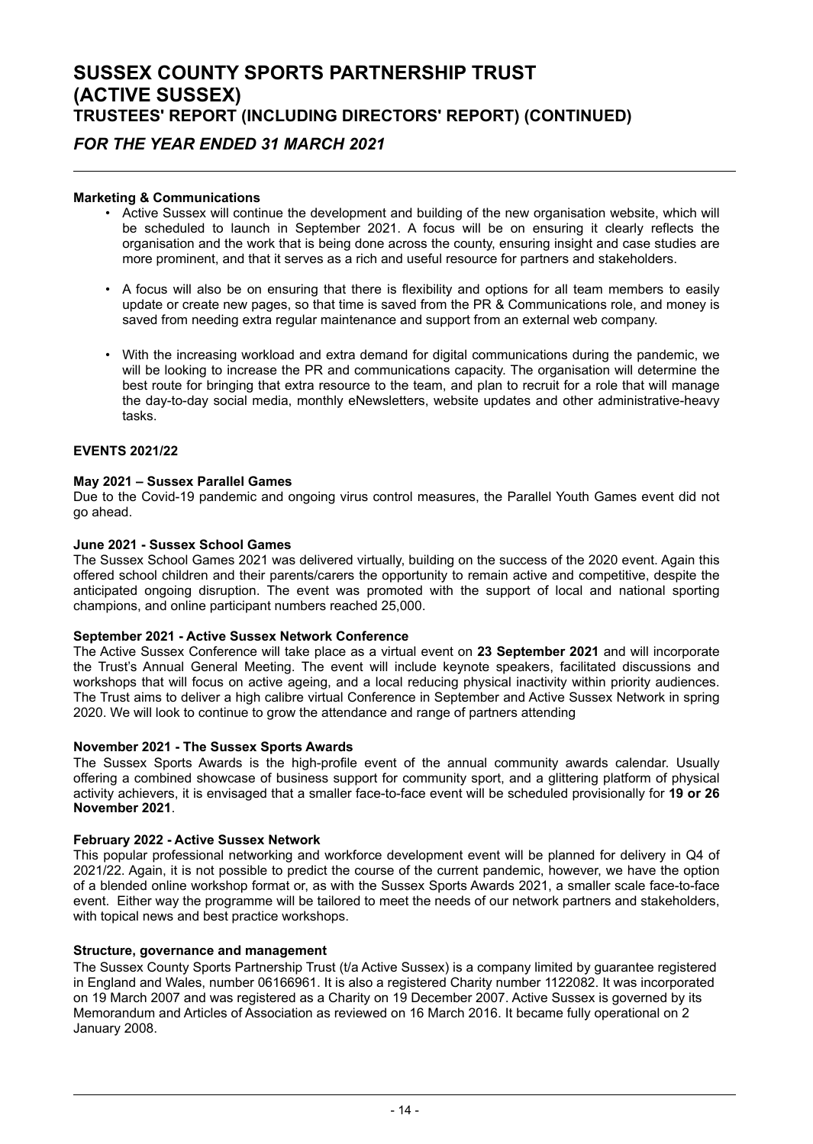# *FOR THE YEAR ENDED 31 MARCH 2021*

### **Marketing & Communications**

- Active Sussex will continue the development and building of the new organisation website, which will be scheduled to launch in September 2021. A focus will be on ensuring it clearly reflects the organisation and the work that is being done across the county, ensuring insight and case studies are more prominent, and that it serves as a rich and useful resource for partners and stakeholders.
- A focus will also be on ensuring that there is flexibility and options for all team members to easily update or create new pages, so that time is saved from the PR & Communications role, and money is saved from needing extra regular maintenance and support from an external web company.
- With the increasing workload and extra demand for digital communications during the pandemic, we will be looking to increase the PR and communications capacity. The organisation will determine the best route for bringing that extra resource to the team, and plan to recruit for a role that will manage the day-to-day social media, monthly eNewsletters, website updates and other administrative-heavy tasks.

### **EVENTS 2021/22**

# **May 2021 – Sussex Parallel Games**

Due to the Covid-19 pandemic and ongoing virus control measures, the Parallel Youth Games event did not go ahead.

#### **June 2021 - Sussex School Games**

The Sussex School Games 2021 was delivered virtually, building on the success of the 2020 event. Again this offered school children and their parents/carers the opportunity to remain active and competitive, despite the anticipated ongoing disruption. The event was promoted with the support of local and national sporting champions, and online participant numbers reached 25,000.

#### **September 2021 - Active Sussex Network Conference**

The Active Sussex Conference will take place as a virtual event on **23 September 2021** and will incorporate the Trust's Annual General Meeting. The event will include keynote speakers, facilitated discussions and workshops that will focus on active ageing, and a local reducing physical inactivity within priority audiences. The Trust aims to deliver a high calibre virtual Conference in September and Active Sussex Network in spring 2020. We will look to continue to grow the attendance and range of partners attending

#### **November 2021 - The Sussex Sports Awards**

The Sussex Sports Awards is the high-profile event of the annual community awards calendar. Usually offering a combined showcase of business support for community sport, and a glittering platform of physical activity achievers, it is envisaged that a smaller face-to-face event will be scheduled provisionally for **19 or 26 November 2021**.

### **February 2022 - Active Sussex Network**

This popular professional networking and workforce development event will be planned for delivery in Q4 of 2021/22. Again, it is not possible to predict the course of the current pandemic, however, we have the option of a blended online workshop format or, as with the Sussex Sports Awards 2021, a smaller scale face-to-face event. Either way the programme will be tailored to meet the needs of our network partners and stakeholders, with topical news and best practice workshops.

# **Structure, governance and management**

The Sussex County Sports Partnership Trust (t/a Active Sussex) is a company limited by guarantee registered in England and Wales, number 06166961. It is also a registered Charity number 1122082. It was incorporated on 19 March 2007 and was registered as a Charity on 19 December 2007. Active Sussex is governed by its Memorandum and Articles of Association as reviewed on 16 March 2016. It became fully operational on 2 January 2008.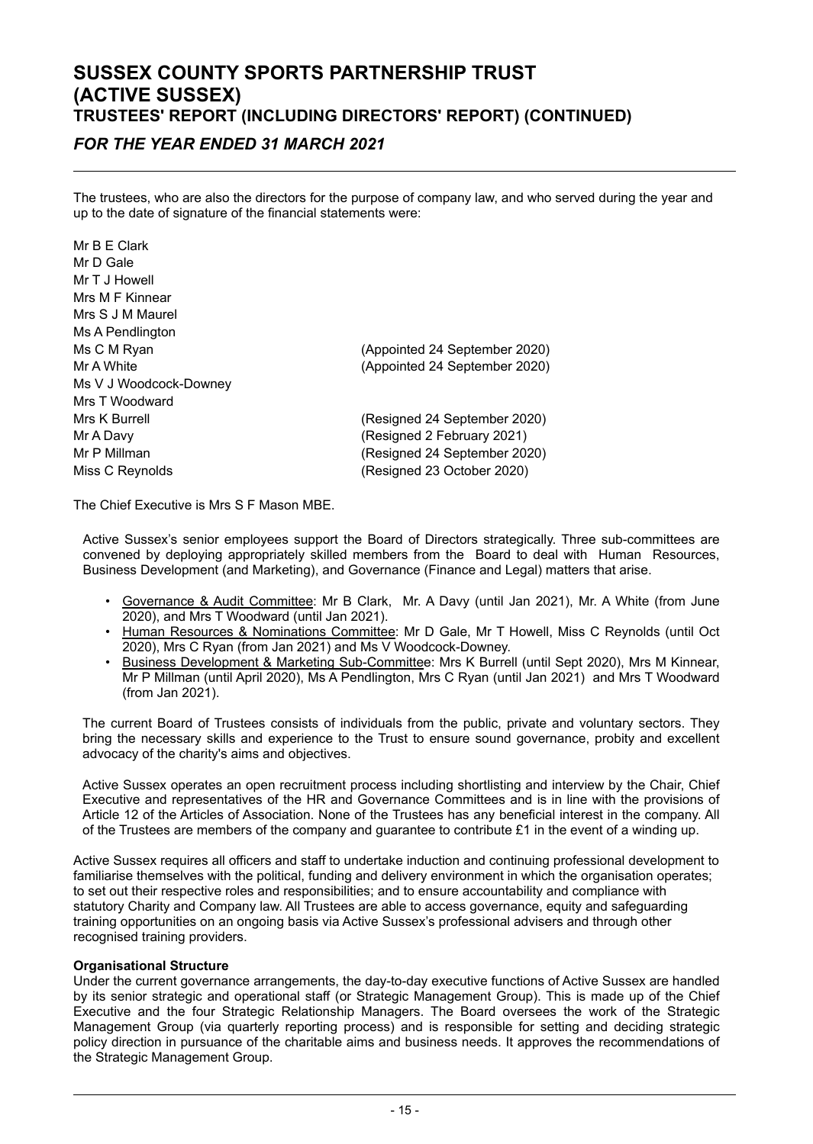# *FOR THE YEAR ENDED 31 MARCH 2021*

The trustees, who are also the directors for the purpose of company law, and who served during the year and up to the date of signature of the financial statements were:

| Mr B E Clark           |                               |
|------------------------|-------------------------------|
| Mr D Gale              |                               |
| Mr T J Howell          |                               |
| Mrs M F Kinnear        |                               |
| Mrs S J M Maurel       |                               |
| Ms A Pendlington       |                               |
| Ms C M Ryan            | (Appointed 24 September 2020) |
| Mr A White             | (Appointed 24 September 2020) |
| Ms V J Woodcock-Downey |                               |
| Mrs T Woodward         |                               |
| Mrs K Burrell          | (Resigned 24 September 2020)  |
| Mr A Davy              | (Resigned 2 February 2021)    |
| Mr P Millman           | (Resigned 24 September 2020)  |
| Miss C Reynolds        | (Resigned 23 October 2020)    |

The Chief Executive is Mrs S F Mason MBE.

Active Sussex's senior employees support the Board of Directors strategically. Three sub-committees are convened by deploying appropriately skilled members from the Board to deal with Human Resources, Business Development (and Marketing), and Governance (Finance and Legal) matters that arise.

- Governance & Audit Committee: Mr B Clark, Mr. A Davy (until Jan 2021), Mr. A White (from June 2020), and Mrs T Woodward (until Jan 2021).
- Human Resources & Nominations Committee: Mr D Gale, Mr T Howell, Miss C Reynolds (until Oct 2020), Mrs C Ryan (from Jan 2021) and Ms V Woodcock-Downey.
- Business Development & Marketing Sub-Committee: Mrs K Burrell (until Sept 2020), Mrs M Kinnear, Mr P Millman (until April 2020), Ms A Pendlington, Mrs C Ryan (until Jan 2021) and Mrs T Woodward (from Jan 2021).

The current Board of Trustees consists of individuals from the public, private and voluntary sectors. They bring the necessary skills and experience to the Trust to ensure sound governance, probity and excellent advocacy of the charity's aims and objectives.

Active Sussex operates an open recruitment process including shortlisting and interview by the Chair, Chief Executive and representatives of the HR and Governance Committees and is in line with the provisions of Article 12 of the Articles of Association. None of the Trustees has any beneficial interest in the company. All of the Trustees are members of the company and guarantee to contribute  $£1$  in the event of a winding up.

Active Sussex requires all officers and staff to undertake induction and continuing professional development to familiarise themselves with the political, funding and delivery environment in which the organisation operates; to set out their respective roles and responsibilities; and to ensure accountability and compliance with statutory Charity and Company law. All Trustees are able to access governance, equity and safeguarding training opportunities on an ongoing basis via Active Sussex's professional advisers and through other recognised training providers.

# **Organisational Structure**

Under the current governance arrangements, the day-to-day executive functions of Active Sussex are handled by its senior strategic and operational staff (or Strategic Management Group). This is made up of the Chief Executive and the four Strategic Relationship Managers. The Board oversees the work of the Strategic Management Group (via quarterly reporting process) and is responsible for setting and deciding strategic policy direction in pursuance of the charitable aims and business needs. It approves the recommendations of the Strategic Management Group.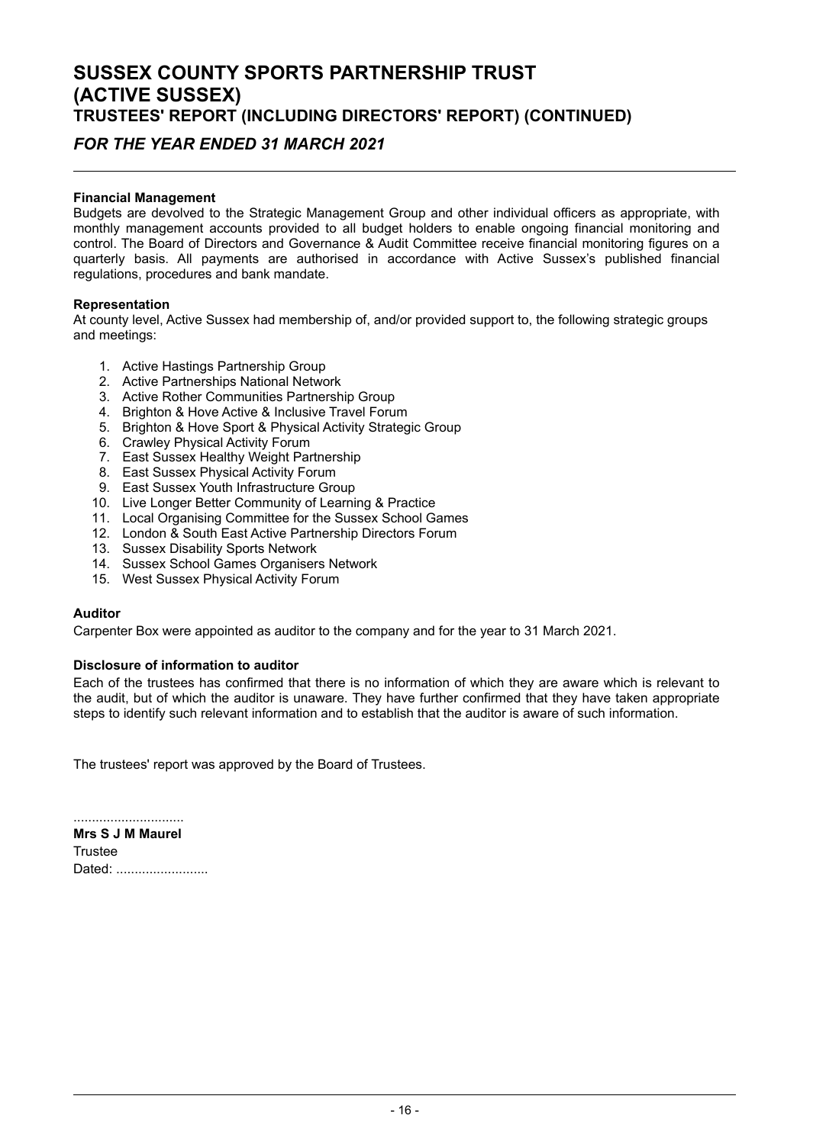# *FOR THE YEAR ENDED 31 MARCH 2021*

### **Financial Management**

Budgets are devolved to the Strategic Management Group and other individual officers as appropriate, with monthly management accounts provided to all budget holders to enable ongoing financial monitoring and control. The Board of Directors and Governance & Audit Committee receive financial monitoring figures on a quarterly basis. All payments are authorised in accordance with Active Sussex's published financial regulations, procedures and bank mandate.

### **Representation**

At county level, Active Sussex had membership of, and/or provided support to, the following strategic groups and meetings:

- 1. Active Hastings Partnership Group
- 2. Active Partnerships National Network
- 3. Active Rother Communities Partnership Group
- 4. Brighton & Hove Active & Inclusive Travel Forum
- 5. Brighton & Hove Sport & Physical Activity Strategic Group
- 6. Crawley Physical Activity Forum
- 7. East Sussex Healthy Weight Partnership
- 8. East Sussex Physical Activity Forum
- 9. East Sussex Youth Infrastructure Group
- 10. Live Longer Better Community of Learning & Practice
- 11. Local Organising Committee for the Sussex School Games
- 12. London & South East Active Partnership Directors Forum
- 13. Sussex Disability Sports Network
- 14. Sussex School Games Organisers Network
- 15. West Sussex Physical Activity Forum

#### **Auditor**

Carpenter Box were appointed as auditor to the company and for the year to 31 March 2021.

#### **Disclosure of information to auditor**

Each of the trustees has confirmed that there is no information of which they are aware which is relevant to the audit, but of which the auditor is unaware. They have further confirmed that they have taken appropriate steps to identify such relevant information and to establish that the auditor is aware of such information.

The trustees' report was approved by the Board of Trustees.

**Mrs S J M Maurel Trustee** Dated: ..........................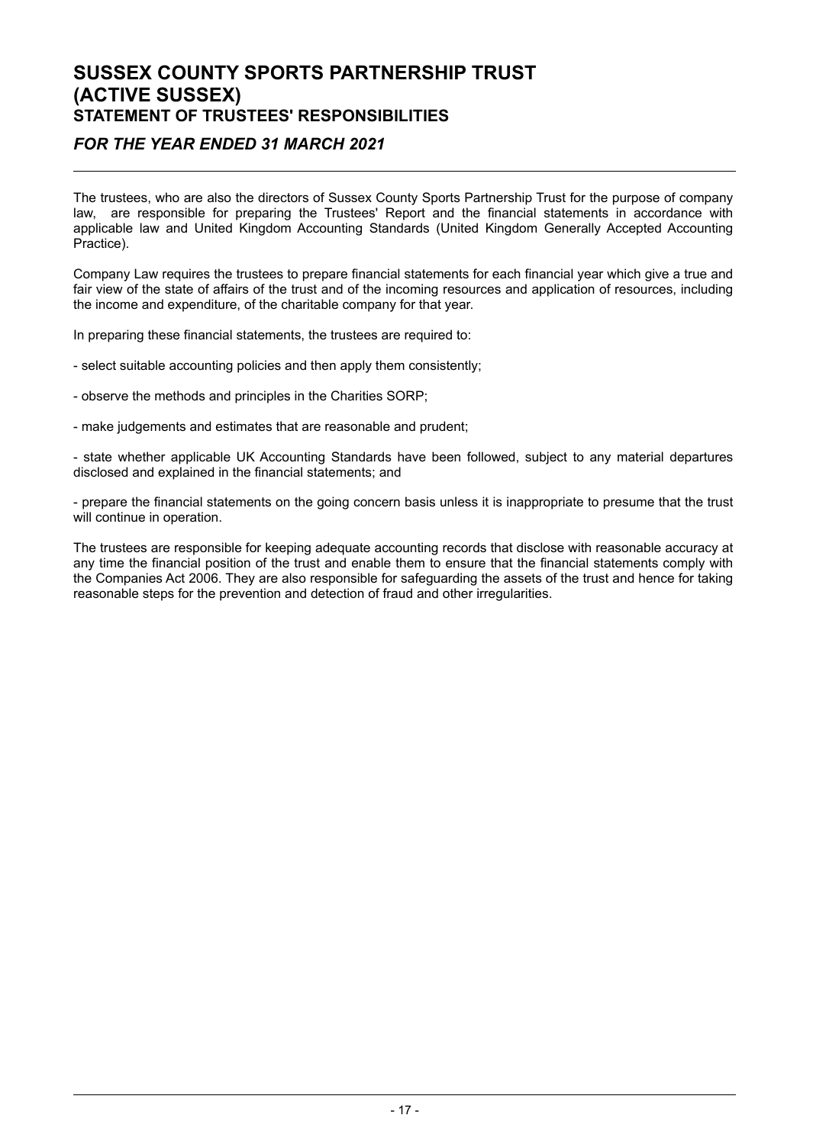# **SUSSEX COUNTY SPORTS PARTNERSHIP TRUST (ACTIVE SUSSEX) STATEMENT OF TRUSTEES' RESPONSIBILITIES**

# *FOR THE YEAR ENDED 31 MARCH 2021*

The trustees, who are also the directors of Sussex County Sports Partnership Trust for the purpose of company law, are responsible for preparing the Trustees' Report and the financial statements in accordance with applicable law and United Kingdom Accounting Standards (United Kingdom Generally Accepted Accounting Practice).

Company Law requires the trustees to prepare financial statements for each financial year which give a true and fair view of the state of affairs of the trust and of the incoming resources and application of resources, including the income and expenditure, of the charitable company for that year.

In preparing these financial statements, the trustees are required to:

- select suitable accounting policies and then apply them consistently;

- observe the methods and principles in the Charities SORP;

- make judgements and estimates that are reasonable and prudent;

- state whether applicable UK Accounting Standards have been followed, subject to any material departures disclosed and explained in the financial statements; and

- prepare the financial statements on the going concern basis unless it is inappropriate to presume that the trust will continue in operation.

The trustees are responsible for keeping adequate accounting records that disclose with reasonable accuracy at any time the financial position of the trust and enable them to ensure that the financial statements comply with the Companies Act 2006. They are also responsible for safeguarding the assets of the trust and hence for taking reasonable steps for the prevention and detection of fraud and other irregularities.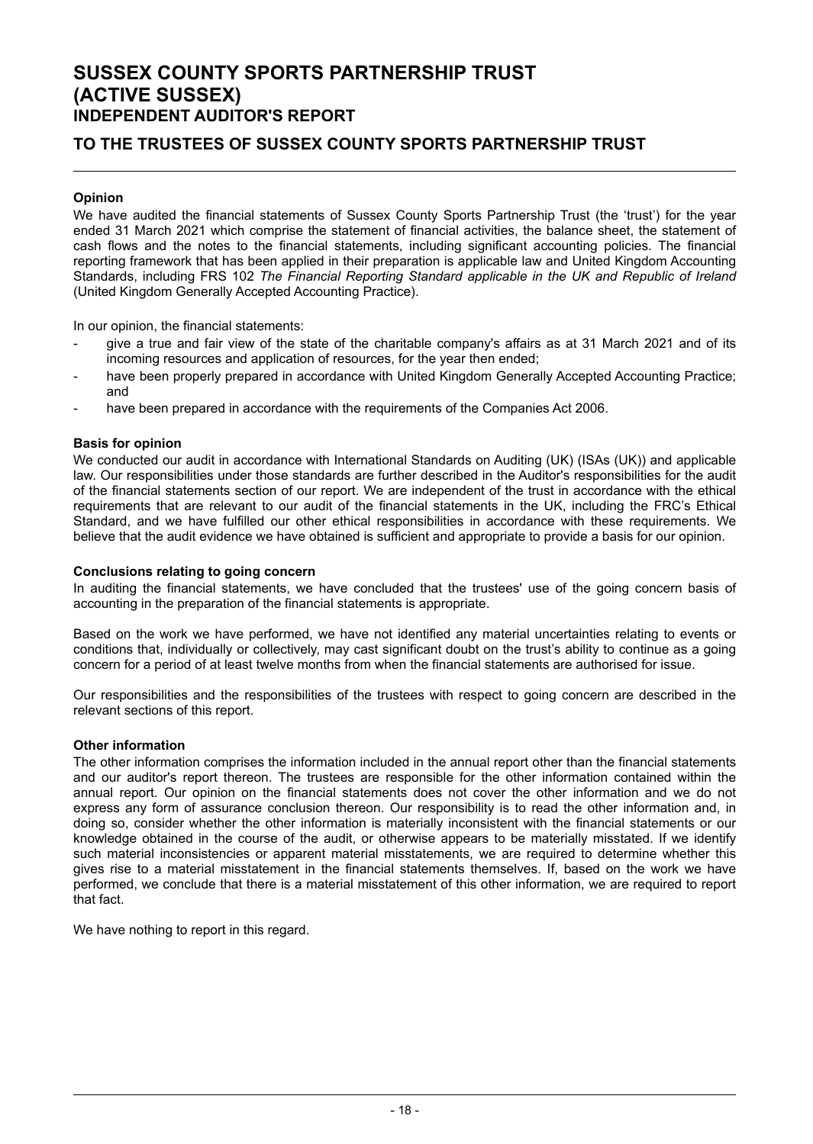# **SUSSEX COUNTY SPORTS PARTNERSHIP TRUST (ACTIVE SUSSEX) INDEPENDENT AUDITOR'S REPORT**

# **TO THE TRUSTEES OF SUSSEX COUNTY SPORTS PARTNERSHIP TRUST**

### **Opinion**

We have audited the financial statements of Sussex County Sports Partnership Trust (the 'trust') for the year ended 31 March 2021 which comprise the statement of financial activities, the balance sheet, the statement of cash flows and the notes to the financial statements, including significant accounting policies. The financial reporting framework that has been applied in their preparation is applicable law and United Kingdom Accounting Standards, including FRS 102 *The Financial Reporting Standard applicable in the UK and Republic of Ireland* (United Kingdom Generally Accepted Accounting Practice).

In our opinion, the financial statements:

- give a true and fair view of the state of the charitable company's affairs as at 31 March 2021 and of its incoming resources and application of resources, for the year then ended;
- have been properly prepared in accordance with United Kingdom Generally Accepted Accounting Practice; and
- have been prepared in accordance with the requirements of the Companies Act 2006.

#### **Basis for opinion**

We conducted our audit in accordance with International Standards on Auditing (UK) (ISAs (UK)) and applicable law. Our responsibilities under those standards are further described in the Auditor's responsibilities for the audit of the financial statements section of our report. We are independent of the trust in accordance with the ethical requirements that are relevant to our audit of the financial statements in the UK, including the FRC's Ethical Standard, and we have fulfilled our other ethical responsibilities in accordance with these requirements. We believe that the audit evidence we have obtained is sufficient and appropriate to provide a basis for our opinion.

#### **Conclusions relating to going concern**

In auditing the financial statements, we have concluded that the trustees' use of the going concern basis of accounting in the preparation of the financial statements is appropriate.

Based on the work we have performed, we have not identified any material uncertainties relating to events or conditions that, individually or collectively, may cast significant doubt on the trust's ability to continue as a going concern for a period of at least twelve months from when the financial statements are authorised for issue.

Our responsibilities and the responsibilities of the trustees with respect to going concern are described in the relevant sections of this report.

#### **Other information**

The other information comprises the information included in the annual report other than the financial statements and our auditor's report thereon. The trustees are responsible for the other information contained within the annual report. Our opinion on the financial statements does not cover the other information and we do not express any form of assurance conclusion thereon. Our responsibility is to read the other information and, in doing so, consider whether the other information is materially inconsistent with the financial statements or our knowledge obtained in the course of the audit, or otherwise appears to be materially misstated. If we identify such material inconsistencies or apparent material misstatements, we are required to determine whether this gives rise to a material misstatement in the financial statements themselves. If, based on the work we have performed, we conclude that there is a material misstatement of this other information, we are required to report that fact.

We have nothing to report in this regard.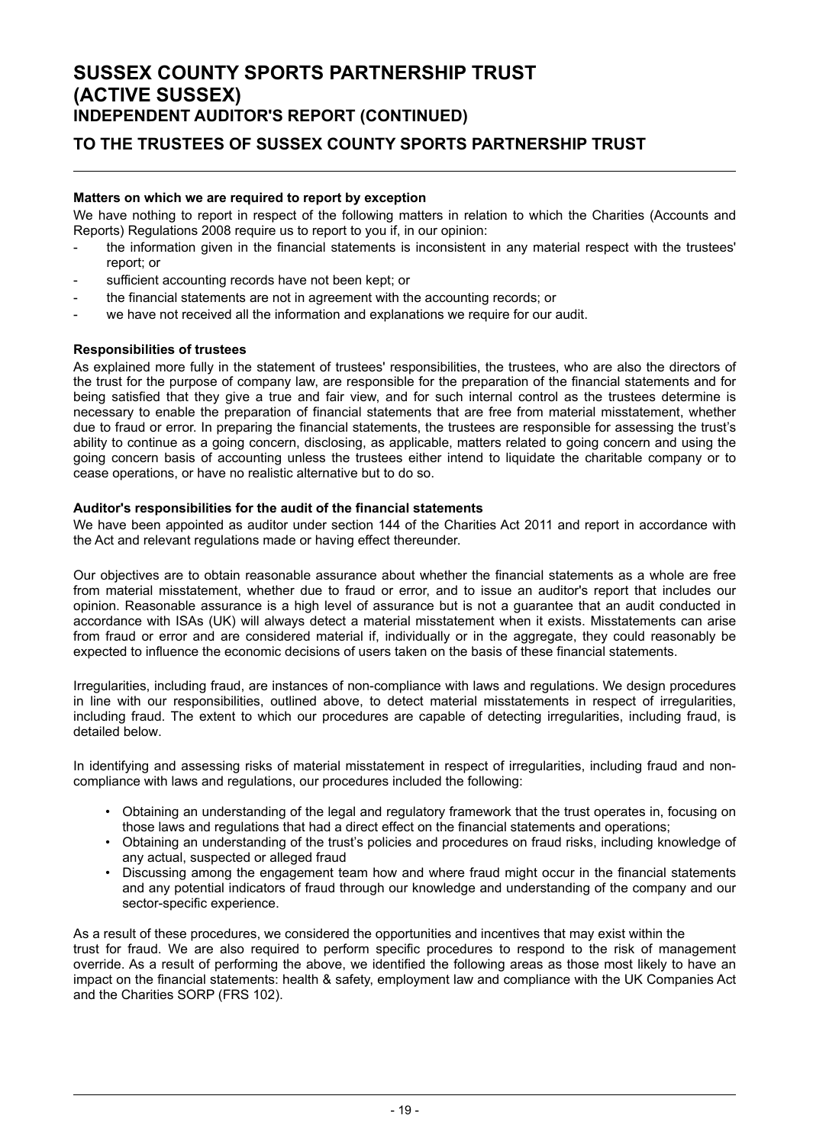# **SUSSEX COUNTY SPORTS PARTNERSHIP TRUST (ACTIVE SUSSEX) INDEPENDENT AUDITOR'S REPORT (CONTINUED)**

# **TO THE TRUSTEES OF SUSSEX COUNTY SPORTS PARTNERSHIP TRUST**

### **Matters on which we are required to report by exception**

We have nothing to report in respect of the following matters in relation to which the Charities (Accounts and Reports) Regulations 2008 require us to report to you if, in our opinion:

- the information given in the financial statements is inconsistent in any material respect with the trustees' report; or
- sufficient accounting records have not been kept; or
- the financial statements are not in agreement with the accounting records; or
- we have not received all the information and explanations we require for our audit.

### **Responsibilities of trustees**

As explained more fully in the statement of trustees' responsibilities, the trustees, who are also the directors of the trust for the purpose of company law, are responsible for the preparation of the financial statements and for being satisfied that they give a true and fair view, and for such internal control as the trustees determine is necessary to enable the preparation of financial statements that are free from material misstatement, whether due to fraud or error. In preparing the financial statements, the trustees are responsible for assessing the trust's ability to continue as a going concern, disclosing, as applicable, matters related to going concern and using the going concern basis of accounting unless the trustees either intend to liquidate the charitable company or to cease operations, or have no realistic alternative but to do so.

#### **Auditor's responsibilities for the audit of the financial statements**

We have been appointed as auditor under section 144 of the Charities Act 2011 and report in accordance with the Act and relevant regulations made or having effect thereunder.

Our objectives are to obtain reasonable assurance about whether the financial statements as a whole are free from material misstatement, whether due to fraud or error, and to issue an auditor's report that includes our opinion. Reasonable assurance is a high level of assurance but is not a guarantee that an audit conducted in accordance with ISAs (UK) will always detect a material misstatement when it exists. Misstatements can arise from fraud or error and are considered material if, individually or in the aggregate, they could reasonably be expected to influence the economic decisions of users taken on the basis of these financial statements.

Irregularities, including fraud, are instances of non-compliance with laws and regulations. We design procedures in line with our responsibilities, outlined above, to detect material misstatements in respect of irregularities, including fraud. The extent to which our procedures are capable of detecting irregularities, including fraud, is detailed below.

In identifying and assessing risks of material misstatement in respect of irregularities, including fraud and noncompliance with laws and regulations, our procedures included the following:

- Obtaining an understanding of the legal and regulatory framework that the trust operates in, focusing on those laws and regulations that had a direct effect on the financial statements and operations;
- Obtaining an understanding of the trust's policies and procedures on fraud risks, including knowledge of any actual, suspected or alleged fraud
- Discussing among the engagement team how and where fraud might occur in the financial statements and any potential indicators of fraud through our knowledge and understanding of the company and our sector-specific experience.

As a result of these procedures, we considered the opportunities and incentives that may exist within the trust for fraud. We are also required to perform specific procedures to respond to the risk of management override. As a result of performing the above, we identified the following areas as those most likely to have an impact on the financial statements: health & safety, employment law and compliance with the UK Companies Act and the Charities SORP (FRS 102).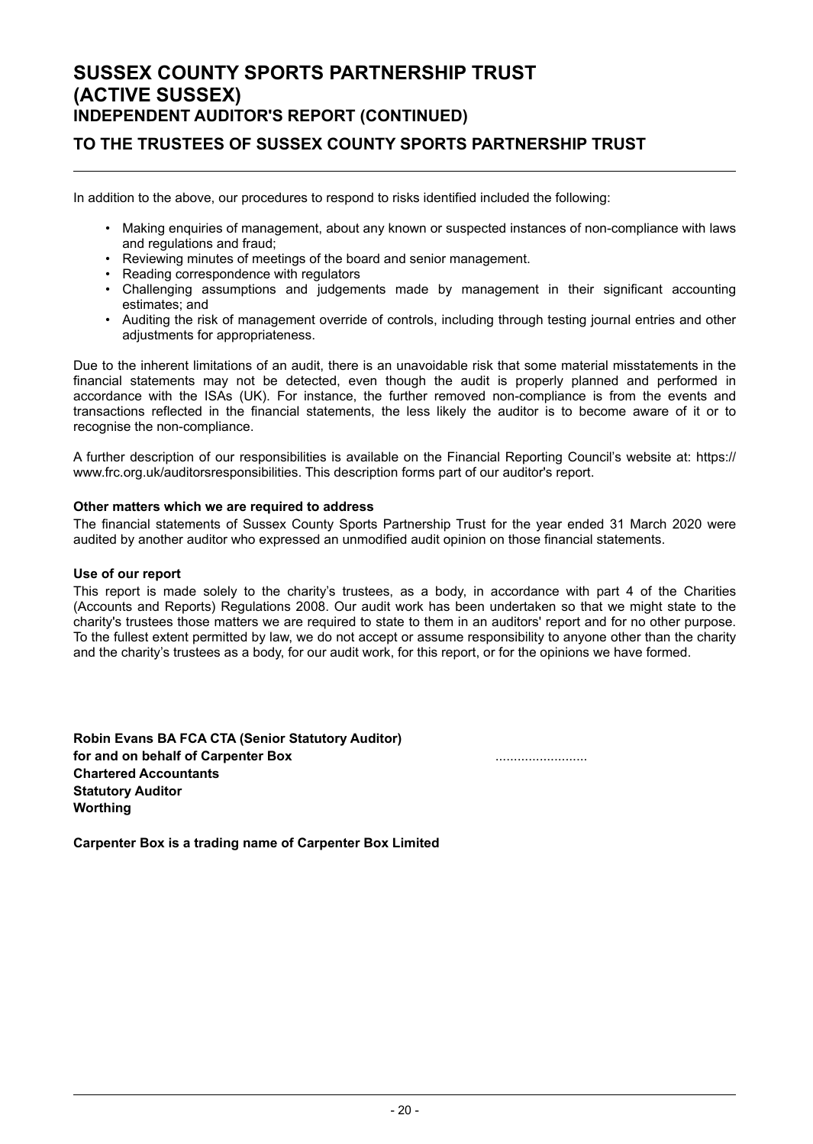# **SUSSEX COUNTY SPORTS PARTNERSHIP TRUST (ACTIVE SUSSEX) INDEPENDENT AUDITOR'S REPORT (CONTINUED)**

# **TO THE TRUSTEES OF SUSSEX COUNTY SPORTS PARTNERSHIP TRUST**

In addition to the above, our procedures to respond to risks identified included the following:

- Making enquiries of management, about any known or suspected instances of non-compliance with laws and regulations and fraud;
- Reviewing minutes of meetings of the board and senior management.
- Reading correspondence with regulators
- Challenging assumptions and judgements made by management in their significant accounting estimates; and
- Auditing the risk of management override of controls, including through testing journal entries and other adjustments for appropriateness.

Due to the inherent limitations of an audit, there is an unavoidable risk that some material misstatements in the financial statements may not be detected, even though the audit is properly planned and performed in accordance with the ISAs (UK). For instance, the further removed non-compliance is from the events and transactions reflected in the financial statements, the less likely the auditor is to become aware of it or to recognise the non-compliance.

A further description of our responsibilities is available on the Financial Reporting Council's website at: https:// www.frc.org.uk/auditorsresponsibilities. This description forms part of our auditor's report.

#### **Other matters which we are required to address**

The financial statements of Sussex County Sports Partnership Trust for the year ended 31 March 2020 were audited by another auditor who expressed an unmodified audit opinion on those financial statements.

#### **Use of our report**

This report is made solely to the charity's trustees, as a body, in accordance with part 4 of the Charities (Accounts and Reports) Regulations 2008. Our audit work has been undertaken so that we might state to the charity's trustees those matters we are required to state to them in an auditors' report and for no other purpose. To the fullest extent permitted by law, we do not accept or assume responsibility to anyone other than the charity and the charity's trustees as a body, for our audit work, for this report, or for the opinions we have formed.

**Robin Evans BA FCA CTA (Senior Statutory Auditor) for and on behalf of Carpenter Box** ......................... **Chartered Accountants Statutory Auditor Worthing**

**Carpenter Box is a trading name of Carpenter Box Limited**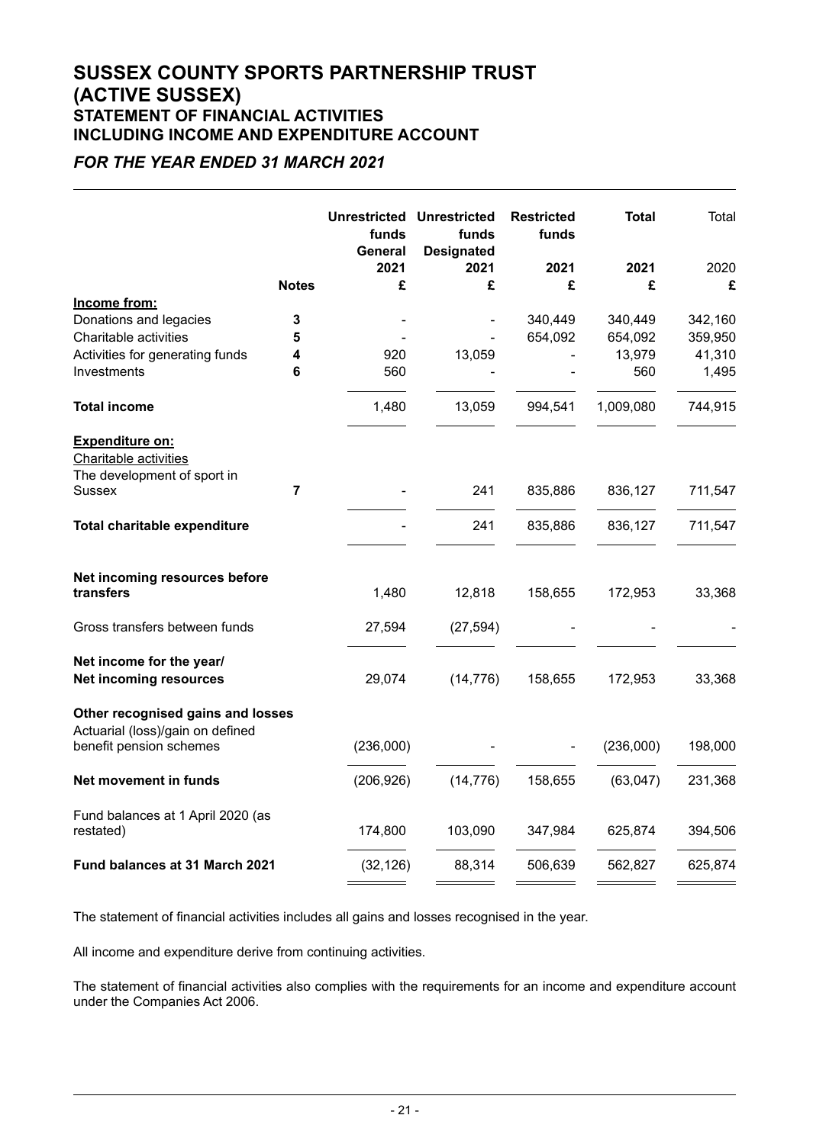# **SUSSEX COUNTY SPORTS PARTNERSHIP TRUST (ACTIVE SUSSEX) STATEMENT OF FINANCIAL ACTIVITIES INCLUDING INCOME AND EXPENDITURE ACCOUNT**

# *FOR THE YEAR ENDED 31 MARCH 2021*

|                                                                                                  |                | funds<br>General | <b>Unrestricted Unrestricted</b><br>funds<br><b>Designated</b> | <b>Restricted</b><br>funds | <b>Total</b> | Total   |
|--------------------------------------------------------------------------------------------------|----------------|------------------|----------------------------------------------------------------|----------------------------|--------------|---------|
|                                                                                                  |                | 2021             | 2021                                                           | 2021                       | 2021         | 2020    |
|                                                                                                  | <b>Notes</b>   | £                | £                                                              | £                          | £            | £       |
| Income from:                                                                                     |                |                  |                                                                |                            |              |         |
| Donations and legacies                                                                           | 3              |                  |                                                                | 340,449                    | 340,449      | 342,160 |
| Charitable activities                                                                            | 5              |                  |                                                                | 654,092                    | 654,092      | 359,950 |
| Activities for generating funds                                                                  | 4              | 920              | 13,059                                                         |                            | 13,979       | 41,310  |
| Investments                                                                                      | 6              | 560              |                                                                |                            | 560          | 1,495   |
| <b>Total income</b>                                                                              |                | 1,480            | 13,059                                                         | 994,541                    | 1,009,080    | 744,915 |
| <b>Expenditure on:</b><br><b>Charitable activities</b><br>The development of sport in            |                |                  |                                                                |                            |              |         |
| Sussex                                                                                           | $\overline{7}$ |                  | 241                                                            | 835,886                    | 836,127      | 711,547 |
| Total charitable expenditure                                                                     |                |                  | 241                                                            | 835,886                    | 836,127      | 711,547 |
| Net incoming resources before<br>transfers                                                       |                | 1,480            | 12,818                                                         | 158,655                    | 172,953      | 33,368  |
| Gross transfers between funds                                                                    |                | 27,594           | (27, 594)                                                      |                            |              |         |
| Net income for the year/<br><b>Net incoming resources</b>                                        |                | 29,074           | (14, 776)                                                      | 158,655                    | 172,953      | 33,368  |
| Other recognised gains and losses<br>Actuarial (loss)/gain on defined<br>benefit pension schemes |                | (236,000)        |                                                                |                            | (236,000)    | 198,000 |
|                                                                                                  |                |                  |                                                                |                            |              |         |
| Net movement in funds                                                                            |                | (206, 926)       | (14, 776)                                                      | 158,655                    | (63, 047)    | 231,368 |
| Fund balances at 1 April 2020 (as<br>restated)                                                   |                | 174,800          | 103,090                                                        | 347,984                    | 625,874      | 394,506 |
| Fund balances at 31 March 2021                                                                   |                | (32, 126)        | 88,314                                                         | 506,639                    | 562,827      | 625,874 |
|                                                                                                  |                |                  |                                                                |                            |              |         |

The statement of financial activities includes all gains and losses recognised in the year.

All income and expenditure derive from continuing activities.

The statement of financial activities also complies with the requirements for an income and expenditure account under the Companies Act 2006.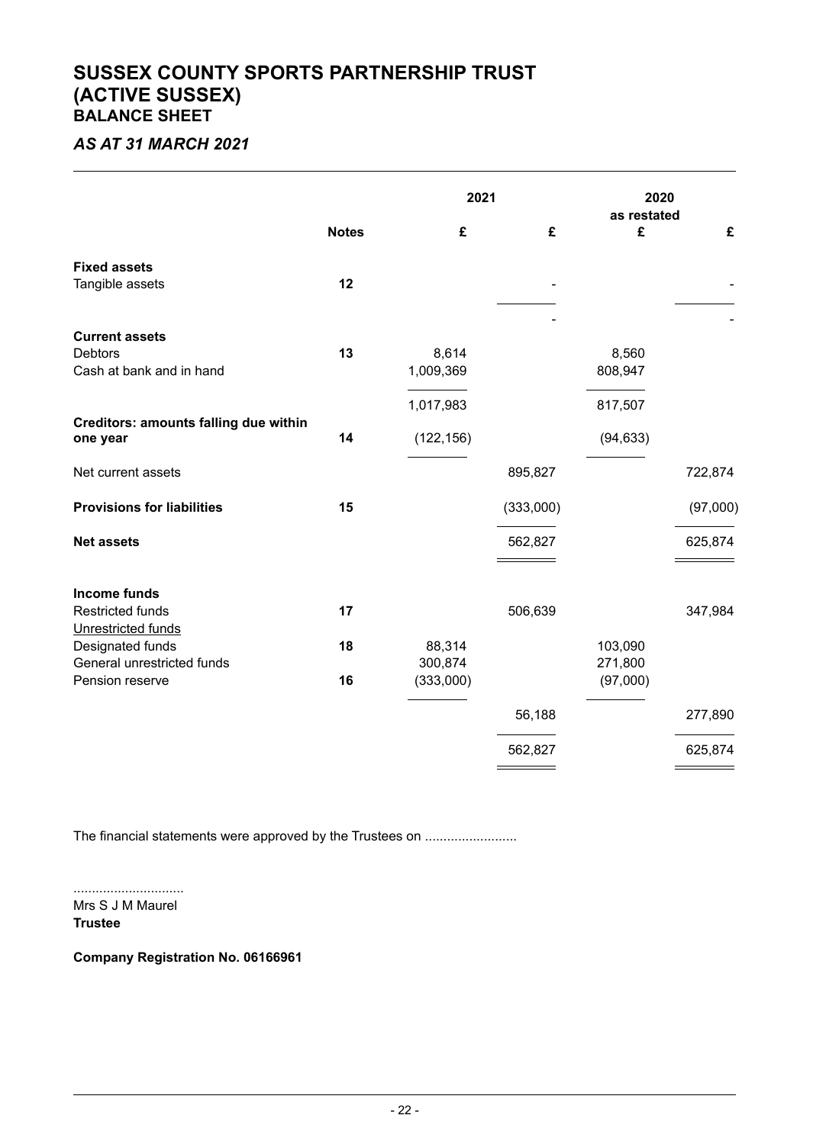# **SUSSEX COUNTY SPORTS PARTNERSHIP TRUST (ACTIVE SUSSEX) BALANCE SHEET**

# *AS AT 31 MARCH 2021*

|                                                          |              |            | 2021      |                  | 2020     |
|----------------------------------------------------------|--------------|------------|-----------|------------------|----------|
|                                                          | <b>Notes</b> | £          | £         | as restated<br>£ | £        |
| <b>Fixed assets</b>                                      | 12           |            |           |                  |          |
| Tangible assets                                          |              |            |           |                  |          |
| <b>Current assets</b>                                    |              |            |           |                  |          |
| <b>Debtors</b>                                           | 13           | 8,614      |           | 8,560            |          |
| Cash at bank and in hand                                 |              | 1,009,369  |           | 808,947          |          |
|                                                          |              | 1,017,983  |           | 817,507          |          |
| <b>Creditors: amounts falling due within</b><br>one year | 14           | (122, 156) |           | (94, 633)        |          |
| Net current assets                                       |              |            | 895,827   |                  | 722,874  |
| <b>Provisions for liabilities</b>                        | 15           |            | (333,000) |                  | (97,000) |
| <b>Net assets</b>                                        |              |            | 562,827   |                  | 625,874  |
| <b>Income funds</b>                                      |              |            |           |                  |          |
| <b>Restricted funds</b>                                  | 17           |            | 506,639   |                  | 347,984  |
| Unrestricted funds                                       |              |            |           |                  |          |
| Designated funds                                         | 18           | 88,314     |           | 103,090          |          |
| General unrestricted funds                               |              | 300,874    |           | 271,800          |          |
| Pension reserve                                          | 16           | (333,000)  |           | (97,000)         |          |
|                                                          |              |            | 56,188    |                  | 277,890  |
|                                                          |              |            | 562,827   |                  | 625,874  |
|                                                          |              |            |           |                  |          |

The financial statements were approved by the Trustees on .........................

.............................. Mrs S J M Maurel

**Trustee**

**Company Registration No. 06166961**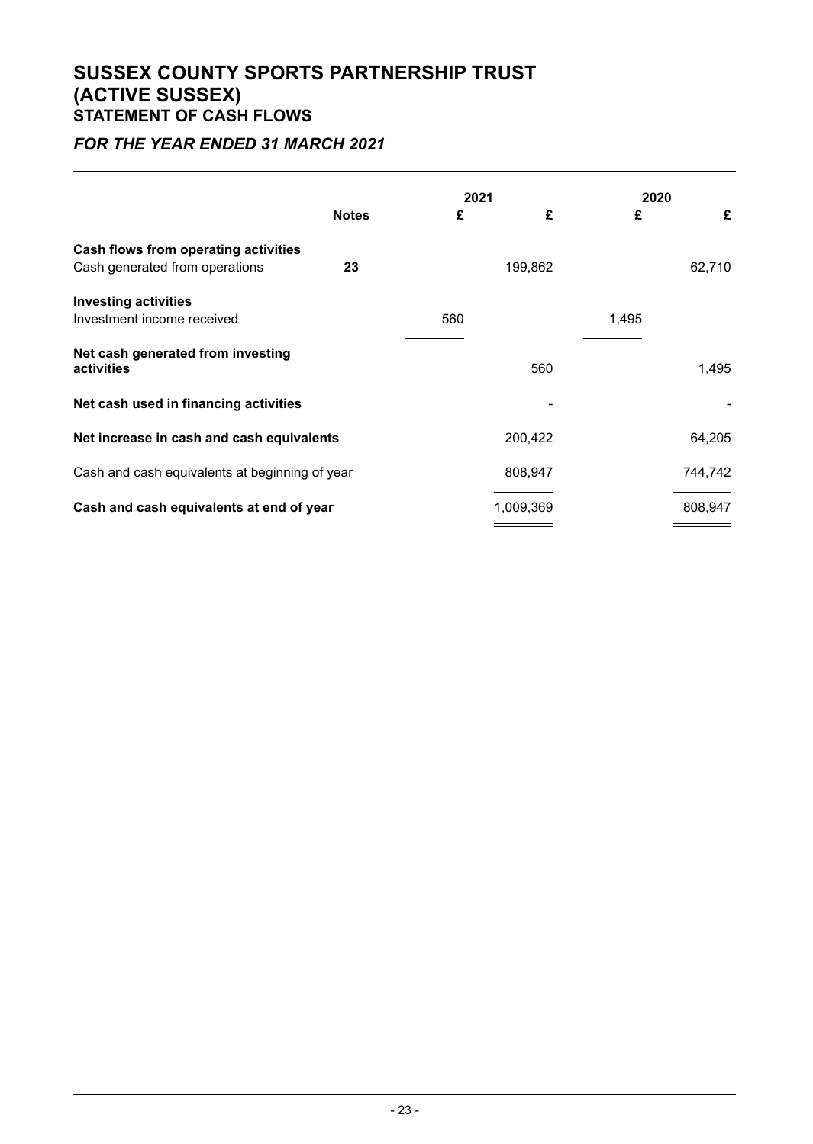# **SUSSEX COUNTY SPORTS PARTNERSHIP TRUST (ACTIVE SUSSEX) STATEMENT OF CASH FLOWS**

# *FOR THE YEAR ENDED 31 MARCH 2021*

|                                           |                                                                      |           | 2020                            |         |
|-------------------------------------------|----------------------------------------------------------------------|-----------|---------------------------------|---------|
|                                           |                                                                      |           |                                 | £       |
|                                           |                                                                      |           |                                 |         |
|                                           |                                                                      |           |                                 | 62,710  |
|                                           |                                                                      |           |                                 |         |
|                                           | 560                                                                  |           | 1,495                           |         |
|                                           |                                                                      |           |                                 |         |
|                                           |                                                                      | 560       |                                 | 1,495   |
|                                           |                                                                      |           |                                 |         |
|                                           |                                                                      |           |                                 |         |
| Net increase in cash and cash equivalents |                                                                      | 200,422   |                                 | 64,205  |
|                                           |                                                                      |           |                                 | 744,742 |
|                                           |                                                                      |           |                                 |         |
| Cash and cash equivalents at end of year  |                                                                      | 1,009,369 |                                 | 808,947 |
|                                           | <b>Notes</b><br>23<br>Cash and cash equivalents at beginning of year | £         | 2021<br>£<br>199,862<br>808,947 | £       |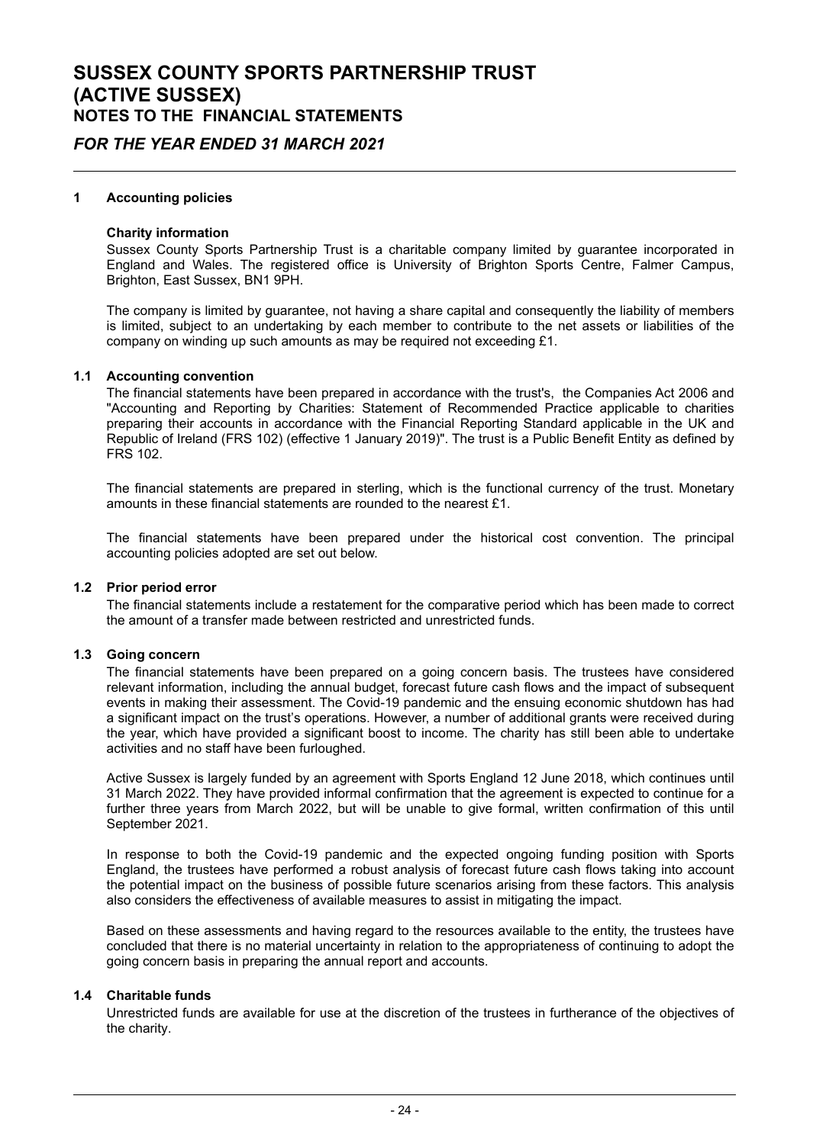# *FOR THE YEAR ENDED 31 MARCH 2021*

#### **1 Accounting policies**

#### **Charity information**

Sussex County Sports Partnership Trust is a charitable company limited by guarantee incorporated in England and Wales. The registered office is University of Brighton Sports Centre, Falmer Campus, Brighton, East Sussex, BN1 9PH.

The company is limited by guarantee, not having a share capital and consequently the liability of members is limited, subject to an undertaking by each member to contribute to the net assets or liabilities of the company on winding up such amounts as may be required not exceeding £1.

#### **1.1 Accounting convention**

The financial statements have been prepared in accordance with the trust's, the Companies Act 2006 and "Accounting and Reporting by Charities: Statement of Recommended Practice applicable to charities preparing their accounts in accordance with the Financial Reporting Standard applicable in the UK and Republic of Ireland (FRS 102) (effective 1 January 2019)". The trust is a Public Benefit Entity as defined by FRS 102.

The financial statements are prepared in sterling, which is the functional currency of the trust. Monetary amounts in these financial statements are rounded to the nearest £1.

The financial statements have been prepared under the historical cost convention. The principal accounting policies adopted are set out below.

#### **1.2 Prior period error**

The financial statements include a restatement for the comparative period which has been made to correct the amount of a transfer made between restricted and unrestricted funds.

#### **1.3 Going concern**

The financial statements have been prepared on a going concern basis. The trustees have considered relevant information, including the annual budget, forecast future cash flows and the impact of subsequent events in making their assessment. The Covid-19 pandemic and the ensuing economic shutdown has had a significant impact on the trust's operations. However, a number of additional grants were received during the year, which have provided a significant boost to income. The charity has still been able to undertake activities and no staff have been furloughed.

Active Sussex is largely funded by an agreement with Sports England 12 June 2018, which continues until 31 March 2022. They have provided informal confirmation that the agreement is expected to continue for a further three years from March 2022, but will be unable to give formal, written confirmation of this until September 2021.

In response to both the Covid-19 pandemic and the expected ongoing funding position with Sports England, the trustees have performed a robust analysis of forecast future cash flows taking into account the potential impact on the business of possible future scenarios arising from these factors. This analysis also considers the effectiveness of available measures to assist in mitigating the impact.

Based on these assessments and having regard to the resources available to the entity, the trustees have concluded that there is no material uncertainty in relation to the appropriateness of continuing to adopt the going concern basis in preparing the annual report and accounts.

#### **1.4 Charitable funds**

Unrestricted funds are available for use at the discretion of the trustees in furtherance of the objectives of the charity.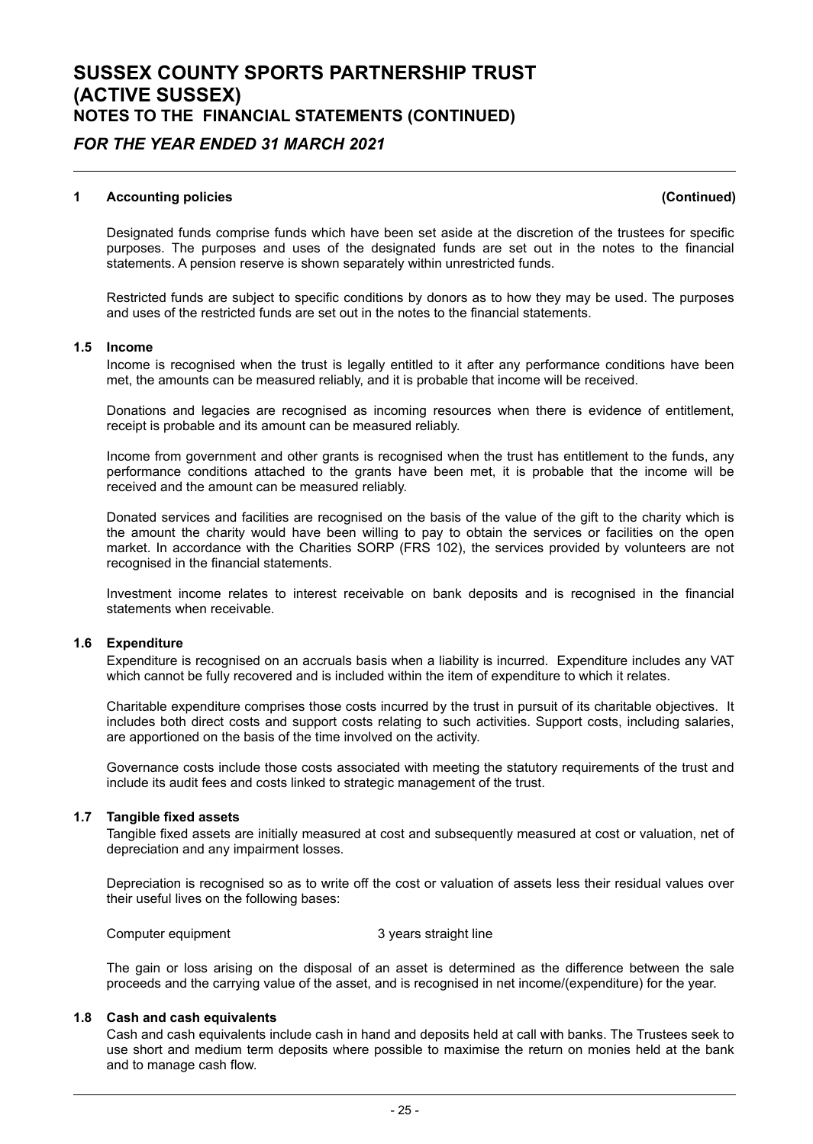# *FOR THE YEAR ENDED 31 MARCH 2021*

#### **1 Accounting policies (Continued)**

Designated funds comprise funds which have been set aside at the discretion of the trustees for specific purposes. The purposes and uses of the designated funds are set out in the notes to the financial statements. A pension reserve is shown separately within unrestricted funds.

Restricted funds are subject to specific conditions by donors as to how they may be used. The purposes and uses of the restricted funds are set out in the notes to the financial statements.

#### **1.5 Income**

Income is recognised when the trust is legally entitled to it after any performance conditions have been met, the amounts can be measured reliably, and it is probable that income will be received.

Donations and legacies are recognised as incoming resources when there is evidence of entitlement, receipt is probable and its amount can be measured reliably.

Income from government and other grants is recognised when the trust has entitlement to the funds, any performance conditions attached to the grants have been met, it is probable that the income will be received and the amount can be measured reliably.

Donated services and facilities are recognised on the basis of the value of the gift to the charity which is the amount the charity would have been willing to pay to obtain the services or facilities on the open market. In accordance with the Charities SORP (FRS 102), the services provided by volunteers are not recognised in the financial statements.

Investment income relates to interest receivable on bank deposits and is recognised in the financial statements when receivable.

#### **1.6 Expenditure**

Expenditure is recognised on an accruals basis when a liability is incurred. Expenditure includes any VAT which cannot be fully recovered and is included within the item of expenditure to which it relates.

Charitable expenditure comprises those costs incurred by the trust in pursuit of its charitable objectives. It includes both direct costs and support costs relating to such activities. Support costs, including salaries, are apportioned on the basis of the time involved on the activity.

Governance costs include those costs associated with meeting the statutory requirements of the trust and include its audit fees and costs linked to strategic management of the trust.

### **1.7 Tangible fixed assets**

Tangible fixed assets are initially measured at cost and subsequently measured at cost or valuation, net of depreciation and any impairment losses.

Depreciation is recognised so as to write off the cost or valuation of assets less their residual values over their useful lives on the following bases:

Computer equipment 3 years straight line

The gain or loss arising on the disposal of an asset is determined as the difference between the sale proceeds and the carrying value of the asset, and is recognised in net income/(expenditure) for the year.

### **1.8 Cash and cash equivalents**

Cash and cash equivalents include cash in hand and deposits held at call with banks. The Trustees seek to use short and medium term deposits where possible to maximise the return on monies held at the bank and to manage cash flow.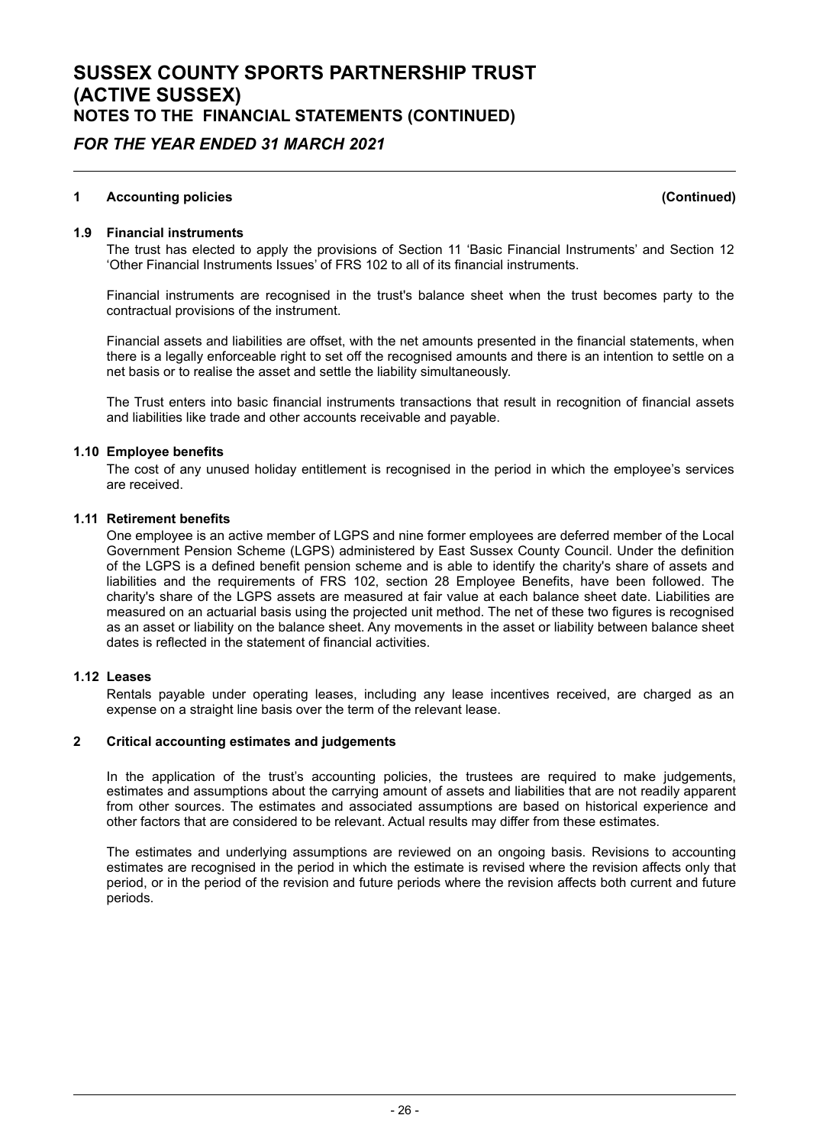# *FOR THE YEAR ENDED 31 MARCH 2021*

### **1 Accounting policies (Continued)**

#### **1.9 Financial instruments**

The trust has elected to apply the provisions of Section 11 'Basic Financial Instruments' and Section 12 'Other Financial Instruments Issues' of FRS 102 to all of its financial instruments.

Financial instruments are recognised in the trust's balance sheet when the trust becomes party to the contractual provisions of the instrument.

Financial assets and liabilities are offset, with the net amounts presented in the financial statements, when there is a legally enforceable right to set off the recognised amounts and there is an intention to settle on a net basis or to realise the asset and settle the liability simultaneously.

The Trust enters into basic financial instruments transactions that result in recognition of financial assets and liabilities like trade and other accounts receivable and payable.

#### **1.10 Employee benefits**

The cost of any unused holiday entitlement is recognised in the period in which the employee's services are received.

#### **1.11 Retirement benefits**

One employee is an active member of LGPS and nine former employees are deferred member of the Local Government Pension Scheme (LGPS) administered by East Sussex County Council. Under the definition of the LGPS is a defined benefit pension scheme and is able to identify the charity's share of assets and liabilities and the requirements of FRS 102, section 28 Employee Benefits, have been followed. The charity's share of the LGPS assets are measured at fair value at each balance sheet date. Liabilities are measured on an actuarial basis using the projected unit method. The net of these two figures is recognised as an asset or liability on the balance sheet. Any movements in the asset or liability between balance sheet dates is reflected in the statement of financial activities.

#### **1.12 Leases**

Rentals payable under operating leases, including any lease incentives received, are charged as an expense on a straight line basis over the term of the relevant lease.

#### **2 Critical accounting estimates and judgements**

In the application of the trust's accounting policies, the trustees are required to make judgements, estimates and assumptions about the carrying amount of assets and liabilities that are not readily apparent from other sources. The estimates and associated assumptions are based on historical experience and other factors that are considered to be relevant. Actual results may differ from these estimates.

The estimates and underlying assumptions are reviewed on an ongoing basis. Revisions to accounting estimates are recognised in the period in which the estimate is revised where the revision affects only that period, or in the period of the revision and future periods where the revision affects both current and future periods.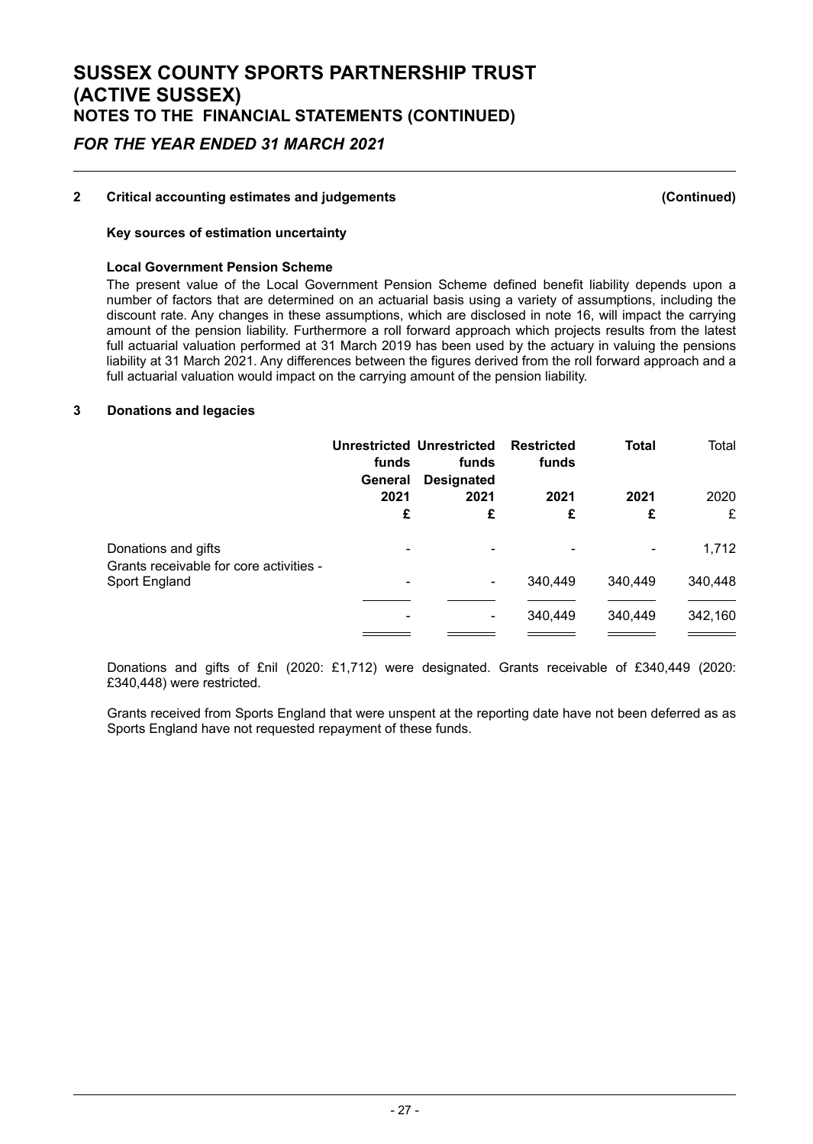# *FOR THE YEAR ENDED 31 MARCH 2021*

# **2 Critical accounting estimates and judgements (Continued)**

### **Key sources of estimation uncertainty**

#### **Local Government Pension Scheme**

The present value of the Local Government Pension Scheme defined benefit liability depends upon a number of factors that are determined on an actuarial basis using a variety of assumptions, including the discount rate. Any changes in these assumptions, which are disclosed in note 16, will impact the carrying amount of the pension liability. Furthermore a roll forward approach which projects results from the latest full actuarial valuation performed at 31 March 2019 has been used by the actuary in valuing the pensions liability at 31 March 2021. Any differences between the figures derived from the roll forward approach and a full actuarial valuation would impact on the carrying amount of the pension liability.

### **3 Donations and legacies**

|                                                                | funds<br>General | Unrestricted Unrestricted<br>funds<br><b>Designated</b> | <b>Restricted</b><br>funds | <b>Total</b> | Total   |
|----------------------------------------------------------------|------------------|---------------------------------------------------------|----------------------------|--------------|---------|
|                                                                | 2021             | 2021                                                    | 2021                       | 2021         | 2020    |
|                                                                | £                | £                                                       | £                          | £            | £       |
| Donations and gifts<br>Grants receivable for core activities - |                  |                                                         |                            |              | 1,712   |
| Sport England                                                  |                  | ٠.                                                      | 340.449                    | 340,449      | 340,448 |
|                                                                |                  |                                                         |                            |              |         |
|                                                                |                  |                                                         | 340,449                    | 340,449      | 342,160 |
|                                                                |                  |                                                         |                            |              |         |

Donations and gifts of £nil (2020: £1,712) were designated. Grants receivable of £340,449 (2020: £340,448) were restricted.

Grants received from Sports England that were unspent at the reporting date have not been deferred as as Sports England have not requested repayment of these funds.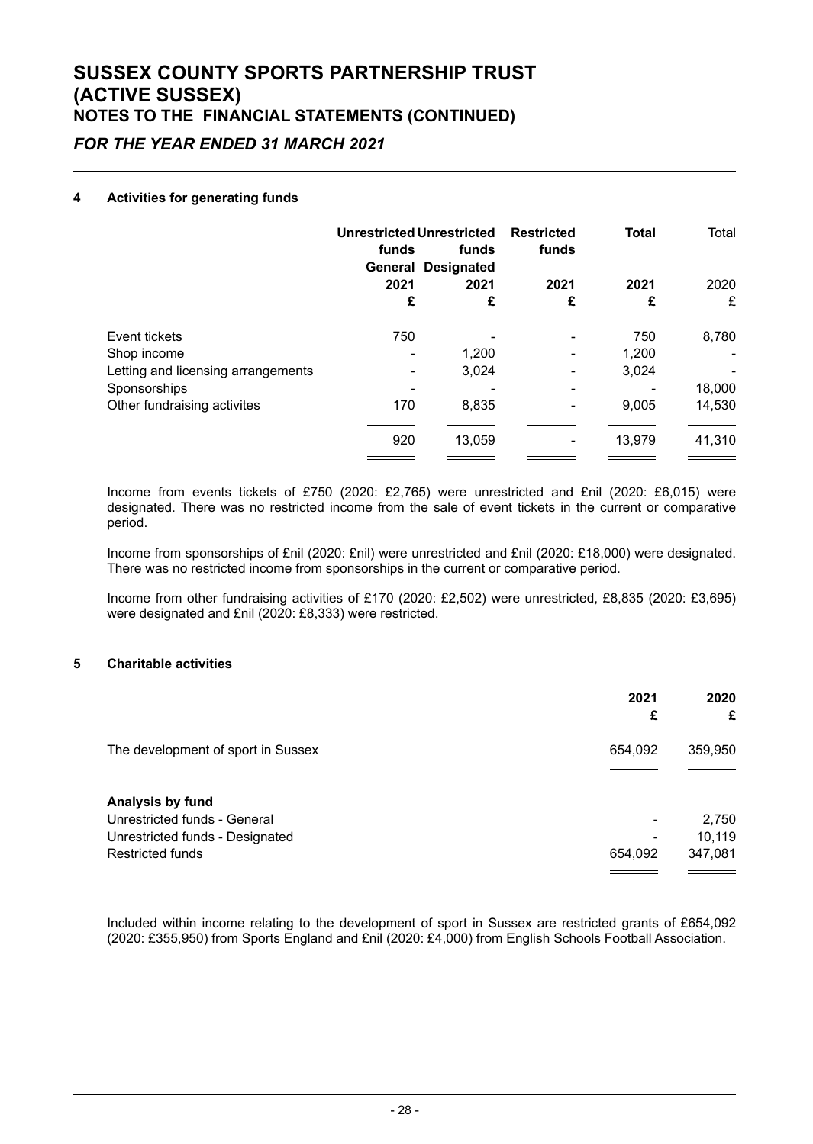*FOR THE YEAR ENDED 31 MARCH 2021*

# **4 Activities for generating funds**

|                                    | funds | <b>Unrestricted Unrestricted</b><br>funds<br><b>General Designated</b> | <b>Restricted</b><br>funds | <b>Total</b> | Total  |
|------------------------------------|-------|------------------------------------------------------------------------|----------------------------|--------------|--------|
|                                    | 2021  | 2021                                                                   | 2021                       | 2021         | 2020   |
|                                    | £     | £                                                                      | £                          | £            | £      |
| Event tickets                      | 750   |                                                                        |                            | 750          | 8,780  |
| Shop income                        |       | 1,200                                                                  |                            | 1,200        |        |
| Letting and licensing arrangements | ۰     | 3,024                                                                  |                            | 3,024        |        |
| Sponsorships                       |       |                                                                        |                            |              | 18,000 |
| Other fundraising activites        | 170   | 8,835                                                                  |                            | 9,005        | 14,530 |
|                                    | 920   | 13,059                                                                 |                            | 13,979       | 41,310 |
|                                    |       |                                                                        |                            |              |        |

Income from events tickets of £750 (2020: £2,765) were unrestricted and £nil (2020: £6,015) were designated. There was no restricted income from the sale of event tickets in the current or comparative period.

Income from sponsorships of £nil (2020: £nil) were unrestricted and £nil (2020: £18,000) were designated. There was no restricted income from sponsorships in the current or comparative period.

Income from other fundraising activities of £170 (2020: £2,502) were unrestricted, £8,835 (2020: £3,695) were designated and £nil (2020: £8,333) were restricted.

# **5 Charitable activities**

|                                    | 2021    | 2020    |
|------------------------------------|---------|---------|
|                                    | £       | £       |
| The development of sport in Sussex | 654,092 | 359,950 |
|                                    |         |         |
| Analysis by fund                   |         |         |
| Unrestricted funds - General       |         | 2,750   |
| Unrestricted funds - Designated    |         | 10,119  |
| <b>Restricted funds</b>            | 654,092 | 347,081 |
|                                    |         |         |

Included within income relating to the development of sport in Sussex are restricted grants of £654,092 (2020: £355,950) from Sports England and £nil (2020: £4,000) from English Schools Football Association.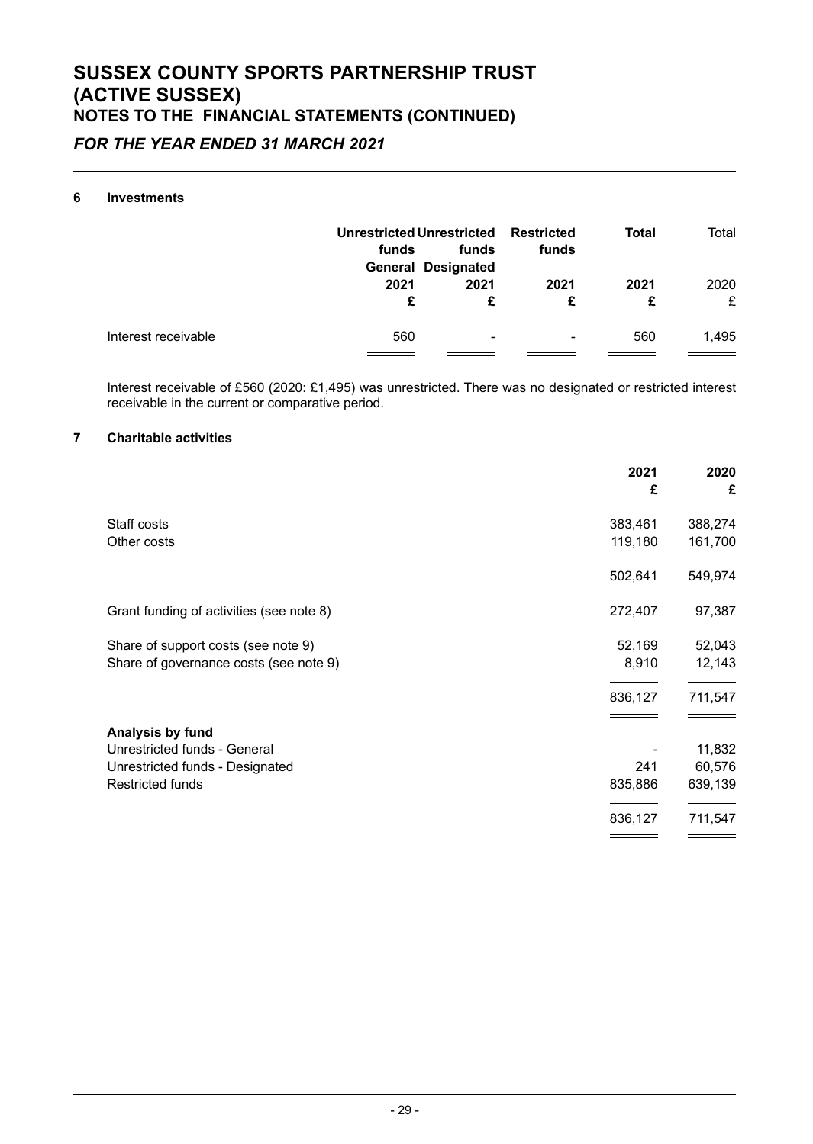# *FOR THE YEAR ENDED 31 MARCH 2021*

### **6 Investments**

|                     | Unrestricted Unrestricted Restricted<br>funds | funds<br><b>General Designated</b> | funds | <b>Total</b> | Total     |
|---------------------|-----------------------------------------------|------------------------------------|-------|--------------|-----------|
|                     | 2021<br>£                                     | 2021<br>£                          | 2021  | 2021<br>£    | 2020<br>£ |
| Interest receivable | 560                                           | ۰                                  | ۰     | 560          | 1,495     |

Interest receivable of £560 (2020: £1,495) was unrestricted. There was no designated or restricted interest receivable in the current or comparative period.

### **7 Charitable activities**

|                                          | 2021<br>£ | 2020<br>£ |
|------------------------------------------|-----------|-----------|
|                                          |           |           |
| Staff costs                              | 383,461   | 388,274   |
| Other costs                              | 119,180   | 161,700   |
|                                          | 502,641   | 549,974   |
| Grant funding of activities (see note 8) | 272,407   | 97,387    |
| Share of support costs (see note 9)      | 52,169    | 52,043    |
| Share of governance costs (see note 9)   | 8,910     | 12,143    |
|                                          | 836,127   | 711,547   |
|                                          |           |           |
| Analysis by fund                         |           |           |
| Unrestricted funds - General             |           | 11,832    |
| Unrestricted funds - Designated          | 241       | 60,576    |
| <b>Restricted funds</b>                  | 835,886   | 639,139   |
|                                          | 836,127   | 711,547   |
|                                          |           |           |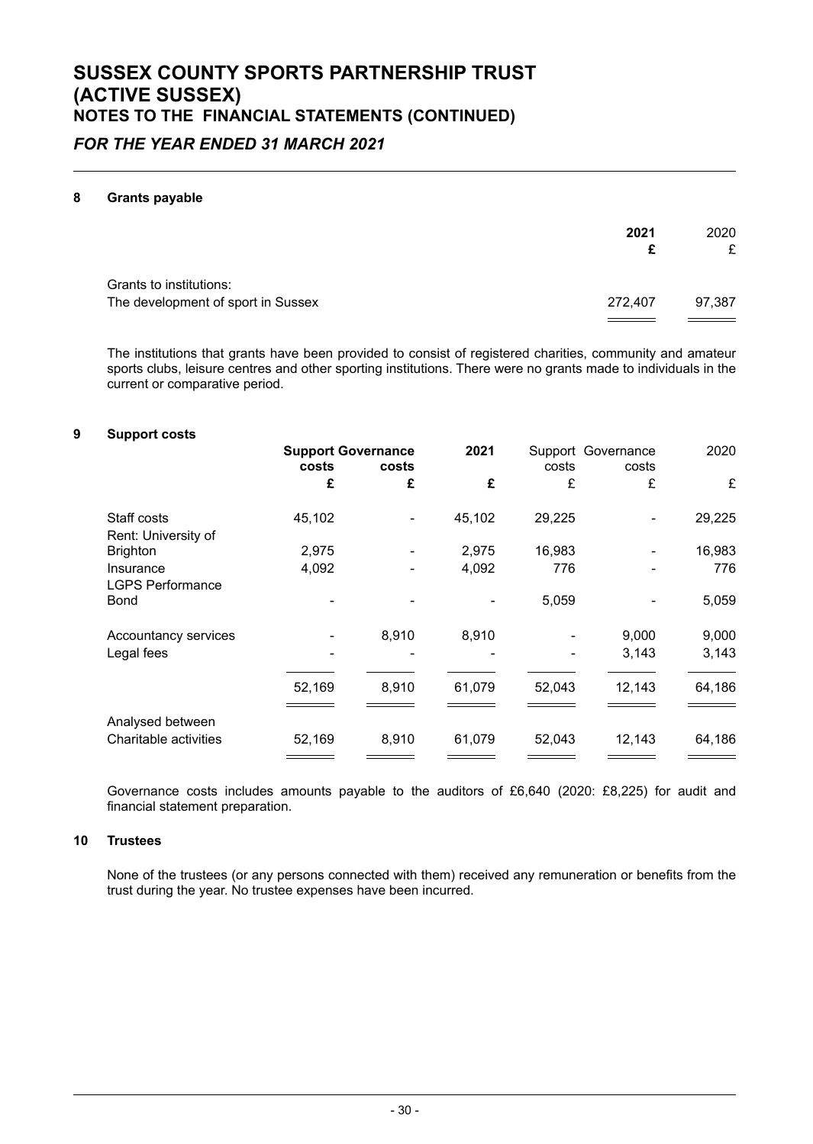*FOR THE YEAR ENDED 31 MARCH 2021*

### **8 Grants payable**

| 2021                                                                     | 2020   |
|--------------------------------------------------------------------------|--------|
| Grants to institutions:<br>The development of sport in Sussex<br>272.407 | 97.387 |

The institutions that grants have been provided to consist of registered charities, community and amateur sports clubs, leisure centres and other sporting institutions. There were no grants made to individuals in the current or comparative period.

### **9 Support costs**

|                                    | <b>Support Governance</b> |       | 2021   |        | Support Governance | 2020   |  |
|------------------------------------|---------------------------|-------|--------|--------|--------------------|--------|--|
|                                    | costs                     | costs |        | costs  | costs              |        |  |
|                                    | £                         | £     | £      | £      | £                  | £      |  |
| Staff costs<br>Rent: University of | 45,102                    | -     | 45,102 | 29,225 |                    | 29,225 |  |
| <b>Brighton</b>                    | 2,975                     |       | 2,975  | 16,983 |                    | 16,983 |  |
| Insurance<br>LGPS Performance      | 4,092                     | ۰     | 4,092  | 776    |                    | 776    |  |
| <b>Bond</b>                        |                           |       |        | 5,059  |                    | 5,059  |  |
| Accountancy services               |                           | 8,910 | 8,910  |        | 9,000              | 9,000  |  |
| Legal fees                         |                           |       |        |        | 3,143              | 3,143  |  |
|                                    | 52,169                    | 8,910 | 61,079 | 52,043 | 12,143             | 64,186 |  |
| Analysed between                   |                           |       |        |        |                    |        |  |
| Charitable activities              | 52,169                    | 8,910 | 61,079 | 52,043 | 12,143             | 64,186 |  |
|                                    |                           |       |        |        |                    |        |  |

Governance costs includes amounts payable to the auditors of £6,640 (2020: £8,225) for audit and financial statement preparation.

### **10 Trustees**

None of the trustees (or any persons connected with them) received any remuneration or benefits from the trust during the year. No trustee expenses have been incurred.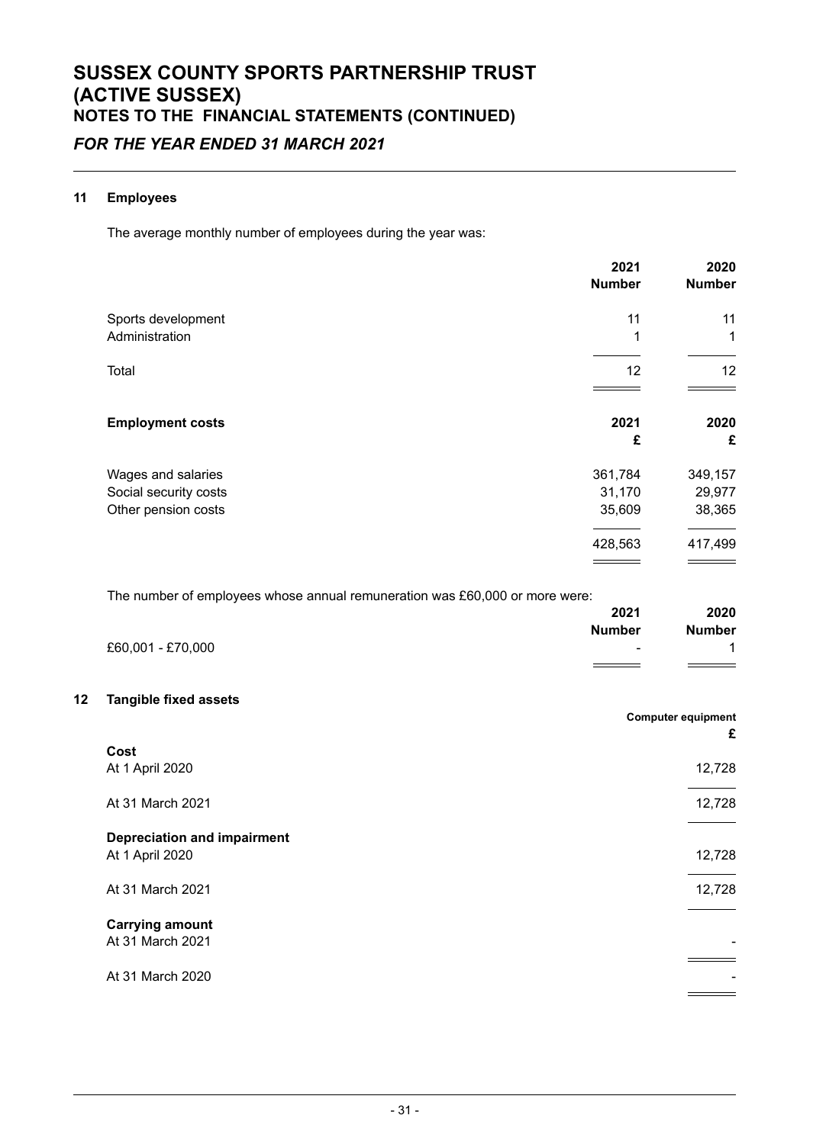# **SUSSEX COUNTY SPORTS PARTNERSHIP TRUST (ACTIVE SUSSEX) NOTES TO THE FINANCIAL STATEMENTS (CONTINUED)** *FOR THE YEAR ENDED 31 MARCH 2021*

### **11 Employees**

The average monthly number of employees during the year was:

|                                                                             | 2021<br><b>Number</b> | 2020<br><b>Number</b>     |
|-----------------------------------------------------------------------------|-----------------------|---------------------------|
| Sports development                                                          | 11                    | 11                        |
| Administration                                                              | 1                     | 1                         |
| Total                                                                       | 12                    | 12                        |
| <b>Employment costs</b>                                                     | 2021                  | 2020                      |
|                                                                             | £                     | £                         |
| Wages and salaries                                                          | 361,784               | 349,157                   |
| Social security costs                                                       | 31,170                | 29,977                    |
| Other pension costs                                                         | 35,609                | 38,365                    |
|                                                                             | 428,563               | 417,499                   |
| The number of employees whose annual remuneration was £60,000 or more were: |                       |                           |
|                                                                             | 2021                  | 2020                      |
|                                                                             | <b>Number</b>         | <b>Number</b>             |
| £60,001 - £70,000                                                           |                       | 1                         |
| 12<br><b>Tangible fixed assets</b>                                          |                       |                           |
|                                                                             |                       | <b>Computer equipment</b> |
| Cost                                                                        |                       | £                         |
| At 1 April 2020                                                             |                       | 12,728                    |
| At 31 March 2021                                                            |                       | 12,728                    |
| <b>Depreciation and impairment</b><br>At 1 April 2020                       |                       | 12,728                    |
|                                                                             |                       |                           |
| At 31 March 2021                                                            |                       | 12,728                    |
| <b>Carrying amount</b><br>At 31 March 2021                                  |                       |                           |
| At 31 March 2020                                                            |                       |                           |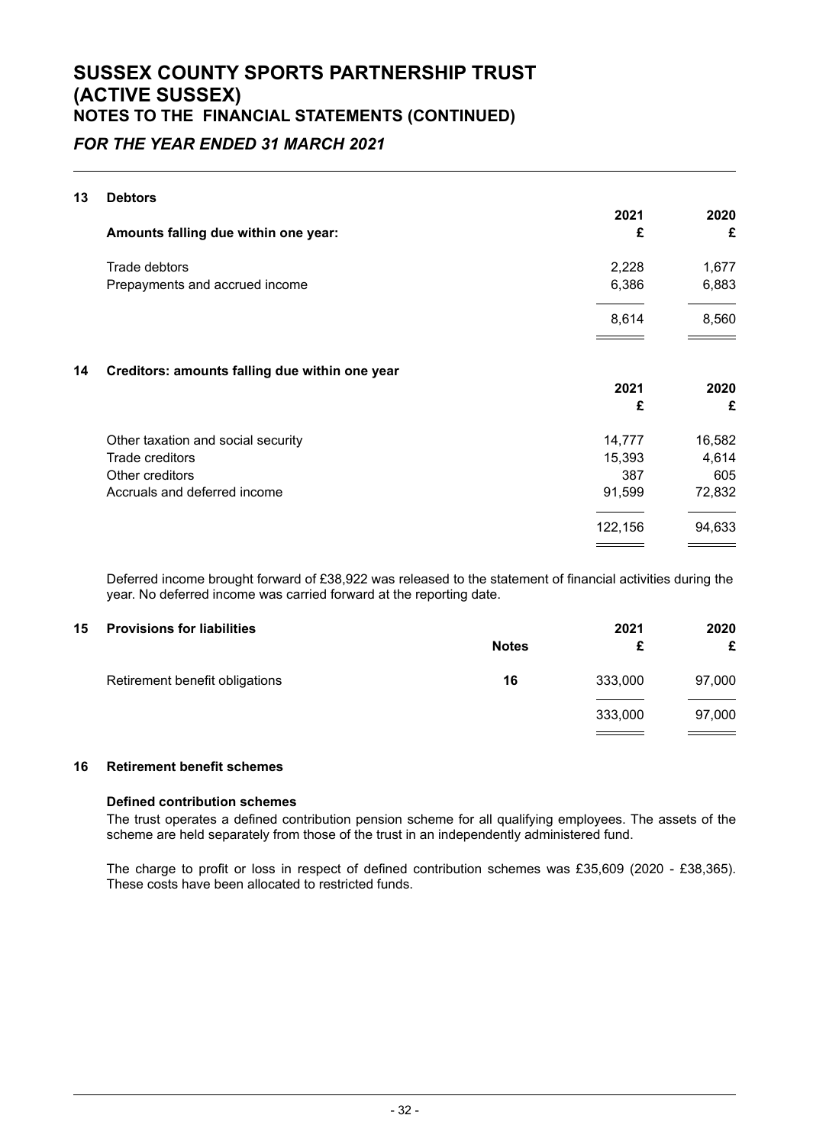# *FOR THE YEAR ENDED 31 MARCH 2021*

# **13 Debtors**

|    |                                                | 2021    | 2020   |
|----|------------------------------------------------|---------|--------|
|    | Amounts falling due within one year:           | £       | £      |
|    | Trade debtors                                  | 2,228   | 1,677  |
|    | Prepayments and accrued income                 | 6,386   | 6,883  |
|    |                                                | 8,614   | 8,560  |
| 14 | Creditors: amounts falling due within one year |         |        |
|    |                                                | 2021    | 2020   |
|    |                                                | £       | £      |
|    | Other taxation and social security             | 14,777  | 16,582 |
|    | Trade creditors                                | 15,393  | 4,614  |
|    | Other creditors                                | 387     | 605    |
|    | Accruals and deferred income                   | 91,599  | 72,832 |
|    |                                                | 122,156 | 94,633 |
|    |                                                |         |        |

Deferred income brought forward of £38,922 was released to the statement of financial activities during the year. No deferred income was carried forward at the reporting date.

# **15 Provisions for liabilities 2021 2020 Notes £ £** Retirement benefit obligations **16** 333,000 97,000 333,000 97,000

# **16 Retirement benefit schemes**

# **Defined contribution schemes**

The trust operates a defined contribution pension scheme for all qualifying employees. The assets of the scheme are held separately from those of the trust in an independently administered fund.

The charge to profit or loss in respect of defined contribution schemes was £35,609 (2020 - £38,365). These costs have been allocated to restricted funds.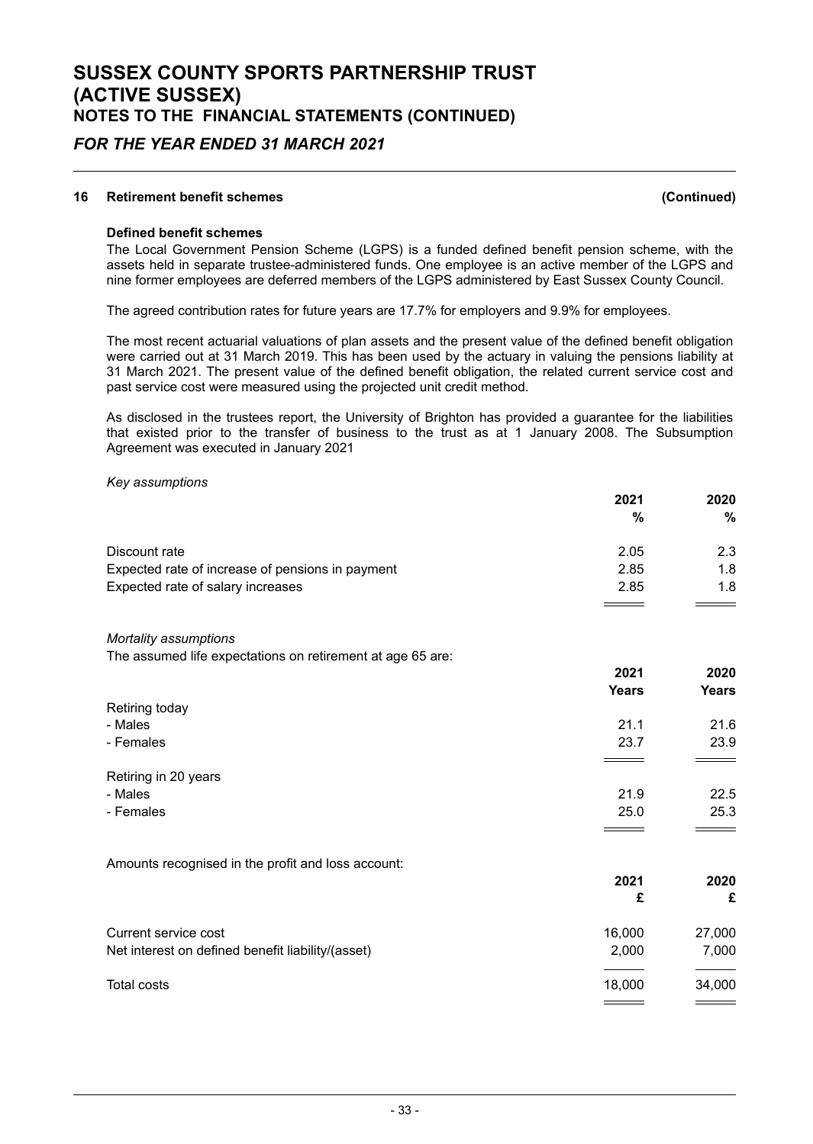# *FOR THE YEAR ENDED 31 MARCH 2021*

### **16 Retirement benefit schemes (Continued)**

**Defined benefit schemes**

The Local Government Pension Scheme (LGPS) is a funded defined benefit pension scheme, with the assets held in separate trustee-administered funds. One employee is an active member of the LGPS and nine former employees are deferred members of the LGPS administered by East Sussex County Council.

The agreed contribution rates for future years are 17.7% for employers and 9.9% for employees.

The most recent actuarial valuations of plan assets and the present value of the defined benefit obligation were carried out at 31 March 2019. This has been used by the actuary in valuing the pensions liability at 31 March 2021. The present value of the defined benefit obligation, the related current service cost and past service cost were measured using the projected unit credit method.

As disclosed in the trustees report, the University of Brighton has provided a guarantee for the liabilities that existed prior to the transfer of business to the trust as at 1 January 2008. The Subsumption Agreement was executed in January 2021

#### *Key assumptions*

|                                                            | 2021         | 2020         |
|------------------------------------------------------------|--------------|--------------|
|                                                            | %            | $\%$         |
| Discount rate                                              | 2.05         | 2.3          |
| Expected rate of increase of pensions in payment           | 2.85         | 1.8          |
| Expected rate of salary increases                          | 2.85         | 1.8          |
|                                                            |              |              |
| Mortality assumptions                                      |              |              |
| The assumed life expectations on retirement at age 65 are: |              |              |
|                                                            | 2021         | 2020         |
|                                                            | <b>Years</b> | <b>Years</b> |
| Retiring today                                             |              |              |
| - Males                                                    | 21.1         | 21.6         |
| - Females                                                  | 23.7         | 23.9         |
|                                                            |              |              |
| Retiring in 20 years                                       |              |              |
| - Males                                                    | 21.9         | 22.5         |
| - Females                                                  | 25.0         | 25.3         |
|                                                            |              |              |
| Amounts recognised in the profit and loss account:         |              |              |
|                                                            | 2021         | 2020         |
|                                                            | £            | £            |
| Current service cost                                       | 16,000       | 27,000       |
| Net interest on defined benefit liability/(asset)          | 2,000        | 7,000        |
| <b>Total costs</b>                                         | 18,000       | 34,000       |
|                                                            |              |              |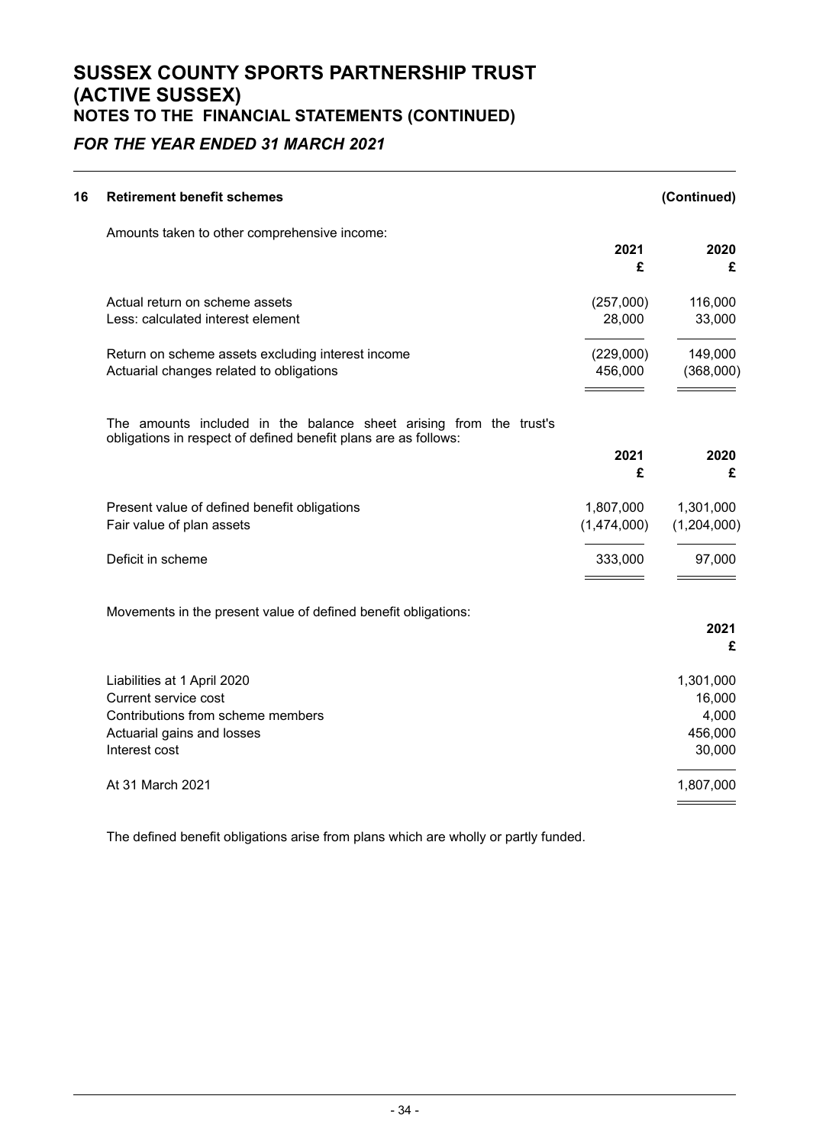# *FOR THE YEAR ENDED 31 MARCH 2021*

| 16 | <b>Retirement benefit schemes</b>                                                                                                              |                          | (Continued)                                       |
|----|------------------------------------------------------------------------------------------------------------------------------------------------|--------------------------|---------------------------------------------------|
|    | Amounts taken to other comprehensive income:                                                                                                   | 2021<br>£                | 2020<br>£                                         |
|    | Actual return on scheme assets<br>Less: calculated interest element                                                                            | (257,000)<br>28,000      | 116,000<br>33,000                                 |
|    | Return on scheme assets excluding interest income<br>Actuarial changes related to obligations                                                  | (229,000)<br>456,000     | 149,000<br>(368,000)                              |
|    | The amounts included in the balance sheet arising from the trust's<br>obligations in respect of defined benefit plans are as follows:          | 2021<br>£                | 2020<br>£                                         |
|    | Present value of defined benefit obligations<br>Fair value of plan assets                                                                      | 1,807,000<br>(1,474,000) | 1,301,000<br>(1,204,000)                          |
|    | Deficit in scheme                                                                                                                              | 333,000                  | 97,000                                            |
|    | Movements in the present value of defined benefit obligations:                                                                                 |                          | 2021<br>£                                         |
|    | Liabilities at 1 April 2020<br><b>Current service cost</b><br>Contributions from scheme members<br>Actuarial gains and losses<br>Interest cost |                          | 1,301,000<br>16,000<br>4,000<br>456,000<br>30,000 |
|    | At 31 March 2021                                                                                                                               |                          | 1,807,000                                         |

The defined benefit obligations arise from plans which are wholly or partly funded.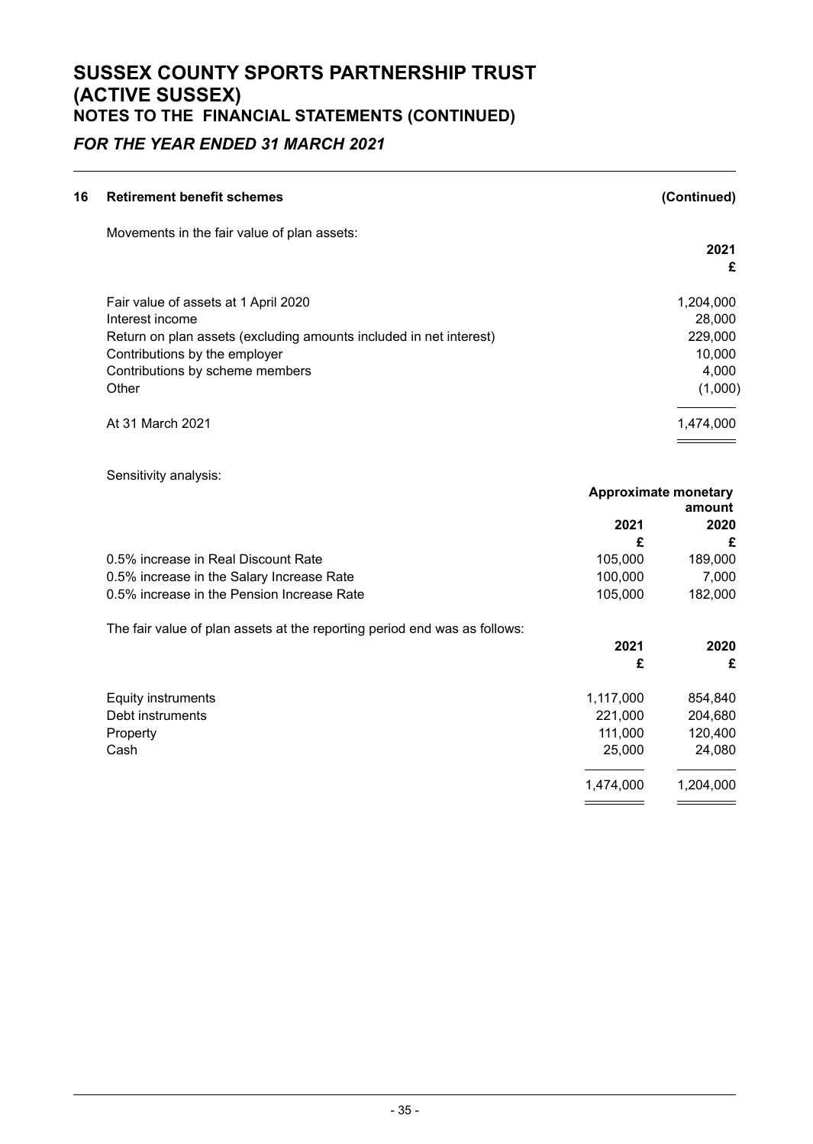# *FOR THE YEAR ENDED 31 MARCH 2021*

| <b>Retirement benefit schemes</b>                                  |
|--------------------------------------------------------------------|
| Movements in the fair value of plan assets:                        |
|                                                                    |
|                                                                    |
| Fair value of assets at 1 April 2020                               |
| Interest income                                                    |
| Return on plan assets (excluding amounts included in net interest) |
| Contributions by the employer                                      |
| Contributions by scheme members                                    |
| Other                                                              |
| At 31 March 2021                                                   |
|                                                                    |

Sensitivity analysis:

|                                                                           | <b>Approximate monetary</b> |           |  |
|---------------------------------------------------------------------------|-----------------------------|-----------|--|
|                                                                           |                             | amount    |  |
|                                                                           | 2021                        | 2020      |  |
|                                                                           | £                           | £         |  |
| 0.5% increase in Real Discount Rate                                       | 105,000                     | 189,000   |  |
| 0.5% increase in the Salary Increase Rate                                 | 100,000                     | 7,000     |  |
| 0.5% increase in the Pension Increase Rate                                | 105,000                     | 182,000   |  |
| The fair value of plan assets at the reporting period end was as follows: |                             |           |  |
|                                                                           | 2021                        | 2020      |  |
|                                                                           | £                           | £         |  |
| <b>Equity instruments</b>                                                 | 1,117,000                   | 854,840   |  |
| Debt instruments                                                          | 221,000                     | 204,680   |  |
| Property                                                                  | 111,000                     | 120,400   |  |
| Cash                                                                      | 25,000                      | 24,080    |  |
|                                                                           | 1,474,000                   | 1,204,000 |  |
|                                                                           |                             |           |  |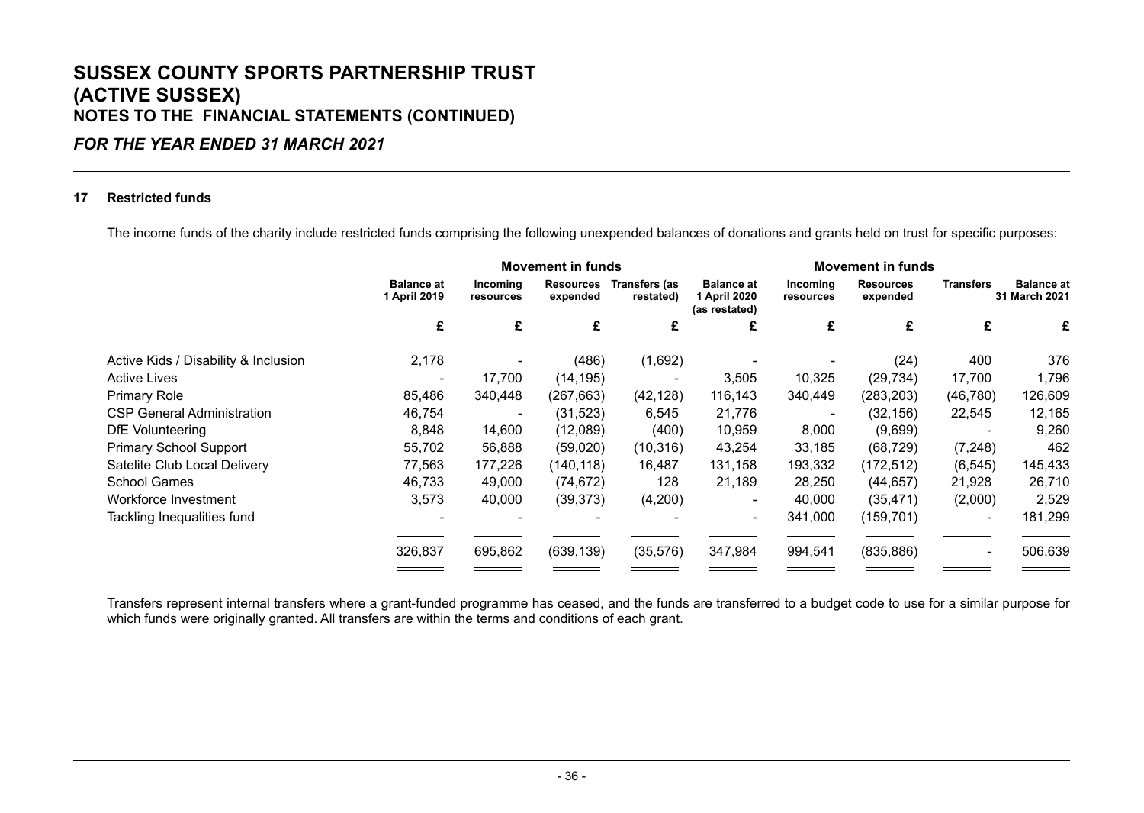# *FOR THE YEAR ENDED 31 MARCH 2021*

#### **17 Restricted funds**

The income funds of the charity include restricted funds comprising the following unexpended balances of donations and grants held on trust for specific purposes:

|                                      |                                   | <b>Movement in funds</b>                                                                                                                                           |                              |                  |                                    | <b>Movement in funds</b> |            |                          |         |
|--------------------------------------|-----------------------------------|--------------------------------------------------------------------------------------------------------------------------------------------------------------------|------------------------------|------------------|------------------------------------|--------------------------|------------|--------------------------|---------|
|                                      | <b>Balance at</b><br>1 April 2019 | <b>Resources</b><br>Transfers (as<br><b>Balance at</b><br>Incoming<br>Incoming<br>1 April 2020<br>expended<br>restated)<br>resources<br>resources<br>(as restated) | <b>Resources</b><br>expended | <b>Transfers</b> | <b>Balance at</b><br>31 March 2021 |                          |            |                          |         |
|                                      | £                                 | £                                                                                                                                                                  | £                            | £                | £                                  | £                        | £          | £                        |         |
| Active Kids / Disability & Inclusion | 2,178                             |                                                                                                                                                                    | (486)                        | (1,692)          |                                    |                          | (24)       | 400                      | 376     |
| <b>Active Lives</b>                  |                                   | 17,700                                                                                                                                                             | (14, 195)                    | ٠                | 3,505                              | 10,325                   | (29, 734)  | 17,700                   | 1,796   |
| <b>Primary Role</b>                  | 85,486                            | 340,448                                                                                                                                                            | (267, 663)                   | (42, 128)        | 116,143                            | 340,449                  | (283, 203) | (46, 780)                | 126,609 |
| <b>CSP General Administration</b>    | 46,754                            |                                                                                                                                                                    | (31, 523)                    | 6,545            | 21,776                             |                          | (32, 156)  | 22,545                   | 12,165  |
| <b>DfE</b> Volunteering              | 8,848                             | 14,600                                                                                                                                                             | (12,089)                     | (400)            | 10,959                             | 8,000                    | (9,699)    |                          | 9,260   |
| <b>Primary School Support</b>        | 55,702                            | 56,888                                                                                                                                                             | (59,020)                     | (10, 316)        | 43,254                             | 33,185                   | (68, 729)  | (7, 248)                 | 462     |
| Satelite Club Local Delivery         | 77,563                            | 177,226                                                                                                                                                            | (140, 118)                   | 16,487           | 131,158                            | 193,332                  | (172, 512) | (6, 545)                 | 145,433 |
| <b>School Games</b>                  | 46,733                            | 49,000                                                                                                                                                             | (74, 672)                    | 128              | 21,189                             | 28,250                   | (44, 657)  | 21,928                   | 26,710  |
| Workforce Investment                 | 3,573                             | 40,000                                                                                                                                                             | (39, 373)                    | (4,200)          | ۰.                                 | 40,000                   | (35, 471)  | (2,000)                  | 2,529   |
| Tackling Inequalities fund           |                                   |                                                                                                                                                                    |                              |                  | ٠                                  | 341,000                  | (159, 701) | $\overline{\phantom{a}}$ | 181,299 |
|                                      | 326,837                           | 695,862                                                                                                                                                            | (639, 139)                   | (35, 576)        | 347,984                            | 994,541                  | (835, 886) | ۰                        | 506,639 |
|                                      |                                   |                                                                                                                                                                    |                              |                  |                                    |                          |            |                          |         |

Transfers represent internal transfers where a grant-funded programme has ceased, and the funds are transferred to a budget code to use for a similar purpose for which funds were originally granted. All transfers are within the terms and conditions of each grant.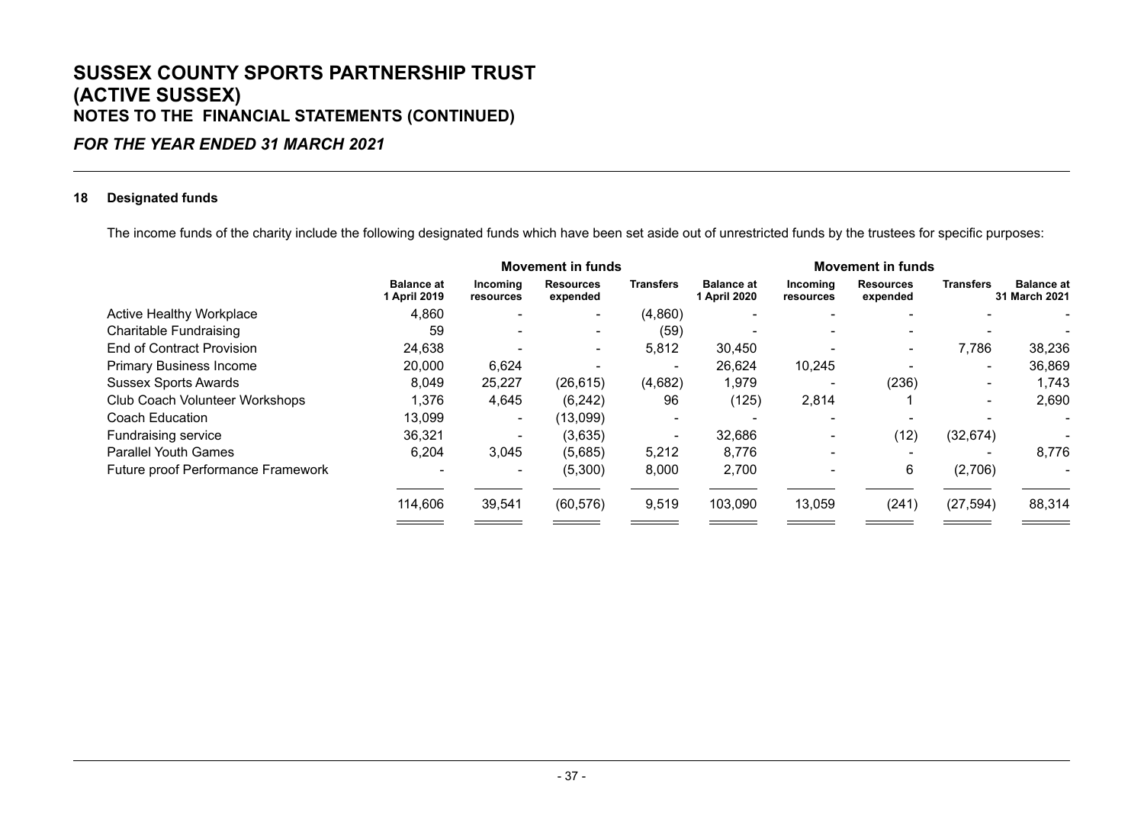# *FOR THE YEAR ENDED 31 MARCH 2021*

# **18 Designated funds**

The income funds of the charity include the following designated funds which have been set aside out of unrestricted funds by the trustees for specific purposes:

|                                    |                                   | <b>Movement in funds</b> |                              |                  |                                   | <b>Movement in funds</b> |                              |                  |                                    |
|------------------------------------|-----------------------------------|--------------------------|------------------------------|------------------|-----------------------------------|--------------------------|------------------------------|------------------|------------------------------------|
|                                    | <b>Balance at</b><br>1 April 2019 | Incoming<br>resources    | <b>Resources</b><br>expended | <b>Transfers</b> | <b>Balance at</b><br>1 April 2020 | Incoming<br>resources    | <b>Resources</b><br>expended | <b>Transfers</b> | <b>Balance at</b><br>31 March 2021 |
| <b>Active Healthy Workplace</b>    | 4,860                             |                          |                              | (4,860)          |                                   |                          |                              |                  |                                    |
| <b>Charitable Fundraising</b>      | 59                                |                          | ۰                            | (59)             |                                   |                          |                              |                  |                                    |
| <b>End of Contract Provision</b>   | 24,638                            |                          |                              | 5,812            | 30,450                            |                          | ۰                            | 7,786            | 38,236                             |
| <b>Primary Business Income</b>     | 20,000                            | 6,624                    |                              |                  | 26,624                            | 10,245                   |                              | $\sim$           | 36,869                             |
| <b>Sussex Sports Awards</b>        | 8,049                             | 25,227                   | (26, 615)                    | (4,682)          | 1,979                             |                          | (236)                        | ۰                | 1,743                              |
| Club Coach Volunteer Workshops     | 1,376                             | 4,645                    | (6, 242)                     | 96               | (125)                             | 2,814                    |                              | ۰                | 2,690                              |
| <b>Coach Education</b>             | 13,099                            |                          | (13,099)                     |                  |                                   |                          |                              |                  |                                    |
| Fundraising service                | 36,321                            |                          | (3,635)                      |                  | 32,686                            | ٠                        | (12)                         | (32, 674)        |                                    |
| <b>Parallel Youth Games</b>        | 6,204                             | 3,045                    | (5,685)                      | 5,212            | 8,776                             |                          |                              |                  | 8,776                              |
| Future proof Performance Framework |                                   |                          | (5,300)                      | 8,000            | 2,700                             | ۰                        | 6                            | (2,706)          |                                    |
|                                    | 114,606                           | 39,541                   | (60, 576)                    | 9,519            | 103,090                           | 13,059                   | (241)                        | (27, 594)        | 88,314                             |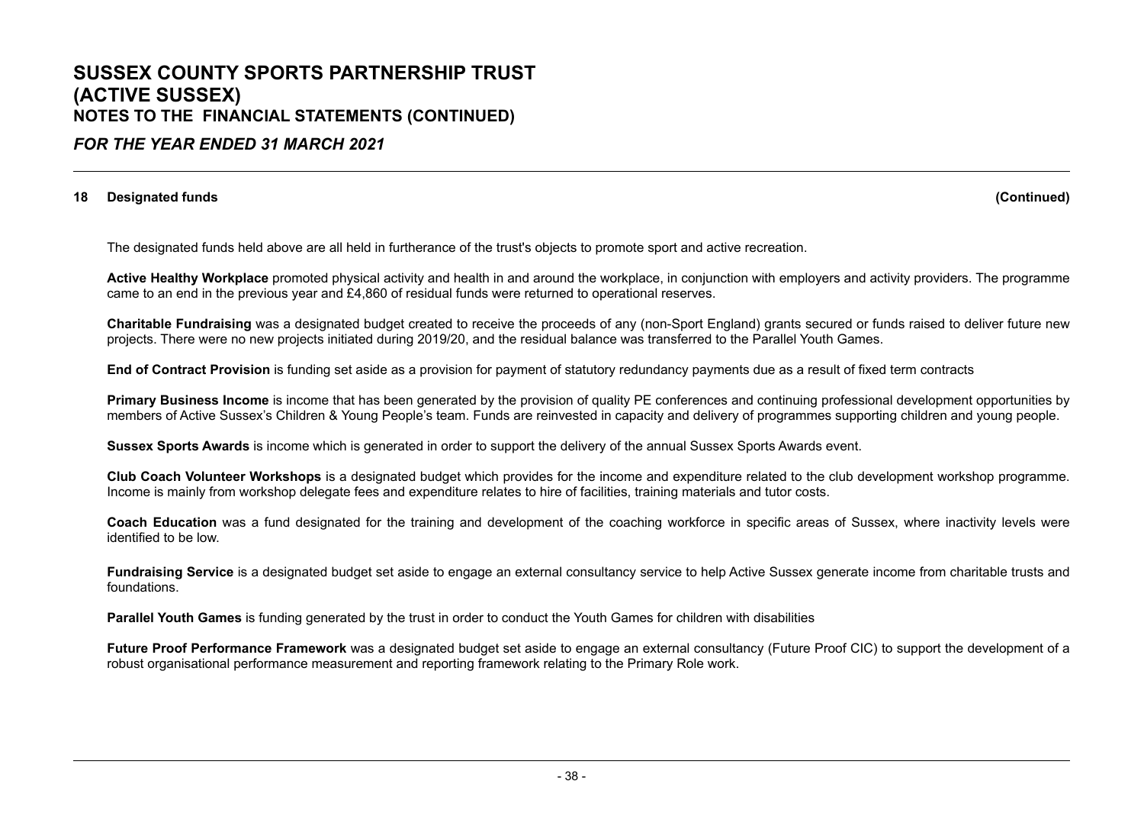# *FOR THE YEAR ENDED 31 MARCH 2021*

#### **18 Designated funds (Continued)**

The designated funds held above are all held in furtherance of the trust's objects to promote sport and active recreation.

**Active Healthy Workplace** promoted physical activity and health in and around the workplace, in conjunction with employers and activity providers. The programme came to an end in the previous year and £4,860 of residual funds were returned to operational reserves.

**Charitable Fundraising** was a designated budget created to receive the proceeds of any (non-Sport England) grants secured or funds raised to deliver future new projects. There were no new projects initiated during 2019/20, and the residual balance was transferred to the Parallel Youth Games.

**End of Contract Provision** is funding set aside as a provision for payment of statutory redundancy payments due as a result of fixed term contracts

**Primary Business Income** is income that has been generated by the provision of quality PE conferences and continuing professional development opportunities by members of Active Sussex's Children & Young People's team. Funds are reinvested in capacity and delivery of programmes supporting children and young people.

**Sussex Sports Awards** is income which is generated in order to support the delivery of the annual Sussex Sports Awards event.

**Club Coach Volunteer Workshops** is a designated budget which provides for the income and expenditure related to the club development workshop programme. Income is mainly from workshop delegate fees and expenditure relates to hire of facilities, training materials and tutor costs.

**Coach Education** was a fund designated for the training and development of the coaching workforce in specific areas of Sussex, where inactivity levels were identified to be low.

**Fundraising Service** is a designated budget set aside to engage an external consultancy service to help Active Sussex generate income from charitable trusts and foundations.

**Parallel Youth Games** is funding generated by the trust in order to conduct the Youth Games for children with disabilities

**Future Proof Performance Framework** was a designated budget set aside to engage an external consultancy (Future Proof CIC) to support the development of a robust organisational performance measurement and reporting framework relating to the Primary Role work.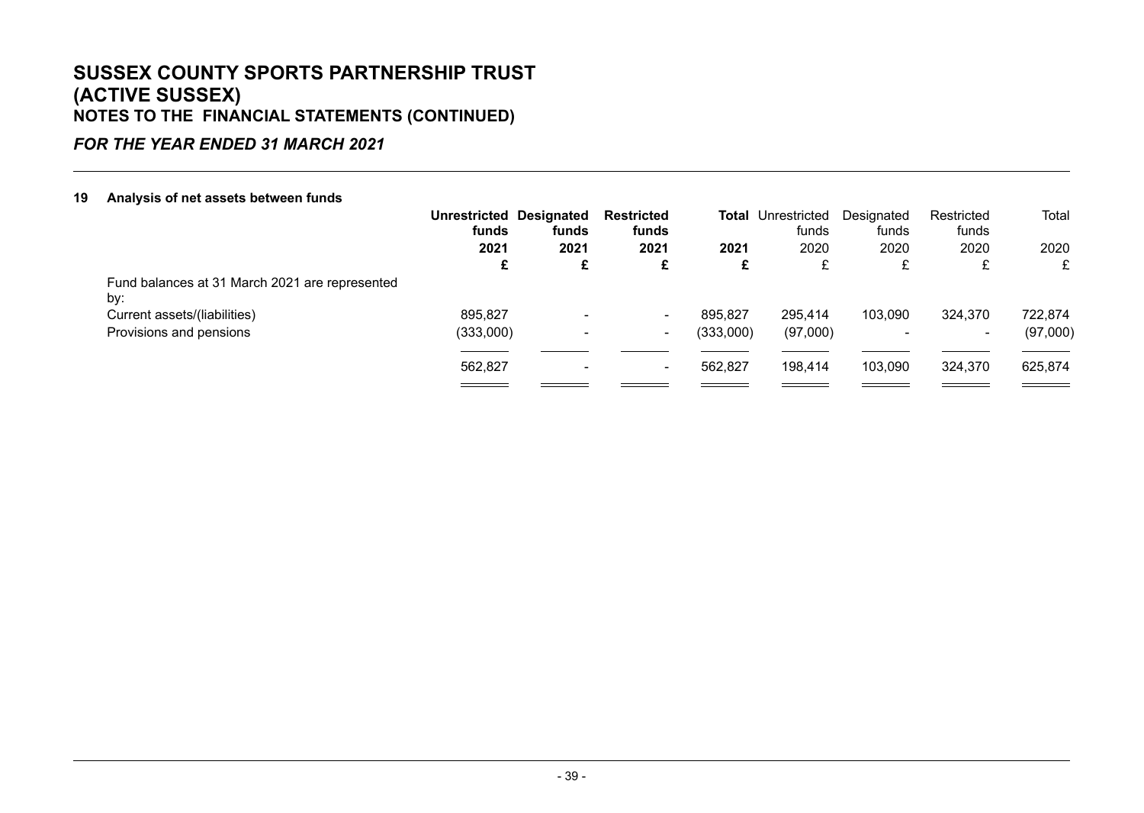# *FOR THE YEAR ENDED 31 MARCH 2021*

| 19 |  |  |  | Analysis of net assets between funds |  |
|----|--|--|--|--------------------------------------|--|
|----|--|--|--|--------------------------------------|--|

|                                                       | funds     | Unrestricted Designated<br>funds | <b>Restricted</b><br>funds |           | <b>Total</b> Unrestricted<br>funds | Designated<br>funds | Restricted<br>funds | Total    |
|-------------------------------------------------------|-----------|----------------------------------|----------------------------|-----------|------------------------------------|---------------------|---------------------|----------|
|                                                       | 2021      | 2021                             | 2021                       | 2021      | 2020                               | 2020                | 2020                | 2020     |
|                                                       | £         |                                  | £                          | £         |                                    |                     | £                   | £        |
| Fund balances at 31 March 2021 are represented<br>by: |           |                                  |                            |           |                                    |                     |                     |          |
| Current assets/(liabilities)                          | 895,827   |                                  | $\sim$                     | 895,827   | 295,414                            | 103.090             | 324,370             | 722,874  |
| Provisions and pensions                               | (333,000) |                                  | $\sim$                     | (333,000) | (97,000)                           |                     | ۰                   | (97,000) |
|                                                       |           |                                  |                            |           |                                    |                     |                     |          |
|                                                       | 562,827   |                                  | $\sim$                     | 562,827   | 198,414                            | 103,090             | 324,370             | 625,874  |
|                                                       |           |                                  |                            |           |                                    |                     |                     |          |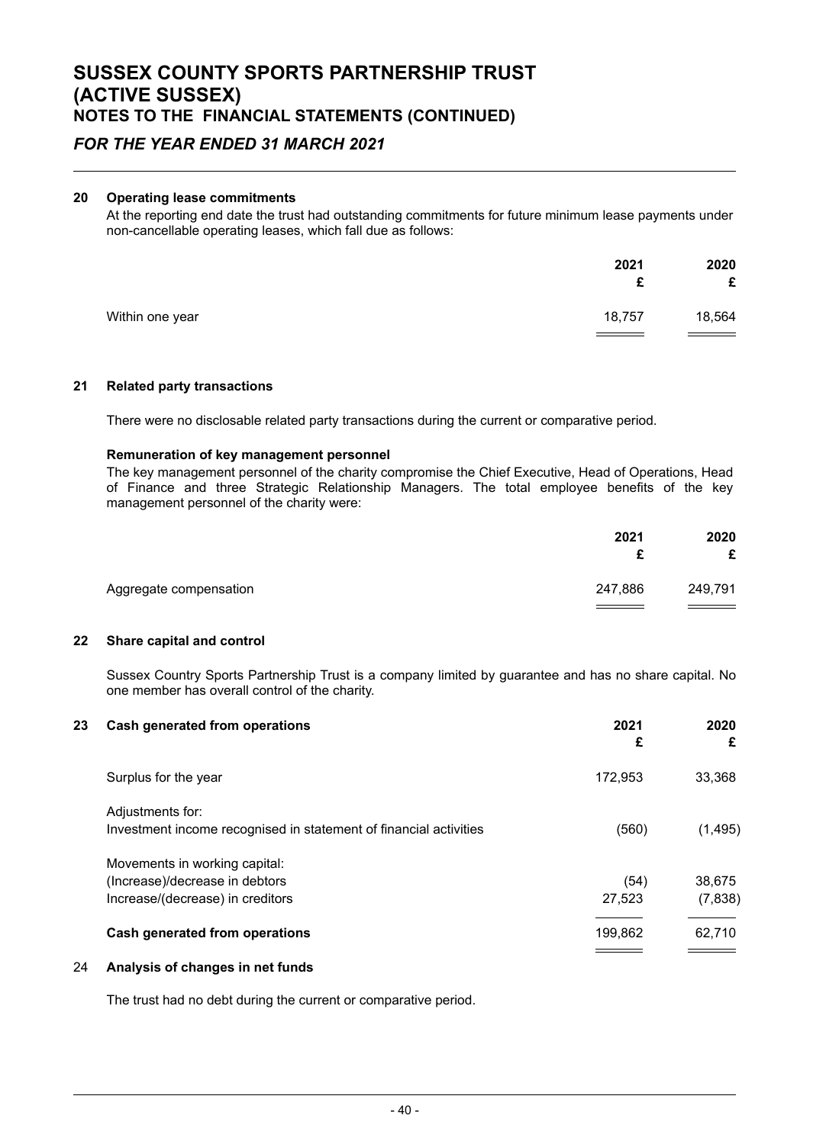# *FOR THE YEAR ENDED 31 MARCH 2021*

### **20 Operating lease commitments**

At the reporting end date the trust had outstanding commitments for future minimum lease payments under non-cancellable operating leases, which fall due as follows:

|                 | 2021   | 2020<br>£ |
|-----------------|--------|-----------|
| Within one year | 18,757 | 18,564    |

#### **21 Related party transactions**

There were no disclosable related party transactions during the current or comparative period.

### **Remuneration of key management personnel**

The key management personnel of the charity compromise the Chief Executive, Head of Operations, Head of Finance and three Strategic Relationship Managers. The total employee benefits of the key management personnel of the charity were:

|                        | 2021    | 2020<br>£ |
|------------------------|---------|-----------|
| Aggregate compensation | 247,886 | 249,791   |

# **22 Share capital and control**

Sussex Country Sports Partnership Trust is a company limited by guarantee and has no share capital. No one member has overall control of the charity.

| 23 | <b>Cash generated from operations</b>                                                 | 2021<br>£ | 2020<br>£ |
|----|---------------------------------------------------------------------------------------|-----------|-----------|
|    | Surplus for the year                                                                  | 172,953   | 33,368    |
|    | Adjustments for:<br>Investment income recognised in statement of financial activities | (560)     | (1, 495)  |
|    | Movements in working capital:                                                         |           |           |
|    | (Increase)/decrease in debtors                                                        | (54)      | 38,675    |
|    | Increase/(decrease) in creditors                                                      | 27,523    | (7,838)   |
|    | Cash generated from operations                                                        | 199,862   | 62,710    |
| 24 | Analysis of changes in net funds                                                      |           |           |

The trust had no debt during the current or comparative period.